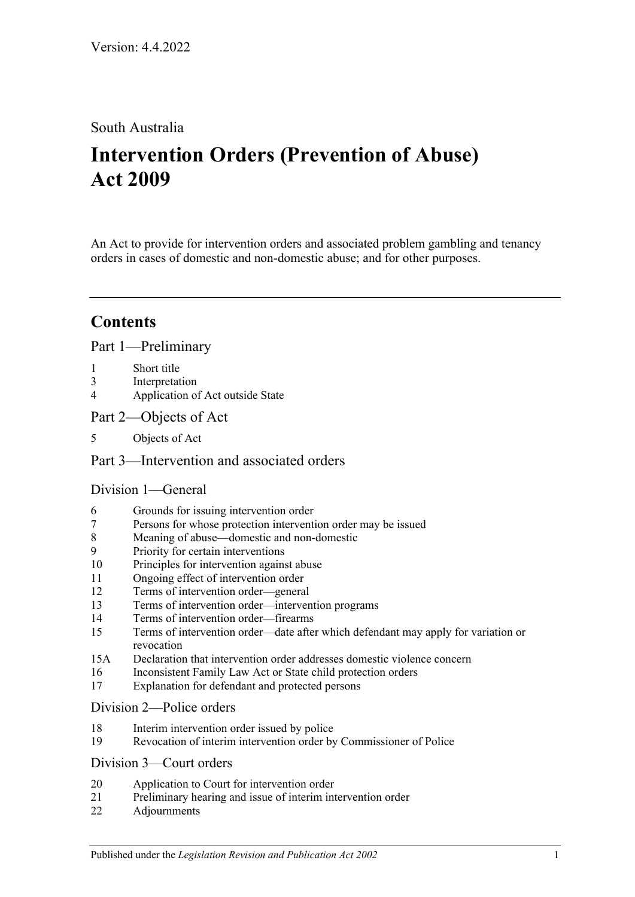# South Australia

# **Intervention Orders (Prevention of Abuse) Act 2009**

An Act to provide for intervention orders and associated problem gambling and tenancy orders in cases of domestic and non-domestic abuse; and for other purposes.

# **Contents**

[Part 1—Preliminary](#page-3-0)

- 1 [Short title](#page-3-1)
- 3 [Interpretation](#page-3-2)
- 4 [Application of Act outside State](#page-5-0)
- [Part 2—Objects of Act](#page-6-0)
- 5 [Objects of Act](#page-6-1)

## [Part 3—Intervention and associated orders](#page-6-2)

### [Division 1—General](#page-6-3)

- 6 [Grounds for issuing intervention order](#page-6-4)
- 7 [Persons for whose protection intervention order may be issued](#page-6-5)
- 8 [Meaning of abuse—domestic and non-domestic](#page-7-0)
- 9 [Priority for certain interventions](#page-10-0)
- 10 [Principles for intervention against abuse](#page-10-1)
- 11 [Ongoing effect of intervention order](#page-11-0)
- 12 [Terms of intervention order—general](#page-11-1)
- 13 [Terms of intervention order—intervention programs](#page-12-0)
- 14 [Terms of intervention order—firearms](#page-13-0)
- 15 [Terms of intervention order—date after which defendant may apply for variation or](#page-13-1)  [revocation](#page-13-1)
- 15A [Declaration that intervention order addresses domestic violence concern](#page-14-0)
- 16 [Inconsistent Family Law Act or State child protection orders](#page-14-1)
- 17 [Explanation for defendant and protected persons](#page-14-2)

#### [Division 2—Police orders](#page-14-3)

- 18 [Interim intervention order issued by police](#page-14-4)
- 19 [Revocation of interim intervention order by Commissioner of Police](#page-16-0)

#### [Division 3—Court orders](#page-16-1)

- 20 [Application to Court for intervention order](#page-16-2)
- 21 [Preliminary hearing and issue of interim intervention order](#page-17-0)
- 22 [Adjournments](#page-19-0)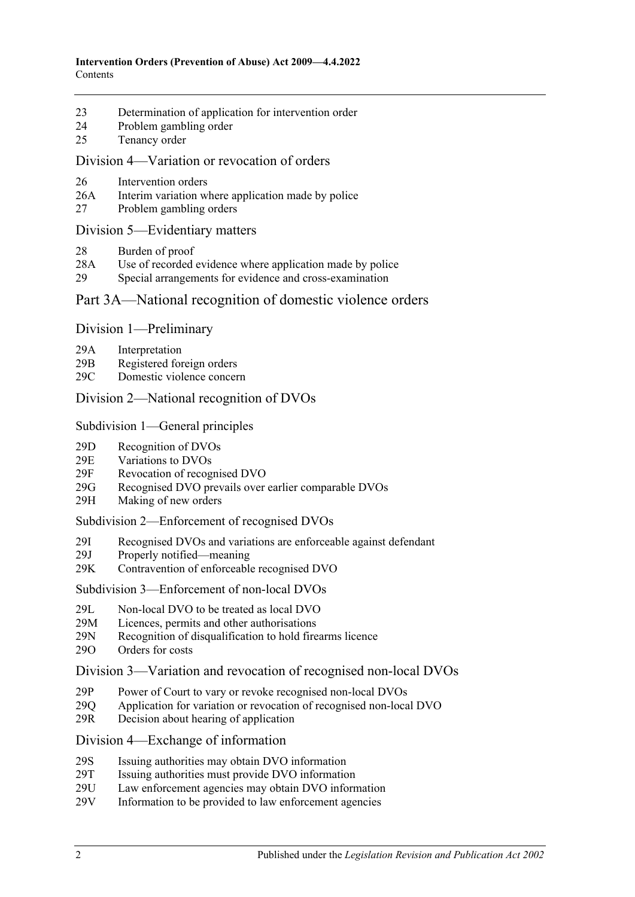- 23 [Determination of application for intervention order](#page-19-1)
- 24 [Problem gambling order](#page-21-0)
- 25 [Tenancy order](#page-22-0)

#### [Division 4—Variation or revocation of orders](#page-23-0)

- 26 [Intervention orders](#page-23-1)
- 26A [Interim variation where application made by police](#page-25-0)
- 27 [Problem gambling orders](#page-26-0)

#### [Division 5—Evidentiary matters](#page-26-1)

- 28 [Burden of proof](#page-26-2)
- 28A [Use of recorded evidence where application made by police](#page-26-3)
- 29 [Special arrangements for evidence and cross-examination](#page-27-0)

#### [Part 3A—National recognition of domestic violence orders](#page-28-0)

#### Division [1—Preliminary](#page-28-1)

- 29A [Interpretation](#page-28-2)
- 29B [Registered foreign orders](#page-29-0)
- 29C [Domestic violence concern](#page-30-0)

#### Division [2—National recognition of DVOs](#page-30-1)

#### Subdivision [1—General principles](#page-30-2)

- 29D [Recognition of DVOs](#page-30-3)
- 29E [Variations to DVOs](#page-31-0)
- 29F [Revocation of recognised DVO](#page-31-1)
- 29G [Recognised DVO prevails over earlier comparable DVOs](#page-31-2)
- 29H [Making of new orders](#page-32-0)

#### Subdivision [2—Enforcement of recognised DVOs](#page-32-1)

- 29I [Recognised DVOs and variations are enforceable against defendant](#page-32-2)<br>29J Properly notified—meaning
- [Properly notified—meaning](#page-33-0)
- 29K [Contravention of enforceable recognised DVO](#page-33-1)

#### Subdivision [3—Enforcement of non-local DVOs](#page-33-2)

- 29L Non-local DVO to [be treated as local DVO](#page-33-3)
- 29M [Licences, permits and other authorisations](#page-34-0)
- 29N [Recognition of disqualification to](#page-34-1) hold firearms licence
- 29O [Orders for costs](#page-34-2)

#### Division [3—Variation and revocation of recognised non-local DVOs](#page-35-0)

- 29P [Power of Court to vary or revoke recognised non-local DVOs](#page-35-1)
- 29Q [Application for variation or revocation of recognised non-local DVO](#page-35-2)
- 29R [Decision about hearing of application](#page-35-3)

### Division [4—Exchange of information](#page-36-0)

- 29S [Issuing authorities may obtain DVO information](#page-36-1)
- 29T [Issuing authorities must provide DVO information](#page-36-2)<br>29U Law enforcement agencies may obtain DVO inform
- [Law enforcement agencies may obtain DVO information](#page-37-0)
- 29V [Information to be provided to law enforcement agencies](#page-37-1)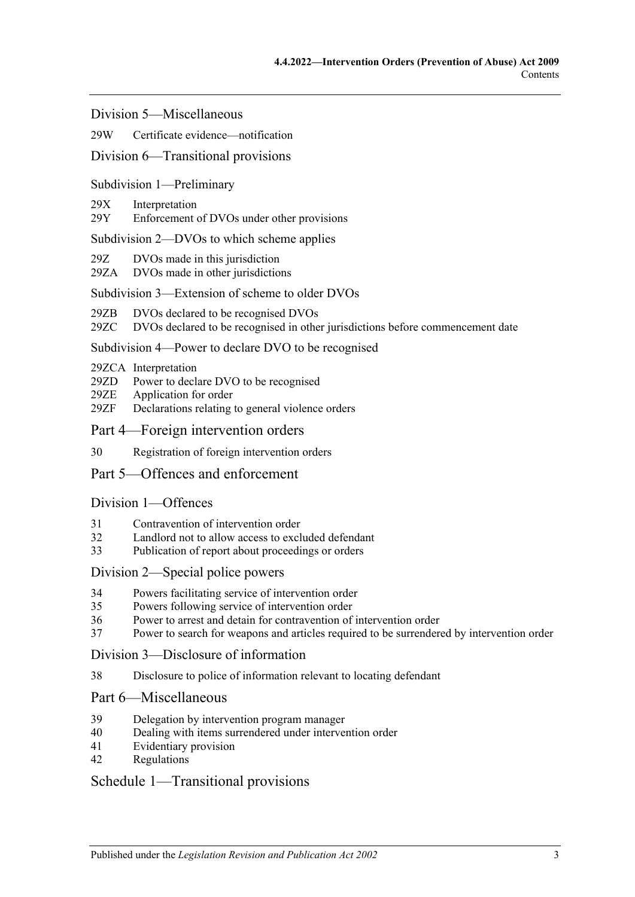Division [5—Miscellaneous](#page-37-2)

#### 29W [Certificate evidence—notification](#page-37-3)

#### Division [6—Transitional provisions](#page-38-0)

#### Subdivision [1—Preliminary](#page-38-1)

#### 29X [Interpretation](#page-38-2)

29Y [Enforcement of DVOs under other provisions](#page-38-3)

#### Subdivision [2—DVOs to which scheme applies](#page-38-4)

- 29Z [DVOs made in this jurisdiction](#page-38-5)
- 29ZA [DVOs made in other jurisdictions](#page-38-6)

#### Subdivision [3—Extension of scheme to older DVOs](#page-39-0)

- 29ZB [DVOs declared to be recognised DVOs](#page-39-1)
- 29ZC [DVOs declared to be recognised in other jurisdictions before commencement date](#page-39-2)

#### Subdivision [4—Power to declare DVO to be recognised](#page-39-3)

- 29ZCA [Interpretation](#page-39-4)
- 29ZD [Power to declare DVO to be recognised](#page-39-5)
- 29ZE [Application for order](#page-40-0)
- 29ZF [Declarations relating to general violence orders](#page-40-1)
- [Part 4—Foreign intervention orders](#page-40-2)
- 30 [Registration of foreign intervention orders](#page-40-3)

### [Part 5—Offences and enforcement](#page-41-0)

#### [Division 1—Offences](#page-41-1)

- 31 [Contravention of intervention order](#page-41-2)
- 32 [Landlord not to allow access to excluded defendant](#page-43-0)
- 33 [Publication of report about proceedings or orders](#page-43-1)

#### [Division 2—Special police powers](#page-43-2)

- 34 [Powers facilitating service of intervention order](#page-43-3)
- 35 [Powers following service of intervention order](#page-44-0)
- 36 [Power to arrest and detain for contravention of intervention order](#page-45-0)
- 37 [Power to search for weapons and articles required to be surrendered by intervention order](#page-45-1)

[Division 3—Disclosure of information](#page-45-2)

38 [Disclosure to police of information relevant to locating defendant](#page-45-3)

## [Part 6—Miscellaneous](#page-45-4)

- 39 [Delegation by intervention program manager](#page-45-5)
- 40 [Dealing with items surrendered under intervention order](#page-46-0)
- 41 [Evidentiary provision](#page-46-1)
- 42 [Regulations](#page-46-2)

### [Schedule 1—Transitional provisions](#page-47-0)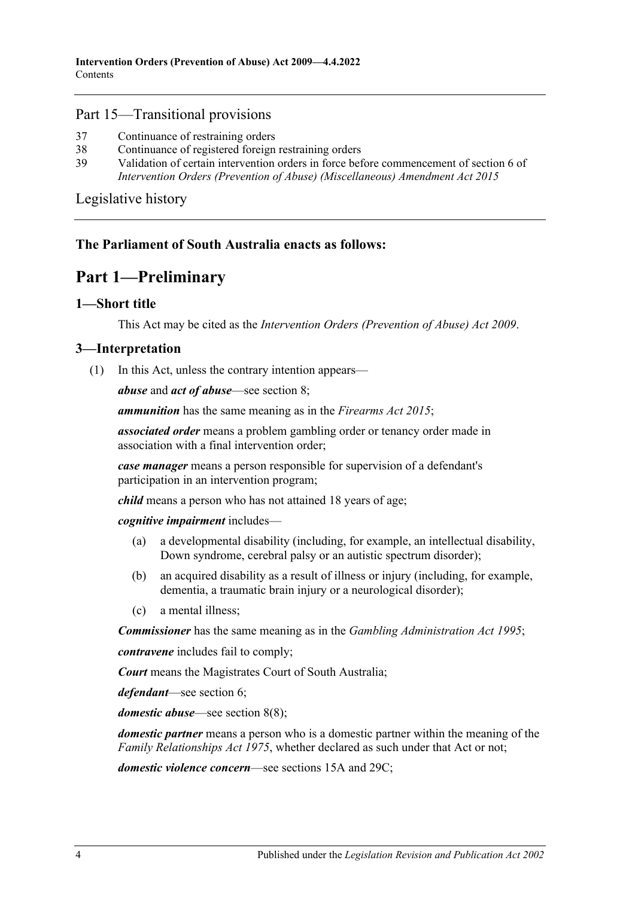#### Part 15—Transitional provisions

- 37 [Continuance of restraining orders](#page-47-1)
- 38 [Continuance of registered foreign restraining orders](#page-47-2)
- 39 [Validation of certain intervention orders in force before commencement of section](#page-47-3) 6 of *[Intervention Orders \(Prevention of Abuse\) \(Miscellaneous\) Amendment Act](#page-47-3) 2015*

[Legislative history](#page-48-0)

### <span id="page-3-0"></span>**The Parliament of South Australia enacts as follows:**

# **Part 1—Preliminary**

### <span id="page-3-1"></span>**1—Short title**

This Act may be cited as the *Intervention Orders (Prevention of Abuse) Act 2009*.

#### <span id="page-3-3"></span><span id="page-3-2"></span>**3—Interpretation**

(1) In this Act, unless the contrary intention appears—

*abuse* and *act of abuse*—see [section](#page-7-0) 8;

*ammunition* has the same meaning as in the *[Firearms Act](http://www.legislation.sa.gov.au/index.aspx?action=legref&type=act&legtitle=Firearms%20Act%202015) 2015*;

*associated order* means a problem gambling order or tenancy order made in association with a final intervention order;

*case manager* means a person responsible for supervision of a defendant's participation in an intervention program;

*child* means a person who has not attained 18 years of age;

*cognitive impairment* includes—

- (a) a developmental disability (including, for example, an intellectual disability, Down syndrome, cerebral palsy or an autistic spectrum disorder);
- (b) an acquired disability as a result of illness or injury (including, for example, dementia, a traumatic brain injury or a neurological disorder);
- (c) a mental illness;

*Commissioner* has the same meaning as in the *[Gambling Administration Act](http://www.legislation.sa.gov.au/index.aspx?action=legref&type=act&legtitle=Gambling%20Administration%20Act%201995) 1995*;

*contravene* includes fail to comply;

*Court* means the Magistrates Court of South Australia;

*defendant*—see [section](#page-6-4) 6;

*domestic abuse*—see [section](#page-9-0) 8(8);

*domestic partner* means a person who is a domestic partner within the meaning of the *[Family Relationships Act](http://www.legislation.sa.gov.au/index.aspx?action=legref&type=act&legtitle=Family%20Relationships%20Act%201975) 1975*, whether declared as such under that Act or not;

*domestic violence concern*—see [sections](#page-14-0) 15A and [29C;](#page-30-0)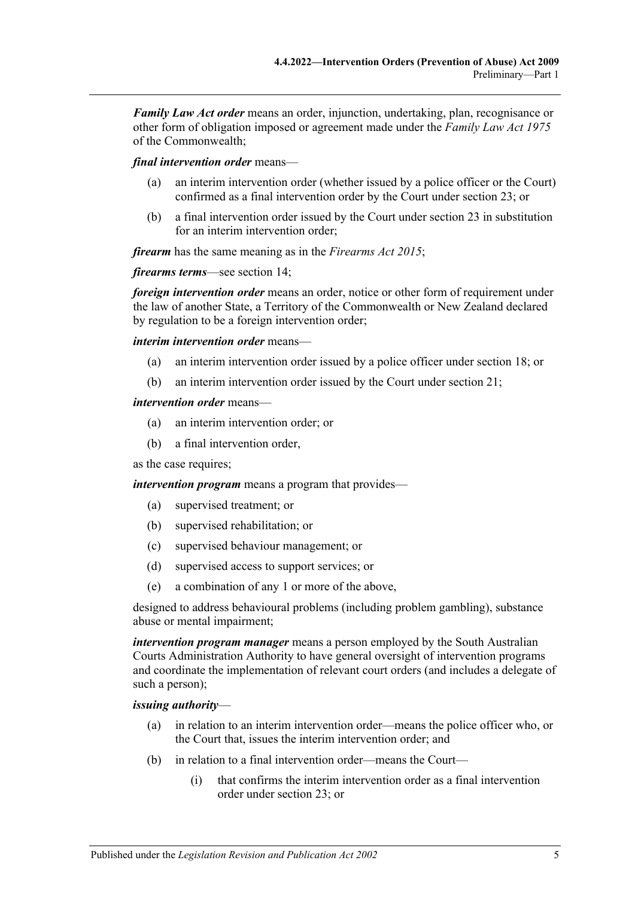*Family Law Act order* means an order, injunction, undertaking, plan, recognisance or other form of obligation imposed or agreement made under the *Family Law Act 1975* of the Commonwealth;

*final intervention order* means—

- (a) an interim intervention order (whether issued by a police officer or the Court) confirmed as a final intervention order by the Court under [section](#page-19-1) 23; or
- (b) a final intervention order issued by the Court under [section](#page-19-1) 23 in substitution for an interim intervention order;

*firearm* has the same meaning as in the *[Firearms Act](http://www.legislation.sa.gov.au/index.aspx?action=legref&type=act&legtitle=Firearms%20Act%202015) 2015*;

*firearms terms*—see [section](#page-13-0) 14;

*foreign intervention order* means an order, notice or other form of requirement under the law of another State, a Territory of the Commonwealth or New Zealand declared by regulation to be a foreign intervention order;

*interim intervention order* means—

- (a) an interim intervention order issued by a police officer under [section](#page-14-4) 18; or
- (b) an interim intervention order issued by the Court under [section](#page-17-0) 21;

#### *intervention order* means—

- (a) an interim intervention order; or
- (b) a final intervention order,

as the case requires;

*intervention program* means a program that provides—

- (a) supervised treatment; or
- (b) supervised rehabilitation; or
- (c) supervised behaviour management; or
- (d) supervised access to support services; or
- (e) a combination of any 1 or more of the above,

designed to address behavioural problems (including problem gambling), substance abuse or mental impairment;

*intervention program manager* means a person employed by the South Australian Courts Administration Authority to have general oversight of intervention programs and coordinate the implementation of relevant court orders (and includes a delegate of such a person);

#### *issuing authority*—

- (a) in relation to an interim intervention order—means the police officer who, or the Court that, issues the interim intervention order; and
- (b) in relation to a final intervention order—means the Court—
	- (i) that confirms the interim intervention order as a final intervention order under [section](#page-19-1) 23; or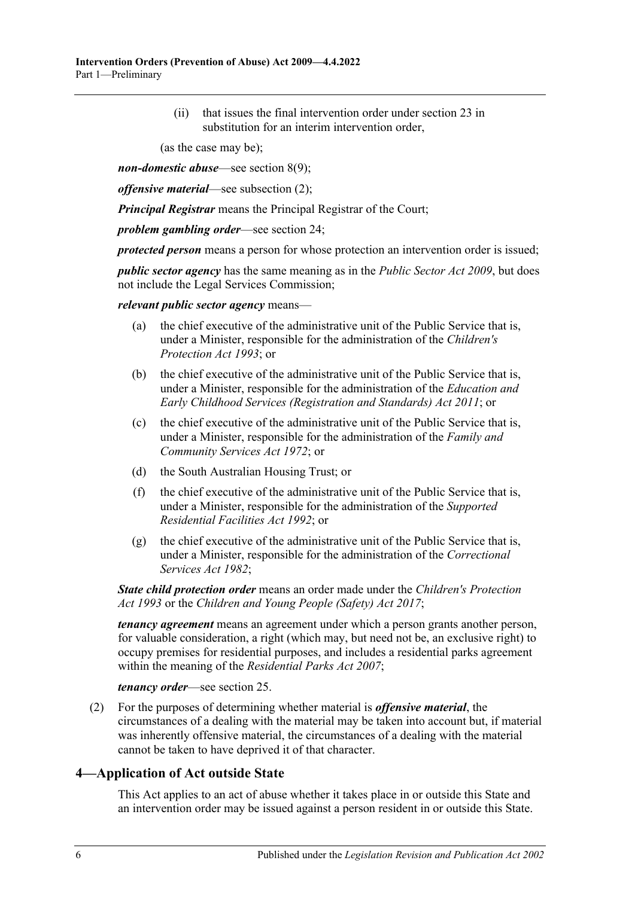(ii) that issues the final intervention order under [section](#page-19-1) 23 in substitution for an interim intervention order,

(as the case may be);

*non-domestic abuse*—see [section](#page-9-1) 8(9);

*offensive material*—see [subsection](#page-5-1) (2);

*Principal Registrar* means the Principal Registrar of the Court;

*problem gambling order*—see [section](#page-21-0) 24;

*protected person* means a person for whose protection an intervention order is issued;

*public sector agency* has the same meaning as in the *[Public Sector Act](http://www.legislation.sa.gov.au/index.aspx?action=legref&type=act&legtitle=Public%20Sector%20Act%202009) 2009*, but does not include the Legal Services Commission;

*relevant public sector agency* means—

- (a) the chief executive of the administrative unit of the Public Service that is, under a Minister, responsible for the administration of the *[Children's](http://www.legislation.sa.gov.au/index.aspx?action=legref&type=act&legtitle=Childrens%20Protection%20Act%201993)  [Protection Act](http://www.legislation.sa.gov.au/index.aspx?action=legref&type=act&legtitle=Childrens%20Protection%20Act%201993) 1993*; or
- (b) the chief executive of the administrative unit of the Public Service that is, under a Minister, responsible for the administration of the *[Education and](http://www.legislation.sa.gov.au/index.aspx?action=legref&type=act&legtitle=Education%20and%20Early%20Childhood%20Services%20(Registration%20and%20Standards)%20Act%202011)  [Early Childhood Services \(Registration and Standards\) Act](http://www.legislation.sa.gov.au/index.aspx?action=legref&type=act&legtitle=Education%20and%20Early%20Childhood%20Services%20(Registration%20and%20Standards)%20Act%202011) 2011*; or
- (c) the chief executive of the administrative unit of the Public Service that is, under a Minister, responsible for the administration of the *[Family and](http://www.legislation.sa.gov.au/index.aspx?action=legref&type=act&legtitle=Family%20and%20Community%20Services%20Act%201972)  [Community Services Act](http://www.legislation.sa.gov.au/index.aspx?action=legref&type=act&legtitle=Family%20and%20Community%20Services%20Act%201972) 1972*; or
- (d) the South Australian Housing Trust; or
- (f) the chief executive of the administrative unit of the Public Service that is, under a Minister, responsible for the administration of the *[Supported](http://www.legislation.sa.gov.au/index.aspx?action=legref&type=act&legtitle=Supported%20Residential%20Facilities%20Act%201992)  [Residential Facilities Act](http://www.legislation.sa.gov.au/index.aspx?action=legref&type=act&legtitle=Supported%20Residential%20Facilities%20Act%201992) 1992*; or
- (g) the chief executive of the administrative unit of the Public Service that is, under a Minister, responsible for the administration of the *[Correctional](http://www.legislation.sa.gov.au/index.aspx?action=legref&type=act&legtitle=Correctional%20Services%20Act%201982)  [Services Act](http://www.legislation.sa.gov.au/index.aspx?action=legref&type=act&legtitle=Correctional%20Services%20Act%201982) 1982*;

*State child protection order* means an order made under the *[Children's Protection](http://www.legislation.sa.gov.au/index.aspx?action=legref&type=act&legtitle=Childrens%20Protection%20Act%201993)  Act [1993](http://www.legislation.sa.gov.au/index.aspx?action=legref&type=act&legtitle=Childrens%20Protection%20Act%201993)* or the *[Children and Young People \(Safety\) Act](http://www.legislation.sa.gov.au/index.aspx?action=legref&type=act&legtitle=Children%20and%20Young%20People%20(Safety)%20Act%202017) 2017*;

*tenancy agreement* means an agreement under which a person grants another person, for valuable consideration, a right (which may, but need not be, an exclusive right) to occupy premises for residential purposes, and includes a residential parks agreement within the meaning of the *[Residential Parks Act](http://www.legislation.sa.gov.au/index.aspx?action=legref&type=act&legtitle=Residential%20Parks%20Act%202007) 2007*;

*tenancy order*—see [section](#page-22-0) 25.

<span id="page-5-1"></span>(2) For the purposes of determining whether material is *offensive material*, the circumstances of a dealing with the material may be taken into account but, if material was inherently offensive material, the circumstances of a dealing with the material cannot be taken to have deprived it of that character.

### <span id="page-5-0"></span>**4—Application of Act outside State**

This Act applies to an act of abuse whether it takes place in or outside this State and an intervention order may be issued against a person resident in or outside this State.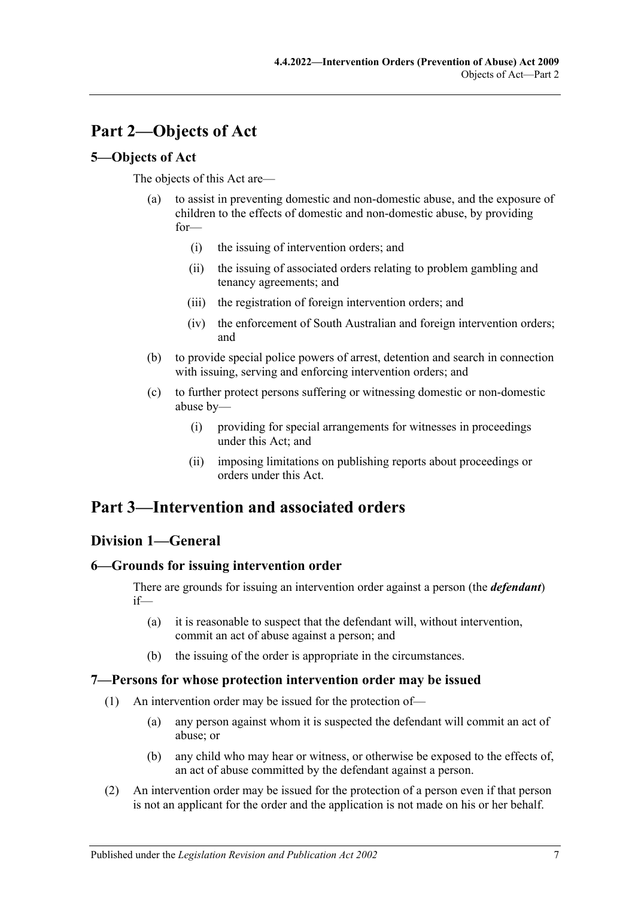# <span id="page-6-0"></span>**Part 2—Objects of Act**

## <span id="page-6-1"></span>**5—Objects of Act**

The objects of this Act are—

- (a) to assist in preventing domestic and non-domestic abuse, and the exposure of children to the effects of domestic and non-domestic abuse, by providing for—
	- (i) the issuing of intervention orders; and
	- (ii) the issuing of associated orders relating to problem gambling and tenancy agreements; and
	- (iii) the registration of foreign intervention orders; and
	- (iv) the enforcement of South Australian and foreign intervention orders; and
- (b) to provide special police powers of arrest, detention and search in connection with issuing, serving and enforcing intervention orders; and
- (c) to further protect persons suffering or witnessing domestic or non-domestic abuse by—
	- (i) providing for special arrangements for witnesses in proceedings under this Act; and
	- (ii) imposing limitations on publishing reports about proceedings or orders under this Act.

# <span id="page-6-2"></span>**Part 3—Intervention and associated orders**

# <span id="page-6-3"></span>**Division 1—General**

### <span id="page-6-4"></span>**6—Grounds for issuing intervention order**

There are grounds for issuing an intervention order against a person (the *defendant*) if—

- (a) it is reasonable to suspect that the defendant will, without intervention, commit an act of abuse against a person; and
- (b) the issuing of the order is appropriate in the circumstances.

### <span id="page-6-5"></span>**7—Persons for whose protection intervention order may be issued**

- (1) An intervention order may be issued for the protection of—
	- (a) any person against whom it is suspected the defendant will commit an act of abuse; or
	- (b) any child who may hear or witness, or otherwise be exposed to the effects of, an act of abuse committed by the defendant against a person.
- (2) An intervention order may be issued for the protection of a person even if that person is not an applicant for the order and the application is not made on his or her behalf.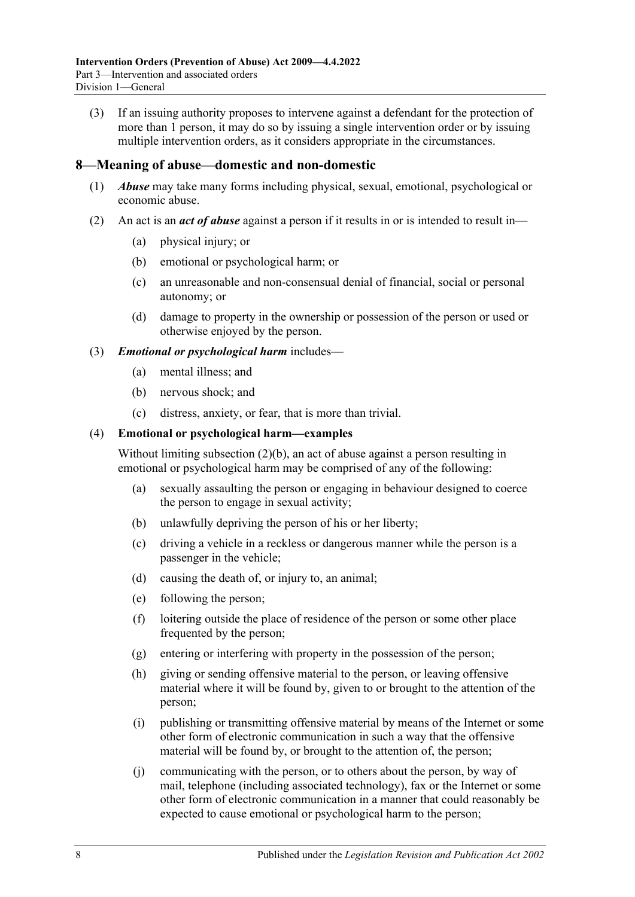(3) If an issuing authority proposes to intervene against a defendant for the protection of more than 1 person, it may do so by issuing a single intervention order or by issuing multiple intervention orders, as it considers appropriate in the circumstances.

#### <span id="page-7-0"></span>**8—Meaning of abuse—domestic and non-domestic**

- (1) *Abuse* may take many forms including physical, sexual, emotional, psychological or economic abuse.
- <span id="page-7-2"></span><span id="page-7-1"></span>(2) An act is an *act of abuse* against a person if it results in or is intended to result in—
	- (a) physical injury; or
	- (b) emotional or psychological harm; or
	- (c) an unreasonable and non-consensual denial of financial, social or personal autonomy; or
	- (d) damage to property in the ownership or possession of the person or used or otherwise enjoyed by the person.

#### (3) *Emotional or psychological harm* includes—

- (a) mental illness; and
- (b) nervous shock; and
- (c) distress, anxiety, or fear, that is more than trivial.

#### (4) **Emotional or psychological harm—examples**

Without limiting [subsection](#page-7-1) (2)(b), an act of abuse against a person resulting in emotional or psychological harm may be comprised of any of the following:

- (a) sexually assaulting the person or engaging in behaviour designed to coerce the person to engage in sexual activity;
- (b) unlawfully depriving the person of his or her liberty;
- (c) driving a vehicle in a reckless or dangerous manner while the person is a passenger in the vehicle;
- (d) causing the death of, or injury to, an animal;
- (e) following the person;
- (f) loitering outside the place of residence of the person or some other place frequented by the person;
- (g) entering or interfering with property in the possession of the person;
- (h) giving or sending offensive material to the person, or leaving offensive material where it will be found by, given to or brought to the attention of the person;
- (i) publishing or transmitting offensive material by means of the Internet or some other form of electronic communication in such a way that the offensive material will be found by, or brought to the attention of, the person;
- (j) communicating with the person, or to others about the person, by way of mail, telephone (including associated technology), fax or the Internet or some other form of electronic communication in a manner that could reasonably be expected to cause emotional or psychological harm to the person;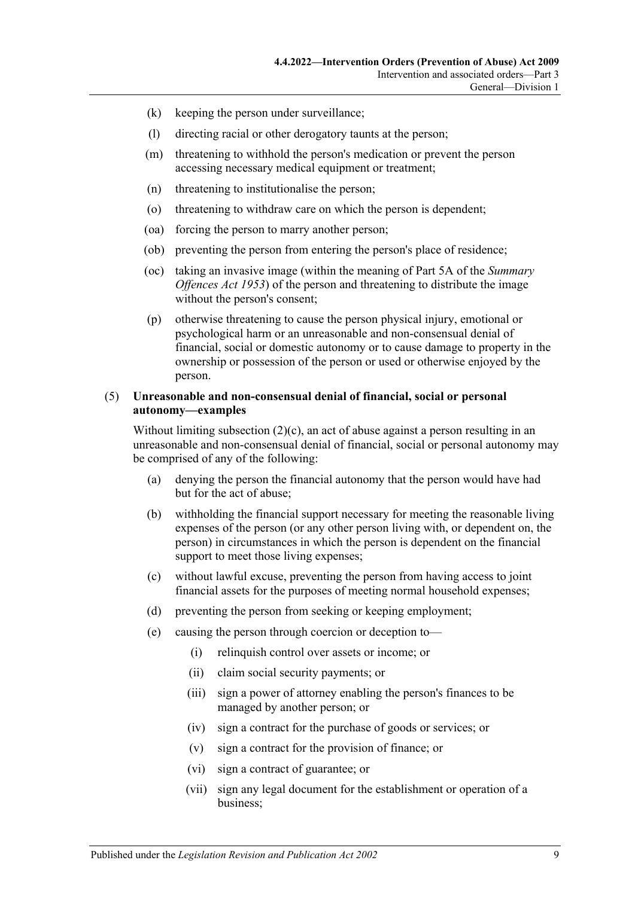- (k) keeping the person under surveillance;
- (l) directing racial or other derogatory taunts at the person;
- (m) threatening to withhold the person's medication or prevent the person accessing necessary medical equipment or treatment;
- (n) threatening to institutionalise the person;
- (o) threatening to withdraw care on which the person is dependent;
- (oa) forcing the person to marry another person;
- (ob) preventing the person from entering the person's place of residence;
- (oc) taking an invasive image (within the meaning of Part 5A of the *[Summary](http://www.legislation.sa.gov.au/index.aspx?action=legref&type=act&legtitle=Summary%20Offences%20Act%201953)  [Offences Act](http://www.legislation.sa.gov.au/index.aspx?action=legref&type=act&legtitle=Summary%20Offences%20Act%201953) 1953*) of the person and threatening to distribute the image without the person's consent;
- (p) otherwise threatening to cause the person physical injury, emotional or psychological harm or an unreasonable and non-consensual denial of financial, social or domestic autonomy or to cause damage to property in the ownership or possession of the person or used or otherwise enjoyed by the person.

#### (5) **Unreasonable and non-consensual denial of financial, social or personal autonomy—examples**

Without limiting [subsection](#page-7-2) (2)(c), an act of abuse against a person resulting in an unreasonable and non-consensual denial of financial, social or personal autonomy may be comprised of any of the following:

- (a) denying the person the financial autonomy that the person would have had but for the act of abuse;
- (b) withholding the financial support necessary for meeting the reasonable living expenses of the person (or any other person living with, or dependent on, the person) in circumstances in which the person is dependent on the financial support to meet those living expenses;
- (c) without lawful excuse, preventing the person from having access to joint financial assets for the purposes of meeting normal household expenses;
- (d) preventing the person from seeking or keeping employment;
- (e) causing the person through coercion or deception to—
	- (i) relinquish control over assets or income; or
	- (ii) claim social security payments; or
	- (iii) sign a power of attorney enabling the person's finances to be managed by another person; or
	- (iv) sign a contract for the purchase of goods or services; or
	- (v) sign a contract for the provision of finance; or
	- (vi) sign a contract of guarantee; or
	- (vii) sign any legal document for the establishment or operation of a business;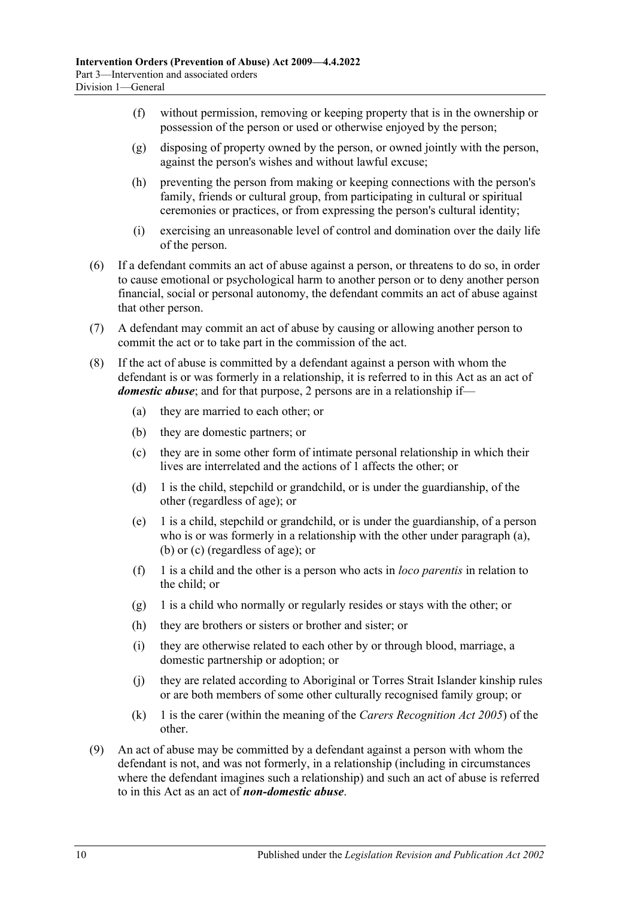- (f) without permission, removing or keeping property that is in the ownership or possession of the person or used or otherwise enjoyed by the person;
- (g) disposing of property owned by the person, or owned jointly with the person, against the person's wishes and without lawful excuse;
- (h) preventing the person from making or keeping connections with the person's family, friends or cultural group, from participating in cultural or spiritual ceremonies or practices, or from expressing the person's cultural identity;
- (i) exercising an unreasonable level of control and domination over the daily life of the person.
- (6) If a defendant commits an act of abuse against a person, or threatens to do so, in order to cause emotional or psychological harm to another person or to deny another person financial, social or personal autonomy, the defendant commits an act of abuse against that other person.
- (7) A defendant may commit an act of abuse by causing or allowing another person to commit the act or to take part in the commission of the act.
- <span id="page-9-4"></span><span id="page-9-3"></span><span id="page-9-2"></span><span id="page-9-0"></span>(8) If the act of abuse is committed by a defendant against a person with whom the defendant is or was formerly in a relationship, it is referred to in this Act as an act of *domestic abuse*; and for that purpose, 2 persons are in a relationship if—
	- (a) they are married to each other; or
	- (b) they are domestic partners; or
	- (c) they are in some other form of intimate personal relationship in which their lives are interrelated and the actions of 1 affects the other; or
	- (d) 1 is the child, stepchild or grandchild, or is under the guardianship, of the other (regardless of age); or
	- (e) 1 is a child, stepchild or grandchild, or is under the guardianship, of a person who is or was formerly in a relationship with the other under [paragraph](#page-9-2) (a), [\(b\)](#page-9-3) or [\(c\)](#page-9-4) (regardless of age); or
	- (f) 1 is a child and the other is a person who acts in *loco parentis* in relation to the child; or
	- (g) 1 is a child who normally or regularly resides or stays with the other; or
	- (h) they are brothers or sisters or brother and sister; or
	- (i) they are otherwise related to each other by or through blood, marriage, a domestic partnership or adoption; or
	- (j) they are related according to Aboriginal or Torres Strait Islander kinship rules or are both members of some other culturally recognised family group; or
	- (k) 1 is the carer (within the meaning of the *[Carers Recognition Act](http://www.legislation.sa.gov.au/index.aspx?action=legref&type=act&legtitle=Carers%20Recognition%20Act%202005) 2005*) of the other.
- <span id="page-9-1"></span>(9) An act of abuse may be committed by a defendant against a person with whom the defendant is not, and was not formerly, in a relationship (including in circumstances where the defendant imagines such a relationship) and such an act of abuse is referred to in this Act as an act of *non-domestic abuse*.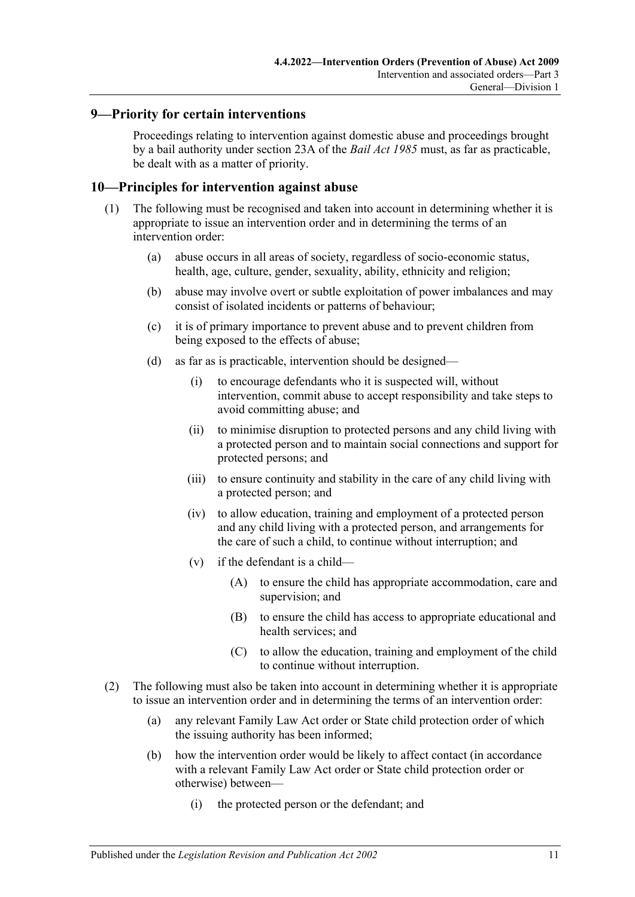### <span id="page-10-0"></span>**9—Priority for certain interventions**

Proceedings relating to intervention against domestic abuse and proceedings brought by a bail authority under section 23A of the *[Bail Act](http://www.legislation.sa.gov.au/index.aspx?action=legref&type=act&legtitle=Bail%20Act%201985) 1985* must, as far as practicable, be dealt with as a matter of priority.

#### <span id="page-10-1"></span>**10—Principles for intervention against abuse**

- (1) The following must be recognised and taken into account in determining whether it is appropriate to issue an intervention order and in determining the terms of an intervention order:
	- (a) abuse occurs in all areas of society, regardless of socio-economic status, health, age, culture, gender, sexuality, ability, ethnicity and religion;
	- (b) abuse may involve overt or subtle exploitation of power imbalances and may consist of isolated incidents or patterns of behaviour;
	- (c) it is of primary importance to prevent abuse and to prevent children from being exposed to the effects of abuse;
	- (d) as far as is practicable, intervention should be designed—
		- (i) to encourage defendants who it is suspected will, without intervention, commit abuse to accept responsibility and take steps to avoid committing abuse; and
		- (ii) to minimise disruption to protected persons and any child living with a protected person and to maintain social connections and support for protected persons; and
		- (iii) to ensure continuity and stability in the care of any child living with a protected person; and
		- (iv) to allow education, training and employment of a protected person and any child living with a protected person, and arrangements for the care of such a child, to continue without interruption; and
		- (v) if the defendant is a child—
			- (A) to ensure the child has appropriate accommodation, care and supervision; and
			- (B) to ensure the child has access to appropriate educational and health services; and
			- (C) to allow the education, training and employment of the child to continue without interruption.
- (2) The following must also be taken into account in determining whether it is appropriate to issue an intervention order and in determining the terms of an intervention order:
	- (a) any relevant Family Law Act order or State child protection order of which the issuing authority has been informed;
	- (b) how the intervention order would be likely to affect contact (in accordance with a relevant Family Law Act order or State child protection order or otherwise) between—
		- (i) the protected person or the defendant; and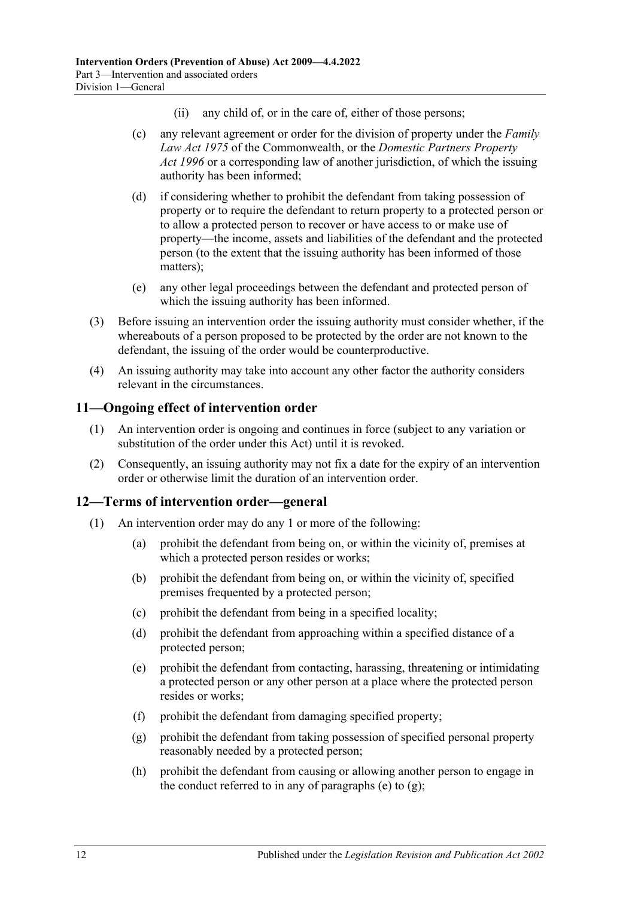- (ii) any child of, or in the care of, either of those persons;
- (c) any relevant agreement or order for the division of property under the *Family Law Act 1975* of the Commonwealth, or the *[Domestic Partners Property](http://www.legislation.sa.gov.au/index.aspx?action=legref&type=act&legtitle=Domestic%20Partners%20Property%20Act%201996)  Act [1996](http://www.legislation.sa.gov.au/index.aspx?action=legref&type=act&legtitle=Domestic%20Partners%20Property%20Act%201996)* or a corresponding law of another jurisdiction, of which the issuing authority has been informed;
- (d) if considering whether to prohibit the defendant from taking possession of property or to require the defendant to return property to a protected person or to allow a protected person to recover or have access to or make use of property—the income, assets and liabilities of the defendant and the protected person (to the extent that the issuing authority has been informed of those matters);
- (e) any other legal proceedings between the defendant and protected person of which the issuing authority has been informed.
- (3) Before issuing an intervention order the issuing authority must consider whether, if the whereabouts of a person proposed to be protected by the order are not known to the defendant, the issuing of the order would be counterproductive.
- (4) An issuing authority may take into account any other factor the authority considers relevant in the circumstances.

### <span id="page-11-0"></span>**11—Ongoing effect of intervention order**

- (1) An intervention order is ongoing and continues in force (subject to any variation or substitution of the order under this Act) until it is revoked.
- (2) Consequently, an issuing authority may not fix a date for the expiry of an intervention order or otherwise limit the duration of an intervention order.

### <span id="page-11-1"></span>**12—Terms of intervention order—general**

- <span id="page-11-3"></span><span id="page-11-2"></span>(1) An intervention order may do any 1 or more of the following:
	- (a) prohibit the defendant from being on, or within the vicinity of, premises at which a protected person resides or works;
	- (b) prohibit the defendant from being on, or within the vicinity of, specified premises frequented by a protected person;
	- (c) prohibit the defendant from being in a specified locality;
	- (d) prohibit the defendant from approaching within a specified distance of a protected person;
	- (e) prohibit the defendant from contacting, harassing, threatening or intimidating a protected person or any other person at a place where the protected person resides or works;
	- (f) prohibit the defendant from damaging specified property;
	- (g) prohibit the defendant from taking possession of specified personal property reasonably needed by a protected person;
	- (h) prohibit the defendant from causing or allowing another person to engage in the conduct referred to in any of [paragraphs](#page-11-2) (e) to  $(g)$ ;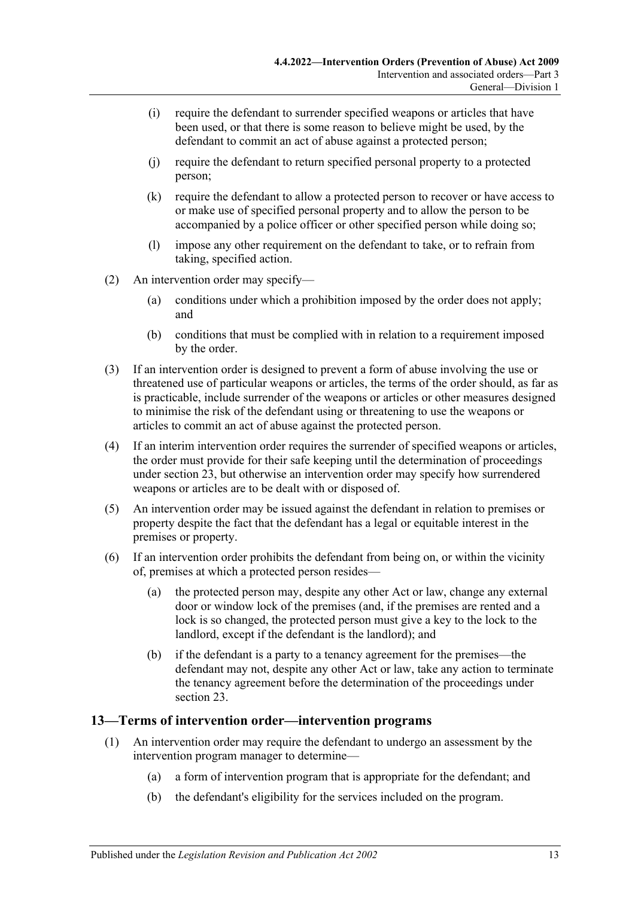- (i) require the defendant to surrender specified weapons or articles that have been used, or that there is some reason to believe might be used, by the defendant to commit an act of abuse against a protected person;
- (j) require the defendant to return specified personal property to a protected person;
- (k) require the defendant to allow a protected person to recover or have access to or make use of specified personal property and to allow the person to be accompanied by a police officer or other specified person while doing so;
- (l) impose any other requirement on the defendant to take, or to refrain from taking, specified action.
- (2) An intervention order may specify—
	- (a) conditions under which a prohibition imposed by the order does not apply; and
	- (b) conditions that must be complied with in relation to a requirement imposed by the order.
- (3) If an intervention order is designed to prevent a form of abuse involving the use or threatened use of particular weapons or articles, the terms of the order should, as far as is practicable, include surrender of the weapons or articles or other measures designed to minimise the risk of the defendant using or threatening to use the weapons or articles to commit an act of abuse against the protected person.
- (4) If an interim intervention order requires the surrender of specified weapons or articles, the order must provide for their safe keeping until the determination of proceedings under [section](#page-19-1) 23, but otherwise an intervention order may specify how surrendered weapons or articles are to be dealt with or disposed of.
- (5) An intervention order may be issued against the defendant in relation to premises or property despite the fact that the defendant has a legal or equitable interest in the premises or property.
- (6) If an intervention order prohibits the defendant from being on, or within the vicinity of, premises at which a protected person resides—
	- (a) the protected person may, despite any other Act or law, change any external door or window lock of the premises (and, if the premises are rented and a lock is so changed, the protected person must give a key to the lock to the landlord, except if the defendant is the landlord); and
	- (b) if the defendant is a party to a tenancy agreement for the premises—the defendant may not, despite any other Act or law, take any action to terminate the tenancy agreement before the determination of the proceedings under [section](#page-19-1) 23.

## <span id="page-12-0"></span>**13—Terms of intervention order—intervention programs**

- (1) An intervention order may require the defendant to undergo an assessment by the intervention program manager to determine—
	- (a) a form of intervention program that is appropriate for the defendant; and
	- (b) the defendant's eligibility for the services included on the program.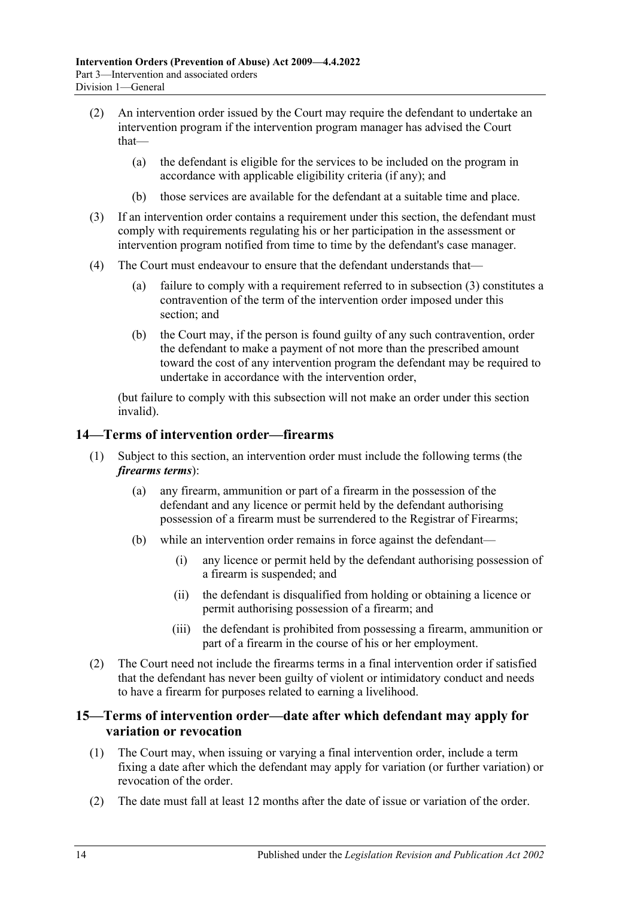- (2) An intervention order issued by the Court may require the defendant to undertake an intervention program if the intervention program manager has advised the Court that—
	- (a) the defendant is eligible for the services to be included on the program in accordance with applicable eligibility criteria (if any); and
	- (b) those services are available for the defendant at a suitable time and place.
- <span id="page-13-2"></span>(3) If an intervention order contains a requirement under this section, the defendant must comply with requirements regulating his or her participation in the assessment or intervention program notified from time to time by the defendant's case manager.
- (4) The Court must endeavour to ensure that the defendant understands that—
	- (a) failure to comply with a requirement referred to in [subsection](#page-13-2) (3) constitutes a contravention of the term of the intervention order imposed under this section; and
	- (b) the Court may, if the person is found guilty of any such contravention, order the defendant to make a payment of not more than the prescribed amount toward the cost of any intervention program the defendant may be required to undertake in accordance with the intervention order,

(but failure to comply with this subsection will not make an order under this section invalid).

## <span id="page-13-0"></span>**14—Terms of intervention order—firearms**

- (1) Subject to this section, an intervention order must include the following terms (the *firearms terms*):
	- (a) any firearm, ammunition or part of a firearm in the possession of the defendant and any licence or permit held by the defendant authorising possession of a firearm must be surrendered to the Registrar of Firearms;
	- (b) while an intervention order remains in force against the defendant—
		- (i) any licence or permit held by the defendant authorising possession of a firearm is suspended; and
		- (ii) the defendant is disqualified from holding or obtaining a licence or permit authorising possession of a firearm; and
		- (iii) the defendant is prohibited from possessing a firearm, ammunition or part of a firearm in the course of his or her employment.
- (2) The Court need not include the firearms terms in a final intervention order if satisfied that the defendant has never been guilty of violent or intimidatory conduct and needs to have a firearm for purposes related to earning a livelihood.

## <span id="page-13-1"></span>**15—Terms of intervention order—date after which defendant may apply for variation or revocation**

- <span id="page-13-3"></span>(1) The Court may, when issuing or varying a final intervention order, include a term fixing a date after which the defendant may apply for variation (or further variation) or revocation of the order.
- (2) The date must fall at least 12 months after the date of issue or variation of the order.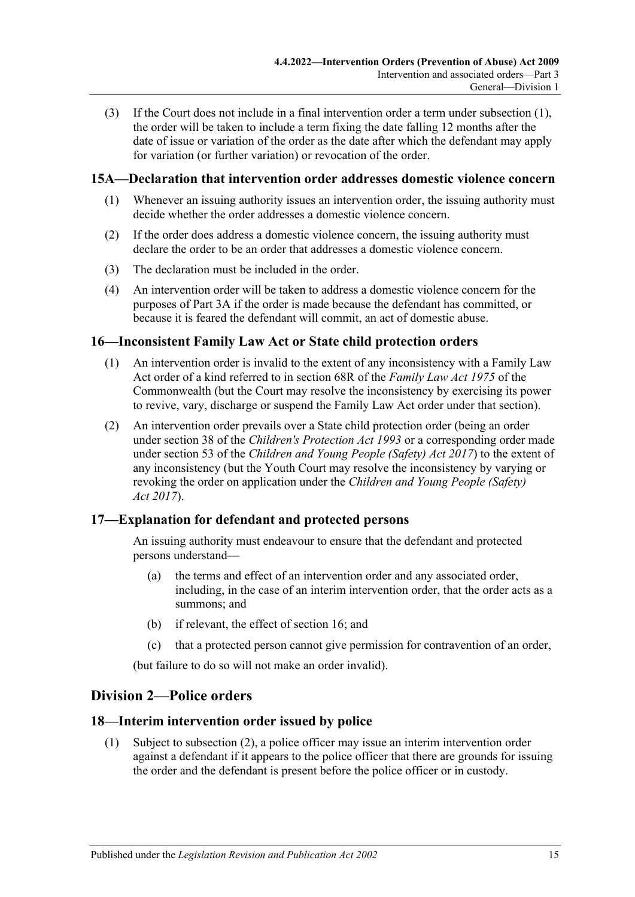(3) If the Court does not include in a final intervention order a term under [subsection](#page-13-3) (1), the order will be taken to include a term fixing the date falling 12 months after the date of issue or variation of the order as the date after which the defendant may apply for variation (or further variation) or revocation of the order.

## <span id="page-14-0"></span>**15A—Declaration that intervention order addresses domestic violence concern**

- (1) Whenever an issuing authority issues an intervention order, the issuing authority must decide whether the order addresses a domestic violence concern.
- (2) If the order does address a domestic violence concern, the issuing authority must declare the order to be an order that addresses a domestic violence concern.
- (3) The declaration must be included in the order.
- (4) An intervention order will be taken to address a domestic violence concern for the purposes of [Part 3A](#page-28-0) if the order is made because the defendant has committed, or because it is feared the defendant will commit, an act of domestic abuse.

## <span id="page-14-1"></span>**16—Inconsistent Family Law Act or State child protection orders**

- (1) An intervention order is invalid to the extent of any inconsistency with a Family Law Act order of a kind referred to in section 68R of the *Family Law Act 1975* of the Commonwealth (but the Court may resolve the inconsistency by exercising its power to revive, vary, discharge or suspend the Family Law Act order under that section).
- (2) An intervention order prevails over a State child protection order (being an order under section 38 of the *[Children's Protection Act](http://www.legislation.sa.gov.au/index.aspx?action=legref&type=act&legtitle=Childrens%20Protection%20Act%201993) 1993* or a corresponding order made under section 53 of the *[Children and Young People \(Safety\) Act](http://www.legislation.sa.gov.au/index.aspx?action=legref&type=act&legtitle=Children%20and%20Young%20People%20(Safety)%20Act%202017) 2017*) to the extent of any inconsistency (but the Youth Court may resolve the inconsistency by varying or revoking the order on application under the *[Children and Young](http://www.legislation.sa.gov.au/index.aspx?action=legref&type=act&legtitle=Children%20and%20Young%20People%20(Safety)%20Act%202017) People (Safety) Act [2017](http://www.legislation.sa.gov.au/index.aspx?action=legref&type=act&legtitle=Children%20and%20Young%20People%20(Safety)%20Act%202017)*).

## <span id="page-14-2"></span>**17—Explanation for defendant and protected persons**

An issuing authority must endeavour to ensure that the defendant and protected persons understand—

- (a) the terms and effect of an intervention order and any associated order, including, in the case of an interim intervention order, that the order acts as a summons; and
- (b) if relevant, the effect of [section](#page-14-1) 16; and
- (c) that a protected person cannot give permission for contravention of an order,

(but failure to do so will not make an order invalid).

## <span id="page-14-3"></span>**Division 2—Police orders**

## <span id="page-14-4"></span>**18—Interim intervention order issued by police**

(1) Subject to [subsection](#page-15-0) (2), a police officer may issue an interim intervention order against a defendant if it appears to the police officer that there are grounds for issuing the order and the defendant is present before the police officer or in custody.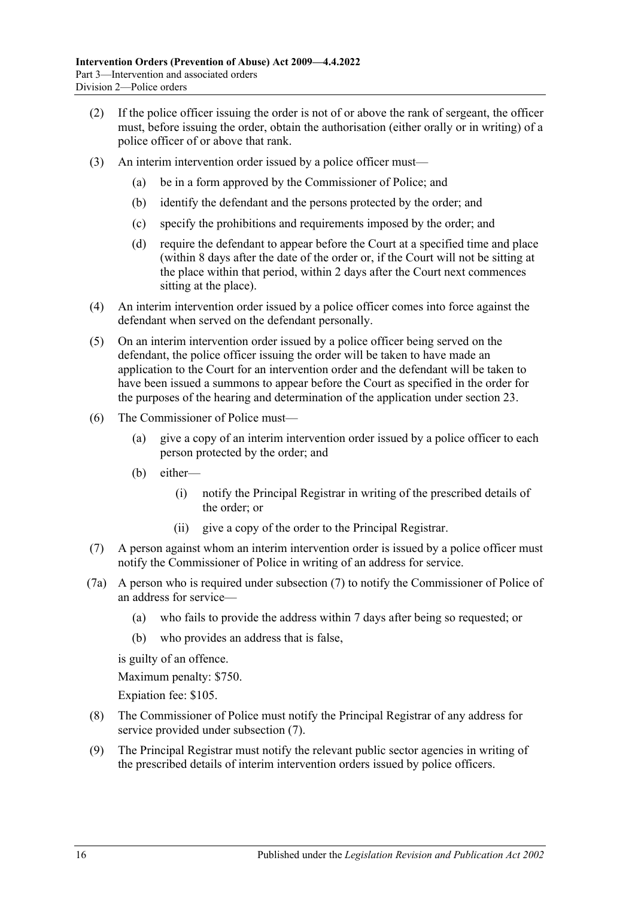- <span id="page-15-0"></span>(2) If the police officer issuing the order is not of or above the rank of sergeant, the officer must, before issuing the order, obtain the authorisation (either orally or in writing) of a police officer of or above that rank.
- (3) An interim intervention order issued by a police officer must—
	- (a) be in a form approved by the Commissioner of Police; and
	- (b) identify the defendant and the persons protected by the order; and
	- (c) specify the prohibitions and requirements imposed by the order; and
	- (d) require the defendant to appear before the Court at a specified time and place (within 8 days after the date of the order or, if the Court will not be sitting at the place within that period, within 2 days after the Court next commences sitting at the place).
- (4) An interim intervention order issued by a police officer comes into force against the defendant when served on the defendant personally.
- (5) On an interim intervention order issued by a police officer being served on the defendant, the police officer issuing the order will be taken to have made an application to the Court for an intervention order and the defendant will be taken to have been issued a summons to appear before the Court as specified in the order for the purposes of the hearing and determination of the application under [section](#page-19-1) 23.
- (6) The Commissioner of Police must—
	- (a) give a copy of an interim intervention order issued by a police officer to each person protected by the order; and
	- (b) either—
		- (i) notify the Principal Registrar in writing of the prescribed details of the order; or
		- (ii) give a copy of the order to the Principal Registrar.
- <span id="page-15-1"></span>(7) A person against whom an interim intervention order is issued by a police officer must notify the Commissioner of Police in writing of an address for service.
- (7a) A person who is required under [subsection](#page-15-1) (7) to notify the Commissioner of Police of an address for service—
	- (a) who fails to provide the address within 7 days after being so requested; or
	- (b) who provides an address that is false,

is guilty of an offence.

Maximum penalty: \$750.

Expiation fee: \$105.

- (8) The Commissioner of Police must notify the Principal Registrar of any address for service provided under [subsection](#page-15-1) (7).
- (9) The Principal Registrar must notify the relevant public sector agencies in writing of the prescribed details of interim intervention orders issued by police officers.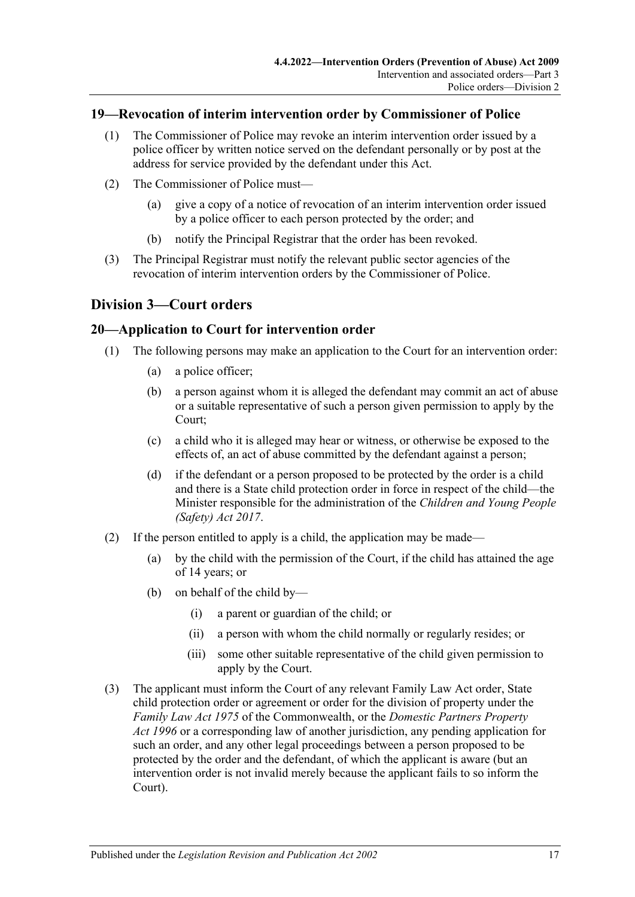### <span id="page-16-0"></span>**19—Revocation of interim intervention order by Commissioner of Police**

- (1) The Commissioner of Police may revoke an interim intervention order issued by a police officer by written notice served on the defendant personally or by post at the address for service provided by the defendant under this Act.
- (2) The Commissioner of Police must—
	- (a) give a copy of a notice of revocation of an interim intervention order issued by a police officer to each person protected by the order; and
	- (b) notify the Principal Registrar that the order has been revoked.
- (3) The Principal Registrar must notify the relevant public sector agencies of the revocation of interim intervention orders by the Commissioner of Police.

# <span id="page-16-1"></span>**Division 3—Court orders**

## <span id="page-16-2"></span>**20—Application to Court for intervention order**

- (1) The following persons may make an application to the Court for an intervention order:
	- (a) a police officer;
	- (b) a person against whom it is alleged the defendant may commit an act of abuse or a suitable representative of such a person given permission to apply by the Court;
	- (c) a child who it is alleged may hear or witness, or otherwise be exposed to the effects of, an act of abuse committed by the defendant against a person;
	- (d) if the defendant or a person proposed to be protected by the order is a child and there is a State child protection order in force in respect of the child—the Minister responsible for the administration of the *[Children and Young People](http://www.legislation.sa.gov.au/index.aspx?action=legref&type=act&legtitle=Children%20and%20Young%20People%20(Safety)%20Act%202017)  [\(Safety\) Act](http://www.legislation.sa.gov.au/index.aspx?action=legref&type=act&legtitle=Children%20and%20Young%20People%20(Safety)%20Act%202017) 2017*.
- (2) If the person entitled to apply is a child, the application may be made—
	- (a) by the child with the permission of the Court, if the child has attained the age of 14 years; or
	- (b) on behalf of the child by—
		- (i) a parent or guardian of the child; or
		- (ii) a person with whom the child normally or regularly resides; or
		- (iii) some other suitable representative of the child given permission to apply by the Court.
- (3) The applicant must inform the Court of any relevant Family Law Act order, State child protection order or agreement or order for the division of property under the *Family Law Act 1975* of the Commonwealth, or the *[Domestic Partners Property](http://www.legislation.sa.gov.au/index.aspx?action=legref&type=act&legtitle=Domestic%20Partners%20Property%20Act%201996)  Act [1996](http://www.legislation.sa.gov.au/index.aspx?action=legref&type=act&legtitle=Domestic%20Partners%20Property%20Act%201996)* or a corresponding law of another jurisdiction, any pending application for such an order, and any other legal proceedings between a person proposed to be protected by the order and the defendant, of which the applicant is aware (but an intervention order is not invalid merely because the applicant fails to so inform the Court).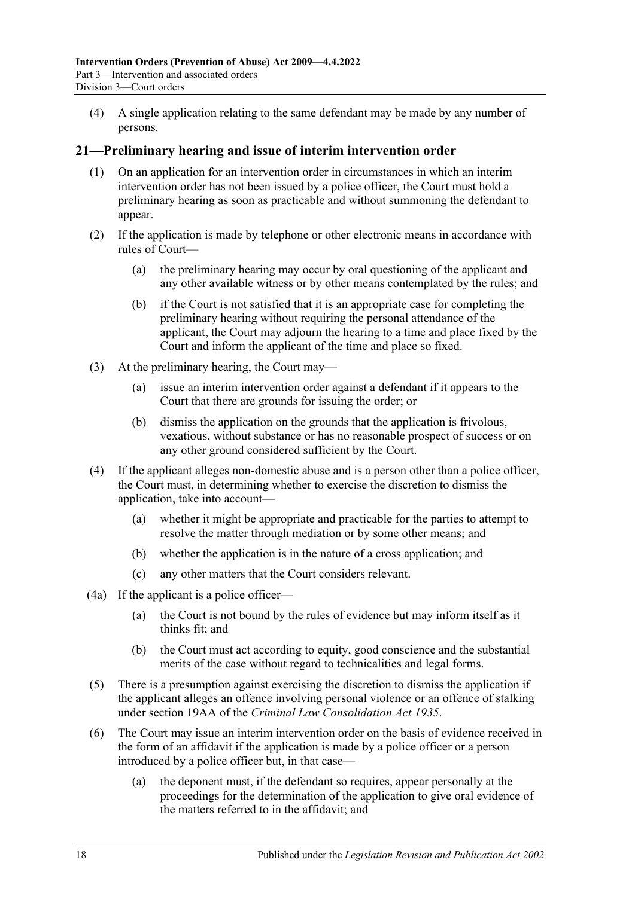(4) A single application relating to the same defendant may be made by any number of persons.

### <span id="page-17-0"></span>**21—Preliminary hearing and issue of interim intervention order**

- (1) On an application for an intervention order in circumstances in which an interim intervention order has not been issued by a police officer, the Court must hold a preliminary hearing as soon as practicable and without summoning the defendant to appear.
- (2) If the application is made by telephone or other electronic means in accordance with rules of Court—
	- (a) the preliminary hearing may occur by oral questioning of the applicant and any other available witness or by other means contemplated by the rules; and
	- (b) if the Court is not satisfied that it is an appropriate case for completing the preliminary hearing without requiring the personal attendance of the applicant, the Court may adjourn the hearing to a time and place fixed by the Court and inform the applicant of the time and place so fixed.
- (3) At the preliminary hearing, the Court may—
	- (a) issue an interim intervention order against a defendant if it appears to the Court that there are grounds for issuing the order; or
	- (b) dismiss the application on the grounds that the application is frivolous, vexatious, without substance or has no reasonable prospect of success or on any other ground considered sufficient by the Court.
- (4) If the applicant alleges non-domestic abuse and is a person other than a police officer, the Court must, in determining whether to exercise the discretion to dismiss the application, take into account—
	- (a) whether it might be appropriate and practicable for the parties to attempt to resolve the matter through mediation or by some other means; and
	- (b) whether the application is in the nature of a cross application; and
	- (c) any other matters that the Court considers relevant.
- (4a) If the applicant is a police officer—
	- (a) the Court is not bound by the rules of evidence but may inform itself as it thinks fit; and
	- (b) the Court must act according to equity, good conscience and the substantial merits of the case without regard to technicalities and legal forms.
- (5) There is a presumption against exercising the discretion to dismiss the application if the applicant alleges an offence involving personal violence or an offence of stalking under section 19AA of the *[Criminal Law Consolidation Act](http://www.legislation.sa.gov.au/index.aspx?action=legref&type=act&legtitle=Criminal%20Law%20Consolidation%20Act%201935) 1935*.
- (6) The Court may issue an interim intervention order on the basis of evidence received in the form of an affidavit if the application is made by a police officer or a person introduced by a police officer but, in that case—
	- (a) the deponent must, if the defendant so requires, appear personally at the proceedings for the determination of the application to give oral evidence of the matters referred to in the affidavit; and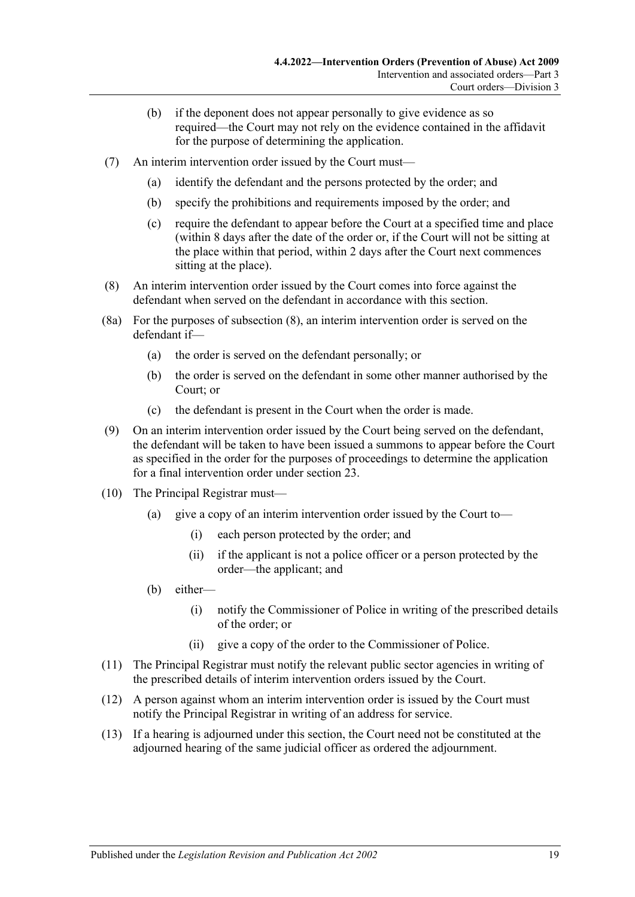- (b) if the deponent does not appear personally to give evidence as so required—the Court may not rely on the evidence contained in the affidavit for the purpose of determining the application.
- (7) An interim intervention order issued by the Court must—
	- (a) identify the defendant and the persons protected by the order; and
	- (b) specify the prohibitions and requirements imposed by the order; and
	- (c) require the defendant to appear before the Court at a specified time and place (within 8 days after the date of the order or, if the Court will not be sitting at the place within that period, within 2 days after the Court next commences sitting at the place).
- <span id="page-18-0"></span>(8) An interim intervention order issued by the Court comes into force against the defendant when served on the defendant in accordance with this section.
- (8a) For the purposes of [subsection](#page-18-0) (8), an interim intervention order is served on the defendant if—
	- (a) the order is served on the defendant personally; or
	- (b) the order is served on the defendant in some other manner authorised by the Court; or
	- (c) the defendant is present in the Court when the order is made.
- (9) On an interim intervention order issued by the Court being served on the defendant, the defendant will be taken to have been issued a summons to appear before the Court as specified in the order for the purposes of proceedings to determine the application for a final intervention order under [section](#page-19-1) 23.
- (10) The Principal Registrar must—
	- (a) give a copy of an interim intervention order issued by the Court to—
		- (i) each person protected by the order; and
		- (ii) if the applicant is not a police officer or a person protected by the order—the applicant; and
	- (b) either—
		- (i) notify the Commissioner of Police in writing of the prescribed details of the order; or
		- (ii) give a copy of the order to the Commissioner of Police.
- (11) The Principal Registrar must notify the relevant public sector agencies in writing of the prescribed details of interim intervention orders issued by the Court.
- (12) A person against whom an interim intervention order is issued by the Court must notify the Principal Registrar in writing of an address for service.
- (13) If a hearing is adjourned under this section, the Court need not be constituted at the adjourned hearing of the same judicial officer as ordered the adjournment.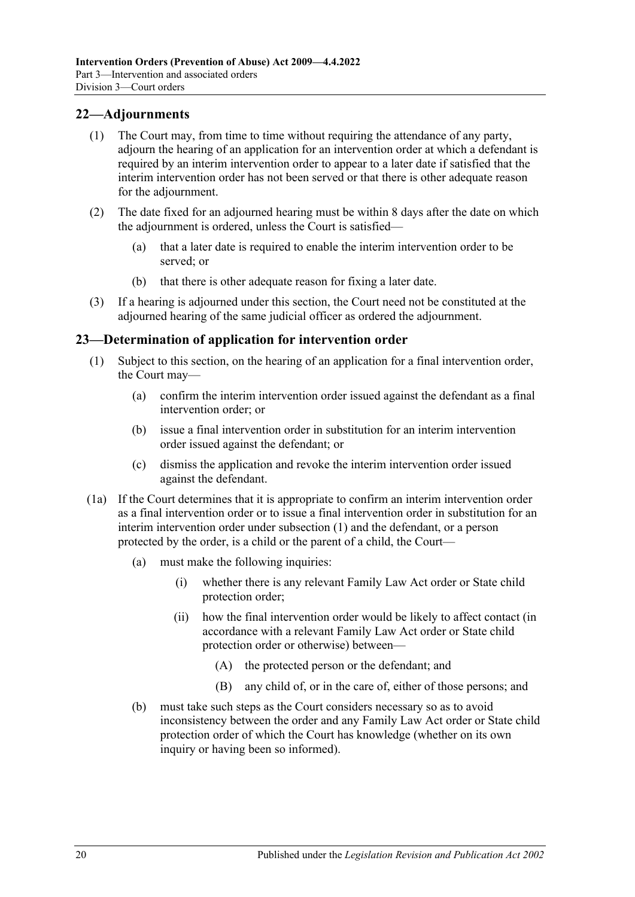## <span id="page-19-0"></span>**22—Adjournments**

- (1) The Court may, from time to time without requiring the attendance of any party, adjourn the hearing of an application for an intervention order at which a defendant is required by an interim intervention order to appear to a later date if satisfied that the interim intervention order has not been served or that there is other adequate reason for the adjournment.
- (2) The date fixed for an adjourned hearing must be within 8 days after the date on which the adjournment is ordered, unless the Court is satisfied—
	- (a) that a later date is required to enable the interim intervention order to be served; or
	- (b) that there is other adequate reason for fixing a later date.
- (3) If a hearing is adjourned under this section, the Court need not be constituted at the adjourned hearing of the same judicial officer as ordered the adjournment.

### <span id="page-19-2"></span><span id="page-19-1"></span>**23—Determination of application for intervention order**

- (1) Subject to this section, on the hearing of an application for a final intervention order, the Court may—
	- (a) confirm the interim intervention order issued against the defendant as a final intervention order; or
	- (b) issue a final intervention order in substitution for an interim intervention order issued against the defendant; or
	- (c) dismiss the application and revoke the interim intervention order issued against the defendant.
- (1a) If the Court determines that it is appropriate to confirm an interim intervention order as a final intervention order or to issue a final intervention order in substitution for an interim intervention order under [subsection](#page-19-2) (1) and the defendant, or a person protected by the order, is a child or the parent of a child, the Court—
	- (a) must make the following inquiries:
		- (i) whether there is any relevant Family Law Act order or State child protection order;
		- (ii) how the final intervention order would be likely to affect contact (in accordance with a relevant Family Law Act order or State child protection order or otherwise) between—
			- (A) the protected person or the defendant; and
			- (B) any child of, or in the care of, either of those persons; and
	- (b) must take such steps as the Court considers necessary so as to avoid inconsistency between the order and any Family Law Act order or State child protection order of which the Court has knowledge (whether on its own inquiry or having been so informed).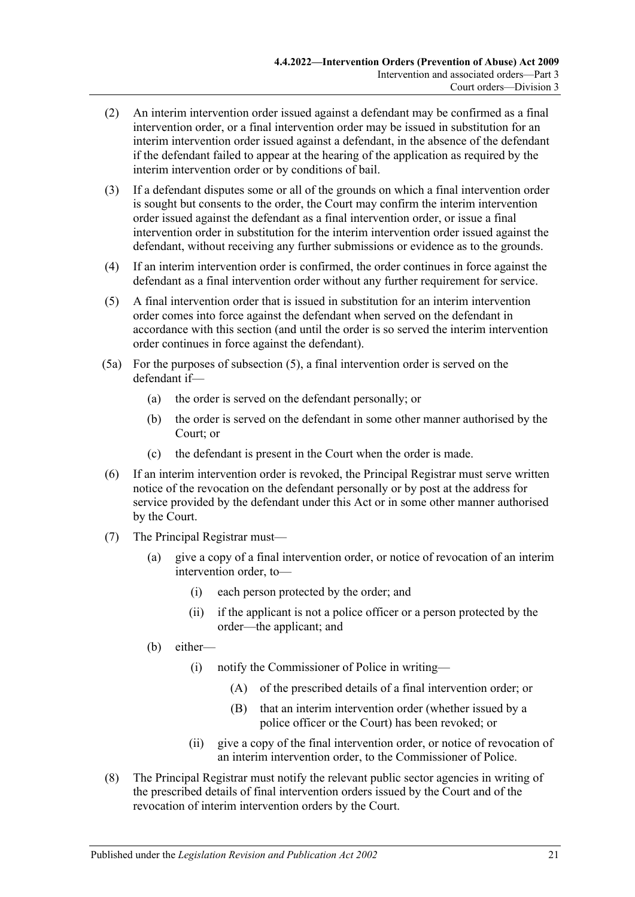- (2) An interim intervention order issued against a defendant may be confirmed as a final intervention order, or a final intervention order may be issued in substitution for an interim intervention order issued against a defendant, in the absence of the defendant if the defendant failed to appear at the hearing of the application as required by the interim intervention order or by conditions of bail.
- (3) If a defendant disputes some or all of the grounds on which a final intervention order is sought but consents to the order, the Court may confirm the interim intervention order issued against the defendant as a final intervention order, or issue a final intervention order in substitution for the interim intervention order issued against the defendant, without receiving any further submissions or evidence as to the grounds.
- (4) If an interim intervention order is confirmed, the order continues in force against the defendant as a final intervention order without any further requirement for service.
- <span id="page-20-0"></span>(5) A final intervention order that is issued in substitution for an interim intervention order comes into force against the defendant when served on the defendant in accordance with this section (and until the order is so served the interim intervention order continues in force against the defendant).
- (5a) For the purposes of [subsection](#page-20-0) (5), a final intervention order is served on the defendant if—
	- (a) the order is served on the defendant personally; or
	- (b) the order is served on the defendant in some other manner authorised by the Court; or
	- (c) the defendant is present in the Court when the order is made.
- (6) If an interim intervention order is revoked, the Principal Registrar must serve written notice of the revocation on the defendant personally or by post at the address for service provided by the defendant under this Act or in some other manner authorised by the Court.
- (7) The Principal Registrar must—
	- (a) give a copy of a final intervention order, or notice of revocation of an interim intervention order, to—
		- (i) each person protected by the order; and
		- (ii) if the applicant is not a police officer or a person protected by the order—the applicant; and
	- (b) either—
		- (i) notify the Commissioner of Police in writing—
			- (A) of the prescribed details of a final intervention order; or
			- (B) that an interim intervention order (whether issued by a police officer or the Court) has been revoked; or
		- (ii) give a copy of the final intervention order, or notice of revocation of an interim intervention order, to the Commissioner of Police.
- (8) The Principal Registrar must notify the relevant public sector agencies in writing of the prescribed details of final intervention orders issued by the Court and of the revocation of interim intervention orders by the Court.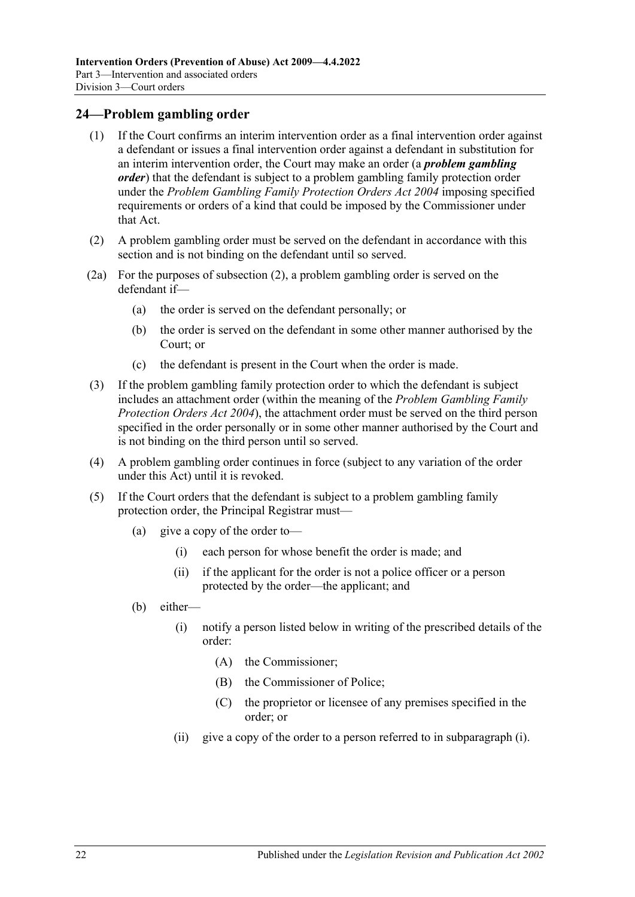## <span id="page-21-0"></span>**24—Problem gambling order**

- (1) If the Court confirms an interim intervention order as a final intervention order against a defendant or issues a final intervention order against a defendant in substitution for an interim intervention order, the Court may make an order (a *problem gambling order*) that the defendant is subject to a problem gambling family protection order under the *[Problem Gambling Family Protection Orders Act](http://www.legislation.sa.gov.au/index.aspx?action=legref&type=act&legtitle=Problem%20Gambling%20Family%20Protection%20Orders%20Act%202004) 2004* imposing specified requirements or orders of a kind that could be imposed by the Commissioner under that Act.
- <span id="page-21-1"></span>(2) A problem gambling order must be served on the defendant in accordance with this section and is not binding on the defendant until so served.
- (2a) For the purposes of [subsection](#page-21-1) (2), a problem gambling order is served on the defendant if—
	- (a) the order is served on the defendant personally; or
	- (b) the order is served on the defendant in some other manner authorised by the Court; or
	- (c) the defendant is present in the Court when the order is made.
- (3) If the problem gambling family protection order to which the defendant is subject includes an attachment order (within the meaning of the *[Problem Gambling Family](http://www.legislation.sa.gov.au/index.aspx?action=legref&type=act&legtitle=Problem%20Gambling%20Family%20Protection%20Orders%20Act%202004)  [Protection Orders Act](http://www.legislation.sa.gov.au/index.aspx?action=legref&type=act&legtitle=Problem%20Gambling%20Family%20Protection%20Orders%20Act%202004) 2004*), the attachment order must be served on the third person specified in the order personally or in some other manner authorised by the Court and is not binding on the third person until so served.
- (4) A problem gambling order continues in force (subject to any variation of the order under this Act) until it is revoked.
- <span id="page-21-2"></span>(5) If the Court orders that the defendant is subject to a problem gambling family protection order, the Principal Registrar must—
	- (a) give a copy of the order to—
		- (i) each person for whose benefit the order is made; and
		- (ii) if the applicant for the order is not a police officer or a person protected by the order—the applicant; and
	- (b) either—
		- (i) notify a person listed below in writing of the prescribed details of the order:
			- (A) the Commissioner;
			- (B) the Commissioner of Police;
			- (C) the proprietor or licensee of any premises specified in the order; or
		- (ii) give a copy of the order to a person referred to in [subparagraph](#page-21-2) (i).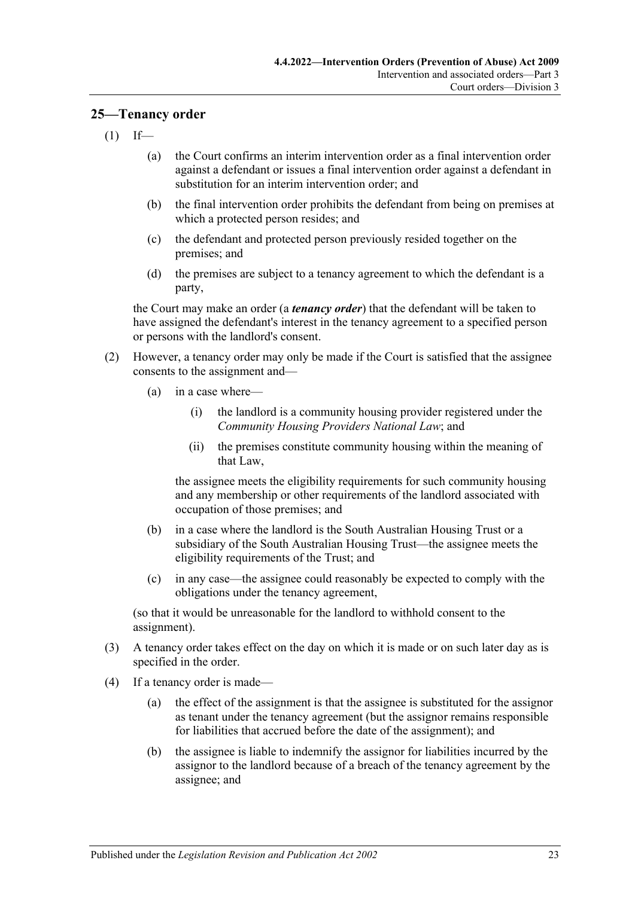#### <span id="page-22-0"></span>**25—Tenancy order**

- $(1)$  If—
	- (a) the Court confirms an interim intervention order as a final intervention order against a defendant or issues a final intervention order against a defendant in substitution for an interim intervention order; and
	- (b) the final intervention order prohibits the defendant from being on premises at which a protected person resides; and
	- (c) the defendant and protected person previously resided together on the premises; and
	- (d) the premises are subject to a tenancy agreement to which the defendant is a party,

the Court may make an order (a *tenancy order*) that the defendant will be taken to have assigned the defendant's interest in the tenancy agreement to a specified person or persons with the landlord's consent.

- (2) However, a tenancy order may only be made if the Court is satisfied that the assignee consents to the assignment and—
	- (a) in a case where—
		- (i) the landlord is a community housing provider registered under the *Community Housing Providers National Law*; and
		- (ii) the premises constitute community housing within the meaning of that Law,

the assignee meets the eligibility requirements for such community housing and any membership or other requirements of the landlord associated with occupation of those premises; and

- (b) in a case where the landlord is the South Australian Housing Trust or a subsidiary of the South Australian Housing Trust—the assignee meets the eligibility requirements of the Trust; and
- (c) in any case—the assignee could reasonably be expected to comply with the obligations under the tenancy agreement,

(so that it would be unreasonable for the landlord to withhold consent to the assignment).

- (3) A tenancy order takes effect on the day on which it is made or on such later day as is specified in the order.
- (4) If a tenancy order is made—
	- (a) the effect of the assignment is that the assignee is substituted for the assignor as tenant under the tenancy agreement (but the assignor remains responsible for liabilities that accrued before the date of the assignment); and
	- (b) the assignee is liable to indemnify the assignor for liabilities incurred by the assignor to the landlord because of a breach of the tenancy agreement by the assignee; and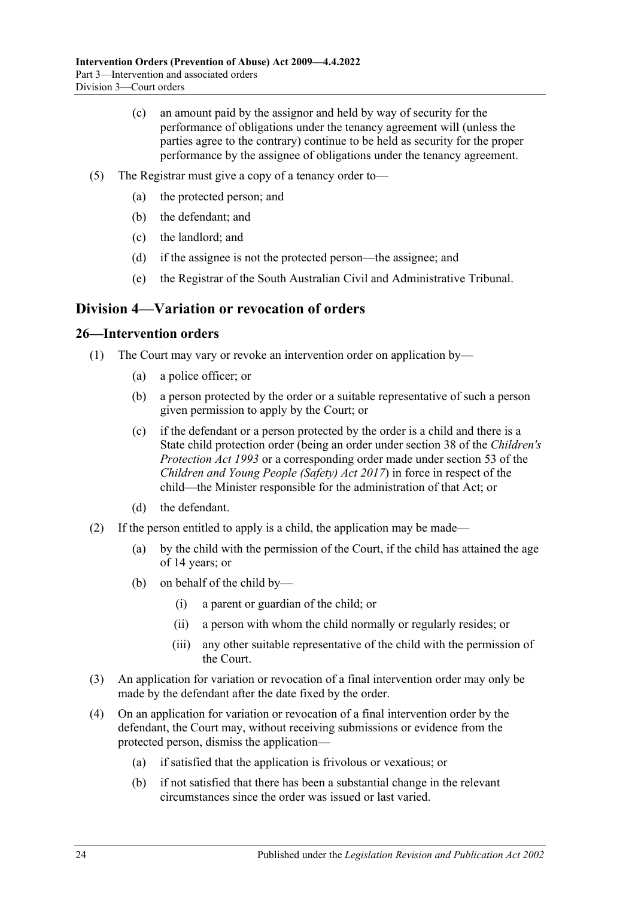- (c) an amount paid by the assignor and held by way of security for the performance of obligations under the tenancy agreement will (unless the parties agree to the contrary) continue to be held as security for the proper performance by the assignee of obligations under the tenancy agreement.
- (5) The Registrar must give a copy of a tenancy order to—
	- (a) the protected person; and
	- (b) the defendant; and
	- (c) the landlord; and
	- (d) if the assignee is not the protected person—the assignee; and
	- (e) the Registrar of the South Australian Civil and Administrative Tribunal.

# <span id="page-23-0"></span>**Division 4—Variation or revocation of orders**

#### <span id="page-23-1"></span>**26—Intervention orders**

- (1) The Court may vary or revoke an intervention order on application by—
	- (a) a police officer; or
	- (b) a person protected by the order or a suitable representative of such a person given permission to apply by the Court; or
	- (c) if the defendant or a person protected by the order is a child and there is a State child protection order (being an order under section 38 of the *[Children's](http://www.legislation.sa.gov.au/index.aspx?action=legref&type=act&legtitle=Childrens%20Protection%20Act%201993)  [Protection Act](http://www.legislation.sa.gov.au/index.aspx?action=legref&type=act&legtitle=Childrens%20Protection%20Act%201993) 1993* or a corresponding order made under section 53 of the *[Children and Young People \(Safety\) Act](http://www.legislation.sa.gov.au/index.aspx?action=legref&type=act&legtitle=Children%20and%20Young%20People%20(Safety)%20Act%202017) 2017*) in force in respect of the child—the Minister responsible for the administration of that Act; or
	- (d) the defendant.
- (2) If the person entitled to apply is a child, the application may be made—
	- (a) by the child with the permission of the Court, if the child has attained the age of 14 years; or
	- (b) on behalf of the child by—
		- (i) a parent or guardian of the child; or
		- (ii) a person with whom the child normally or regularly resides; or
		- (iii) any other suitable representative of the child with the permission of the Court.
- (3) An application for variation or revocation of a final intervention order may only be made by the defendant after the date fixed by the order.
- (4) On an application for variation or revocation of a final intervention order by the defendant, the Court may, without receiving submissions or evidence from the protected person, dismiss the application—
	- (a) if satisfied that the application is frivolous or vexatious; or
	- (b) if not satisfied that there has been a substantial change in the relevant circumstances since the order was issued or last varied.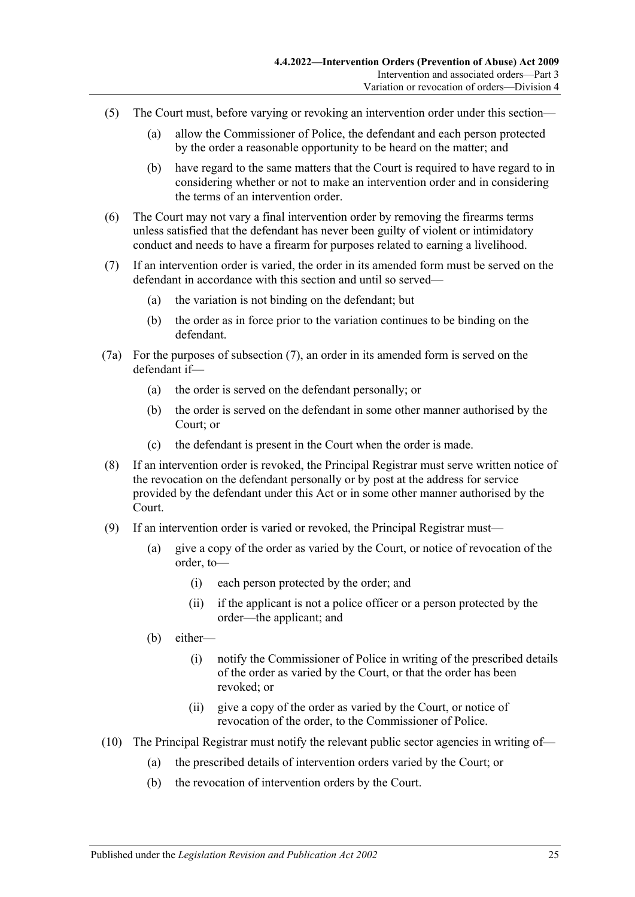- (5) The Court must, before varying or revoking an intervention order under this section—
	- (a) allow the Commissioner of Police, the defendant and each person protected by the order a reasonable opportunity to be heard on the matter; and
	- (b) have regard to the same matters that the Court is required to have regard to in considering whether or not to make an intervention order and in considering the terms of an intervention order.
- (6) The Court may not vary a final intervention order by removing the firearms terms unless satisfied that the defendant has never been guilty of violent or intimidatory conduct and needs to have a firearm for purposes related to earning a livelihood.
- <span id="page-24-0"></span>(7) If an intervention order is varied, the order in its amended form must be served on the defendant in accordance with this section and until so served—
	- (a) the variation is not binding on the defendant; but
	- (b) the order as in force prior to the variation continues to be binding on the defendant.
- (7a) For the purposes of [subsection](#page-24-0) (7), an order in its amended form is served on the defendant if—
	- (a) the order is served on the defendant personally; or
	- (b) the order is served on the defendant in some other manner authorised by the Court; or
	- (c) the defendant is present in the Court when the order is made.
- (8) If an intervention order is revoked, the Principal Registrar must serve written notice of the revocation on the defendant personally or by post at the address for service provided by the defendant under this Act or in some other manner authorised by the Court.
- (9) If an intervention order is varied or revoked, the Principal Registrar must—
	- (a) give a copy of the order as varied by the Court, or notice of revocation of the order, to—
		- (i) each person protected by the order; and
		- (ii) if the applicant is not a police officer or a person protected by the order—the applicant; and
	- (b) either—
		- (i) notify the Commissioner of Police in writing of the prescribed details of the order as varied by the Court, or that the order has been revoked; or
		- (ii) give a copy of the order as varied by the Court, or notice of revocation of the order, to the Commissioner of Police.
- (10) The Principal Registrar must notify the relevant public sector agencies in writing of—
	- (a) the prescribed details of intervention orders varied by the Court; or
	- (b) the revocation of intervention orders by the Court.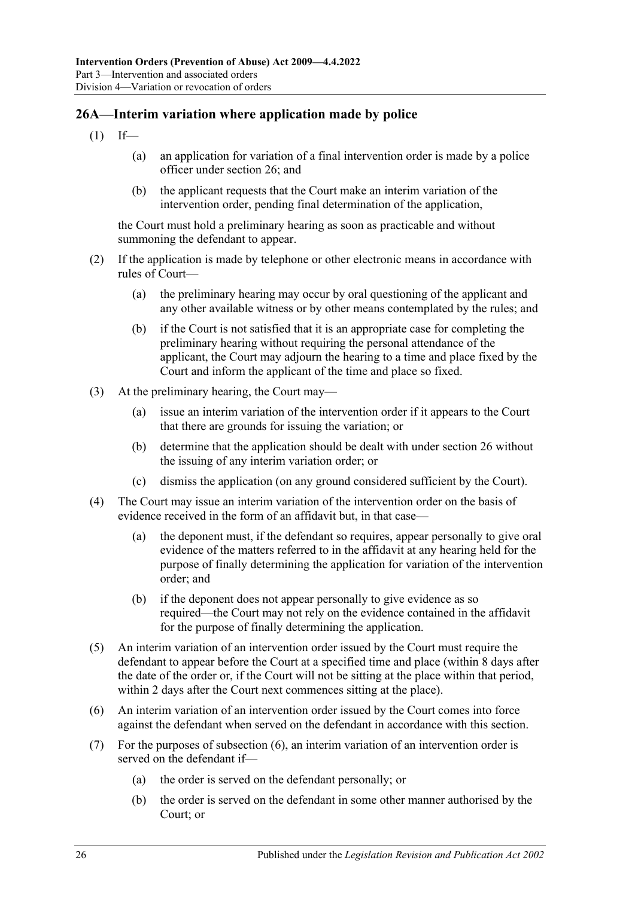## <span id="page-25-0"></span>**26A—Interim variation where application made by police**

- $(1)$  If—
	- (a) an application for variation of a final intervention order is made by a police officer under [section](#page-23-1) 26; and
	- (b) the applicant requests that the Court make an interim variation of the intervention order, pending final determination of the application,

the Court must hold a preliminary hearing as soon as practicable and without summoning the defendant to appear.

- (2) If the application is made by telephone or other electronic means in accordance with rules of Court—
	- (a) the preliminary hearing may occur by oral questioning of the applicant and any other available witness or by other means contemplated by the rules; and
	- (b) if the Court is not satisfied that it is an appropriate case for completing the preliminary hearing without requiring the personal attendance of the applicant, the Court may adjourn the hearing to a time and place fixed by the Court and inform the applicant of the time and place so fixed.
- (3) At the preliminary hearing, the Court may—
	- (a) issue an interim variation of the intervention order if it appears to the Court that there are grounds for issuing the variation; or
	- (b) determine that the application should be dealt with under [section](#page-23-1) 26 without the issuing of any interim variation order; or
	- (c) dismiss the application (on any ground considered sufficient by the Court).
- (4) The Court may issue an interim variation of the intervention order on the basis of evidence received in the form of an affidavit but, in that case—
	- (a) the deponent must, if the defendant so requires, appear personally to give oral evidence of the matters referred to in the affidavit at any hearing held for the purpose of finally determining the application for variation of the intervention order; and
	- (b) if the deponent does not appear personally to give evidence as so required—the Court may not rely on the evidence contained in the affidavit for the purpose of finally determining the application.
- (5) An interim variation of an intervention order issued by the Court must require the defendant to appear before the Court at a specified time and place (within 8 days after the date of the order or, if the Court will not be sitting at the place within that period, within 2 days after the Court next commences sitting at the place).
- <span id="page-25-1"></span>(6) An interim variation of an intervention order issued by the Court comes into force against the defendant when served on the defendant in accordance with this section.
- (7) For the purposes of [subsection](#page-25-1) (6), an interim variation of an intervention order is served on the defendant if—
	- (a) the order is served on the defendant personally; or
	- (b) the order is served on the defendant in some other manner authorised by the Court; or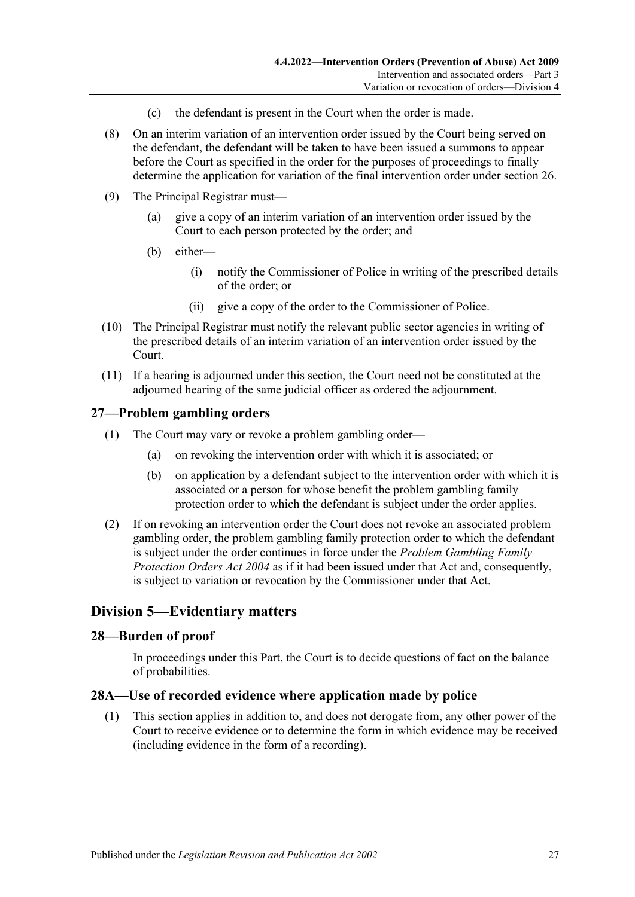- (c) the defendant is present in the Court when the order is made.
- (8) On an interim variation of an intervention order issued by the Court being served on the defendant, the defendant will be taken to have been issued a summons to appear before the Court as specified in the order for the purposes of proceedings to finally determine the application for variation of the final intervention order under [section](#page-23-1) 26.
- (9) The Principal Registrar must—
	- (a) give a copy of an interim variation of an intervention order issued by the Court to each person protected by the order; and
	- (b) either—
		- (i) notify the Commissioner of Police in writing of the prescribed details of the order; or
		- (ii) give a copy of the order to the Commissioner of Police.
- (10) The Principal Registrar must notify the relevant public sector agencies in writing of the prescribed details of an interim variation of an intervention order issued by the Court.
- (11) If a hearing is adjourned under this section, the Court need not be constituted at the adjourned hearing of the same judicial officer as ordered the adjournment.

## <span id="page-26-0"></span>**27—Problem gambling orders**

- (1) The Court may vary or revoke a problem gambling order—
	- (a) on revoking the intervention order with which it is associated; or
	- (b) on application by a defendant subject to the intervention order with which it is associated or a person for whose benefit the problem gambling family protection order to which the defendant is subject under the order applies.
- (2) If on revoking an intervention order the Court does not revoke an associated problem gambling order, the problem gambling family protection order to which the defendant is subject under the order continues in force under the *[Problem Gambling Family](http://www.legislation.sa.gov.au/index.aspx?action=legref&type=act&legtitle=Problem%20Gambling%20Family%20Protection%20Orders%20Act%202004)  [Protection Orders Act](http://www.legislation.sa.gov.au/index.aspx?action=legref&type=act&legtitle=Problem%20Gambling%20Family%20Protection%20Orders%20Act%202004) 2004* as if it had been issued under that Act and, consequently, is subject to variation or revocation by the Commissioner under that Act.

## <span id="page-26-1"></span>**Division 5—Evidentiary matters**

### <span id="page-26-2"></span>**28—Burden of proof**

In proceedings under this Part, the Court is to decide questions of fact on the balance of probabilities.

#### <span id="page-26-3"></span>**28A—Use of recorded evidence where application made by police**

(1) This section applies in addition to, and does not derogate from, any other power of the Court to receive evidence or to determine the form in which evidence may be received (including evidence in the form of a recording).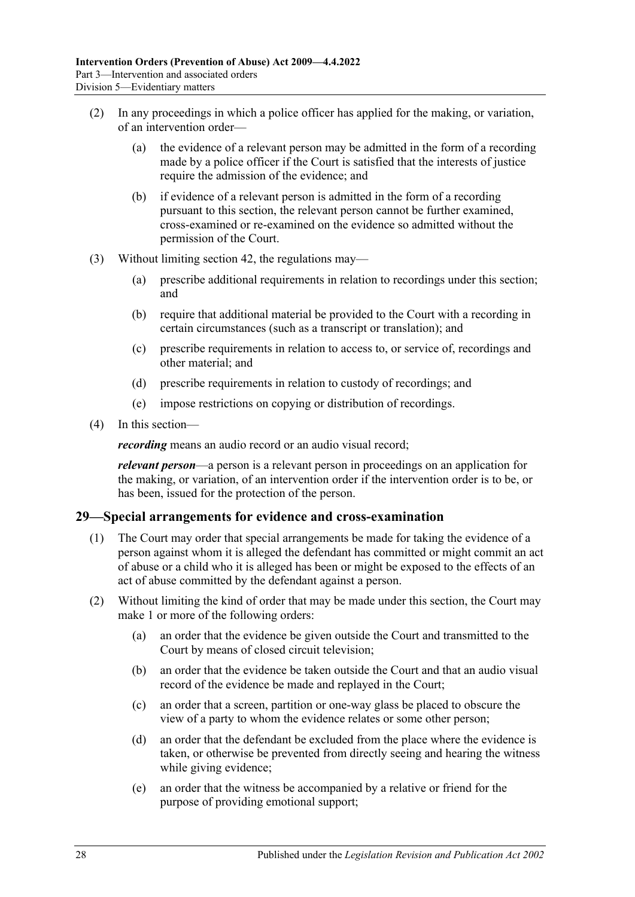- (2) In any proceedings in which a police officer has applied for the making, or variation, of an intervention order—
	- (a) the evidence of a relevant person may be admitted in the form of a recording made by a police officer if the Court is satisfied that the interests of justice require the admission of the evidence; and
	- (b) if evidence of a relevant person is admitted in the form of a recording pursuant to this section, the relevant person cannot be further examined, cross-examined or re-examined on the evidence so admitted without the permission of the Court.
- (3) Without limiting [section](#page-46-2) 42, the regulations may—
	- (a) prescribe additional requirements in relation to recordings under this section; and
	- (b) require that additional material be provided to the Court with a recording in certain circumstances (such as a transcript or translation); and
	- (c) prescribe requirements in relation to access to, or service of, recordings and other material; and
	- (d) prescribe requirements in relation to custody of recordings; and
	- (e) impose restrictions on copying or distribution of recordings.
- (4) In this section—

*recording* means an audio record or an audio visual record;

*relevant person*—a person is a relevant person in proceedings on an application for the making, or variation, of an intervention order if the intervention order is to be, or has been, issued for the protection of the person.

### <span id="page-27-0"></span>**29—Special arrangements for evidence and cross-examination**

- (1) The Court may order that special arrangements be made for taking the evidence of a person against whom it is alleged the defendant has committed or might commit an act of abuse or a child who it is alleged has been or might be exposed to the effects of an act of abuse committed by the defendant against a person.
- (2) Without limiting the kind of order that may be made under this section, the Court may make 1 or more of the following orders:
	- (a) an order that the evidence be given outside the Court and transmitted to the Court by means of closed circuit television;
	- (b) an order that the evidence be taken outside the Court and that an audio visual record of the evidence be made and replayed in the Court;
	- (c) an order that a screen, partition or one-way glass be placed to obscure the view of a party to whom the evidence relates or some other person;
	- (d) an order that the defendant be excluded from the place where the evidence is taken, or otherwise be prevented from directly seeing and hearing the witness while giving evidence;
	- (e) an order that the witness be accompanied by a relative or friend for the purpose of providing emotional support;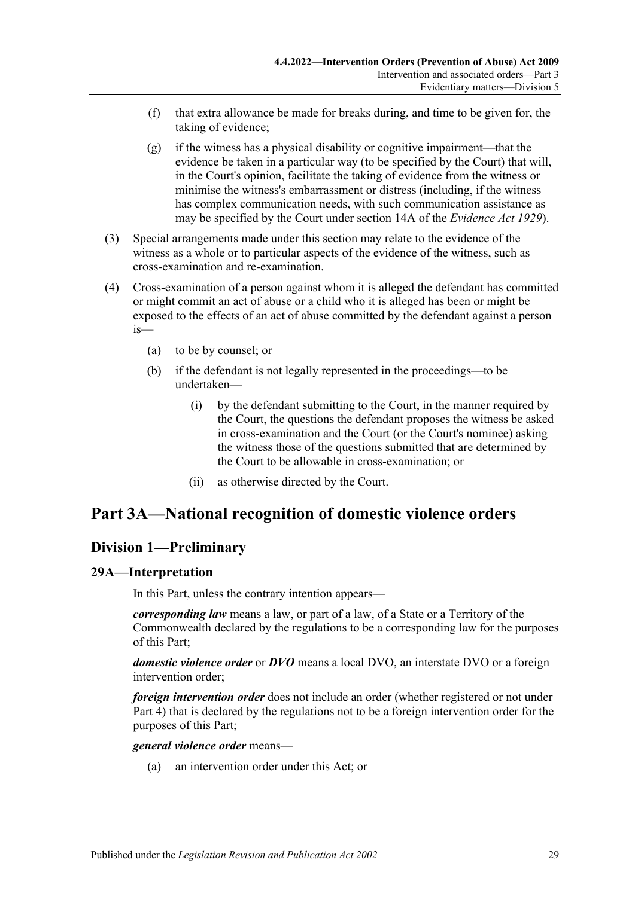- (f) that extra allowance be made for breaks during, and time to be given for, the taking of evidence;
- (g) if the witness has a physical disability or cognitive impairment—that the evidence be taken in a particular way (to be specified by the Court) that will, in the Court's opinion, facilitate the taking of evidence from the witness or minimise the witness's embarrassment or distress (including, if the witness has complex communication needs, with such communication assistance as may be specified by the Court under section 14A of the *[Evidence Act](http://www.legislation.sa.gov.au/index.aspx?action=legref&type=act&legtitle=Evidence%20Act%201929) 1929*).
- (3) Special arrangements made under this section may relate to the evidence of the witness as a whole or to particular aspects of the evidence of the witness, such as cross-examination and re-examination.
- (4) Cross-examination of a person against whom it is alleged the defendant has committed or might commit an act of abuse or a child who it is alleged has been or might be exposed to the effects of an act of abuse committed by the defendant against a person is—
	- (a) to be by counsel; or
	- (b) if the defendant is not legally represented in the proceedings—to be undertaken—
		- (i) by the defendant submitting to the Court, in the manner required by the Court, the questions the defendant proposes the witness be asked in cross-examination and the Court (or the Court's nominee) asking the witness those of the questions submitted that are determined by the Court to be allowable in cross-examination; or
		- (ii) as otherwise directed by the Court.

# <span id="page-28-0"></span>**Part 3A—National recognition of domestic violence orders**

## <span id="page-28-1"></span>**Division 1—Preliminary**

### <span id="page-28-2"></span>**29A—Interpretation**

In this Part, unless the contrary intention appears—

*corresponding law* means a law, or part of a law, of a State or a Territory of the Commonwealth declared by the regulations to be a corresponding law for the purposes of this Part;

*domestic violence order* or *DVO* means a local DVO, an interstate DVO or a foreign intervention order;

*foreign intervention order* does not include an order (whether registered or not under [Part 4\)](#page-40-2) that is declared by the regulations not to be a foreign intervention order for the purposes of this Part;

#### *general violence order* means—

(a) an intervention order under this Act; or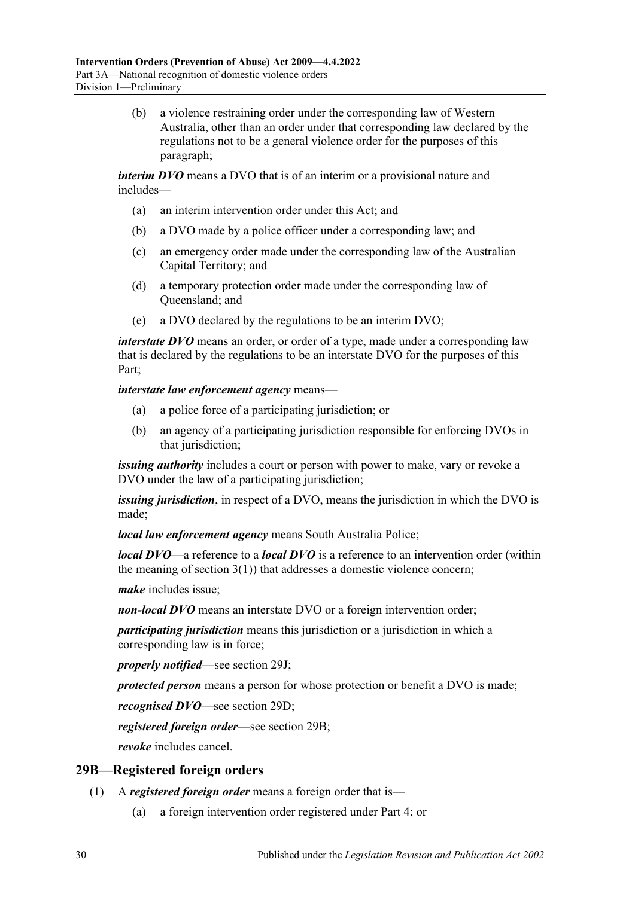(b) a violence restraining order under the corresponding law of Western Australia, other than an order under that corresponding law declared by the regulations not to be a general violence order for the purposes of this paragraph;

*interim DVO* means a DVO that is of an interim or a provisional nature and includes—

- (a) an interim intervention order under this Act; and
- (b) a DVO made by a police officer under a corresponding law; and
- (c) an emergency order made under the corresponding law of the Australian Capital Territory; and
- (d) a temporary protection order made under the corresponding law of Queensland; and
- (e) a DVO declared by the regulations to be an interim DVO;

*interstate DVO* means an order, or order of a type, made under a corresponding law that is declared by the regulations to be an interstate DVO for the purposes of this Part;

*interstate law enforcement agency* means—

- (a) a police force of a participating jurisdiction; or
- (b) an agency of a participating jurisdiction responsible for enforcing DVOs in that jurisdiction;

*issuing authority* includes a court or person with power to make, vary or revoke a DVO under the law of a participating jurisdiction;

*issuing jurisdiction*, in respect of a DVO, means the jurisdiction in which the DVO is made;

*local law enforcement agency* means South Australia Police;

*local DVO*—a reference to a *local DVO* is a reference to an intervention order (within the meaning of [section](#page-3-3)  $3(1)$ ) that addresses a domestic violence concern;

*make* includes issue;

*non-local DVO* means an interstate DVO or a foreign intervention order;

*participating jurisdiction* means this jurisdiction or a jurisdiction in which a corresponding law is in force;

*properly notified*—see [section](#page-33-0) 29J;

*protected person* means a person for whose protection or benefit a DVO is made;

*recognised DVO*—see [section](#page-30-3) 29D;

*registered foreign order*—see [section](#page-29-0) 29B;

*revoke* includes cancel.

### <span id="page-29-0"></span>**29B—Registered foreign orders**

- (1) A *registered foreign order* means a foreign order that is—
	- (a) a foreign intervention order registered under [Part 4;](#page-40-2) or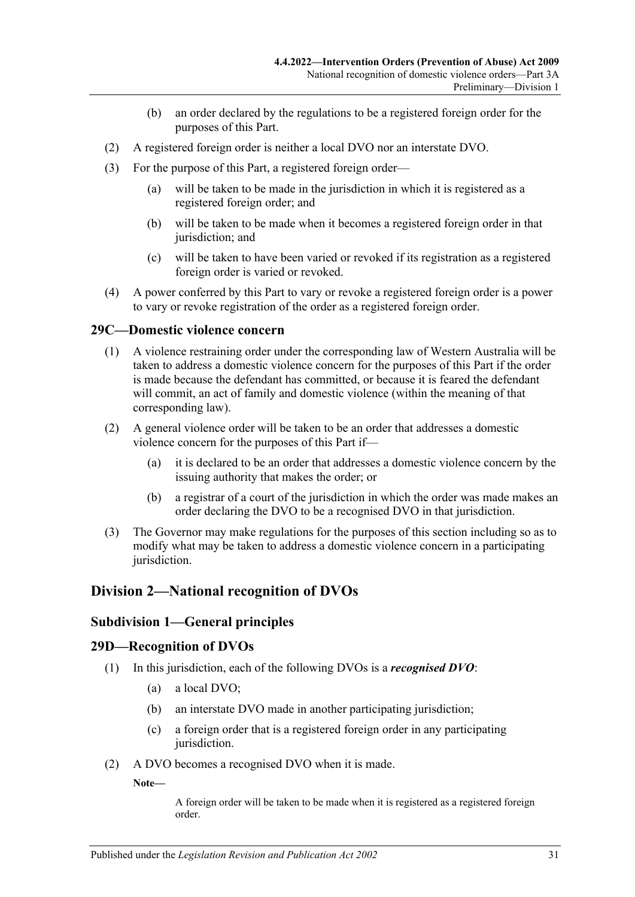- (b) an order declared by the regulations to be a registered foreign order for the purposes of this Part.
- (2) A registered foreign order is neither a local DVO nor an interstate DVO.
- (3) For the purpose of this Part, a registered foreign order—
	- (a) will be taken to be made in the jurisdiction in which it is registered as a registered foreign order; and
	- (b) will be taken to be made when it becomes a registered foreign order in that jurisdiction; and
	- (c) will be taken to have been varied or revoked if its registration as a registered foreign order is varied or revoked.
- (4) A power conferred by this Part to vary or revoke a registered foreign order is a power to vary or revoke registration of the order as a registered foreign order.

### <span id="page-30-0"></span>**29C—Domestic violence concern**

- (1) A violence restraining order under the corresponding law of Western Australia will be taken to address a domestic violence concern for the purposes of this Part if the order is made because the defendant has committed, or because it is feared the defendant will commit, an act of family and domestic violence (within the meaning of that corresponding law).
- (2) A general violence order will be taken to be an order that addresses a domestic violence concern for the purposes of this Part if—
	- (a) it is declared to be an order that addresses a domestic violence concern by the issuing authority that makes the order; or
	- (b) a registrar of a court of the jurisdiction in which the order was made makes an order declaring the DVO to be a recognised DVO in that jurisdiction.
- (3) The Governor may make regulations for the purposes of this section including so as to modify what may be taken to address a domestic violence concern in a participating jurisdiction.

## <span id="page-30-2"></span><span id="page-30-1"></span>**Division 2—National recognition of DVOs**

#### **Subdivision 1—General principles**

#### <span id="page-30-3"></span>**29D—Recognition of DVOs**

- (1) In this jurisdiction, each of the following DVOs is a *recognised DVO*:
	- (a) a local DVO;
	- (b) an interstate DVO made in another participating jurisdiction;
	- (c) a foreign order that is a registered foreign order in any participating jurisdiction.
- (2) A DVO becomes a recognised DVO when it is made.

**Note—**

A foreign order will be taken to be made when it is registered as a registered foreign order.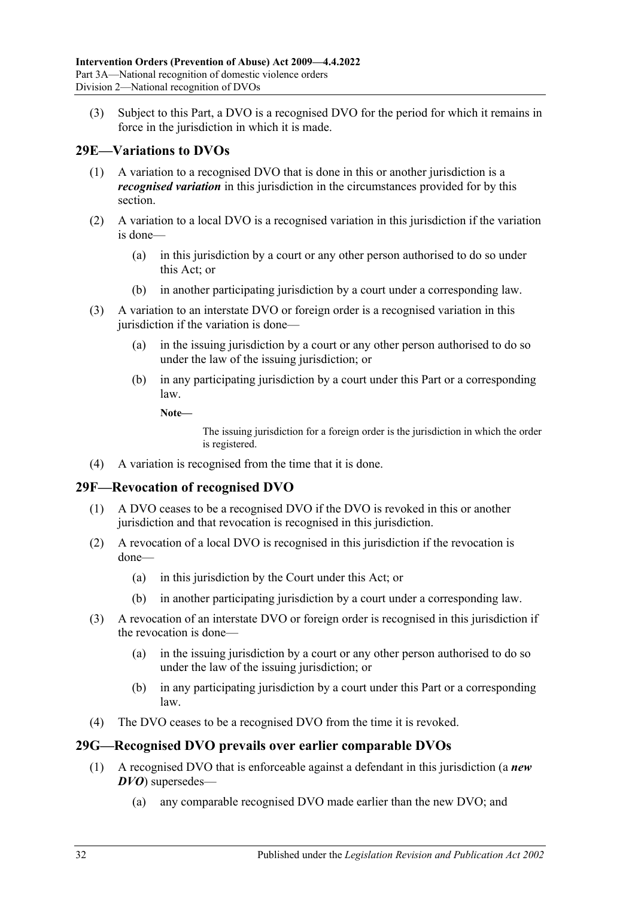(3) Subject to this Part, a DVO is a recognised DVO for the period for which it remains in force in the jurisdiction in which it is made.

# <span id="page-31-0"></span>**29E—Variations to DVOs**

- (1) A variation to a recognised DVO that is done in this or another jurisdiction is a *recognised variation* in this jurisdiction in the circumstances provided for by this section.
- (2) A variation to a local DVO is a recognised variation in this jurisdiction if the variation is done—
	- (a) in this jurisdiction by a court or any other person authorised to do so under this Act; or
	- (b) in another participating jurisdiction by a court under a corresponding law.
- (3) A variation to an interstate DVO or foreign order is a recognised variation in this jurisdiction if the variation is done—
	- (a) in the issuing jurisdiction by a court or any other person authorised to do so under the law of the issuing jurisdiction; or
	- (b) in any participating jurisdiction by a court under this Part or a corresponding law.
		- **Note—**

The issuing jurisdiction for a foreign order is the jurisdiction in which the order is registered.

(4) A variation is recognised from the time that it is done.

### <span id="page-31-1"></span>**29F—Revocation of recognised DVO**

- (1) A DVO ceases to be a recognised DVO if the DVO is revoked in this or another jurisdiction and that revocation is recognised in this jurisdiction.
- (2) A revocation of a local DVO is recognised in this jurisdiction if the revocation is done—
	- (a) in this jurisdiction by the Court under this Act; or
	- (b) in another participating jurisdiction by a court under a corresponding law.
- (3) A revocation of an interstate DVO or foreign order is recognised in this jurisdiction if the revocation is done—
	- (a) in the issuing jurisdiction by a court or any other person authorised to do so under the law of the issuing jurisdiction; or
	- (b) in any participating jurisdiction by a court under this Part or a corresponding law.
- (4) The DVO ceases to be a recognised DVO from the time it is revoked.

## <span id="page-31-2"></span>**29G—Recognised DVO prevails over earlier comparable DVOs**

- (1) A recognised DVO that is enforceable against a defendant in this jurisdiction (a *new DVO*) supersedes—
	- (a) any comparable recognised DVO made earlier than the new DVO; and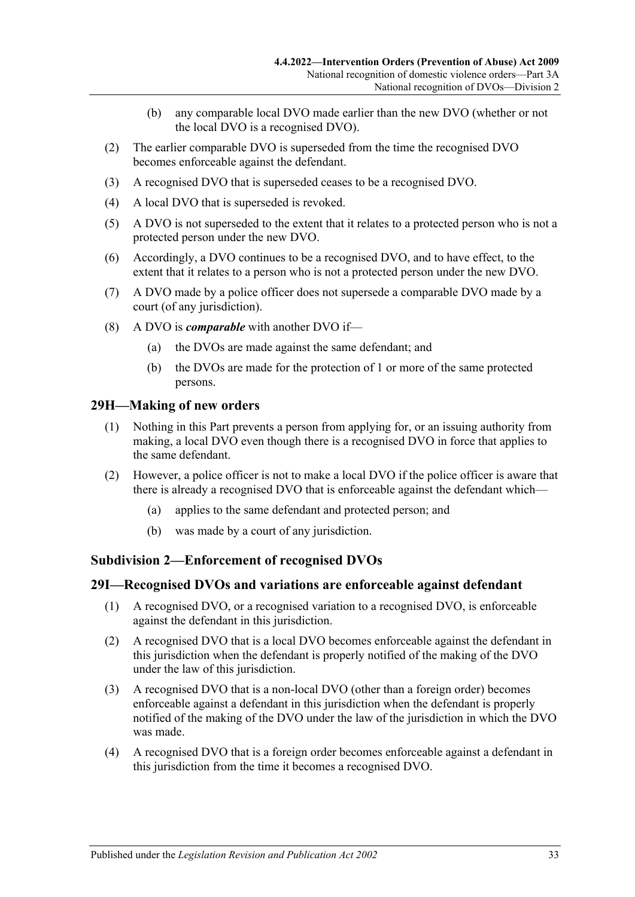- (b) any comparable local DVO made earlier than the new DVO (whether or not the local DVO is a recognised DVO).
- (2) The earlier comparable DVO is superseded from the time the recognised DVO becomes enforceable against the defendant.
- (3) A recognised DVO that is superseded ceases to be a recognised DVO.
- (4) A local DVO that is superseded is revoked.
- (5) A DVO is not superseded to the extent that it relates to a protected person who is not a protected person under the new DVO.
- (6) Accordingly, a DVO continues to be a recognised DVO, and to have effect, to the extent that it relates to a person who is not a protected person under the new DVO.
- (7) A DVO made by a police officer does not supersede a comparable DVO made by a court (of any jurisdiction).
- (8) A DVO is *comparable* with another DVO if—
	- (a) the DVOs are made against the same defendant; and
	- (b) the DVOs are made for the protection of 1 or more of the same protected persons.

#### <span id="page-32-0"></span>**29H—Making of new orders**

- (1) Nothing in this Part prevents a person from applying for, or an issuing authority from making, a local DVO even though there is a recognised DVO in force that applies to the same defendant.
- (2) However, a police officer is not to make a local DVO if the police officer is aware that there is already a recognised DVO that is enforceable against the defendant which—
	- (a) applies to the same defendant and protected person; and
	- (b) was made by a court of any jurisdiction.

#### <span id="page-32-1"></span>**Subdivision 2—Enforcement of recognised DVOs**

#### <span id="page-32-2"></span>**29I—Recognised DVOs and variations are enforceable against defendant**

- (1) A recognised DVO, or a recognised variation to a recognised DVO, is enforceable against the defendant in this jurisdiction.
- (2) A recognised DVO that is a local DVO becomes enforceable against the defendant in this jurisdiction when the defendant is properly notified of the making of the DVO under the law of this jurisdiction.
- (3) A recognised DVO that is a non-local DVO (other than a foreign order) becomes enforceable against a defendant in this jurisdiction when the defendant is properly notified of the making of the DVO under the law of the jurisdiction in which the DVO was made.
- (4) A recognised DVO that is a foreign order becomes enforceable against a defendant in this jurisdiction from the time it becomes a recognised DVO.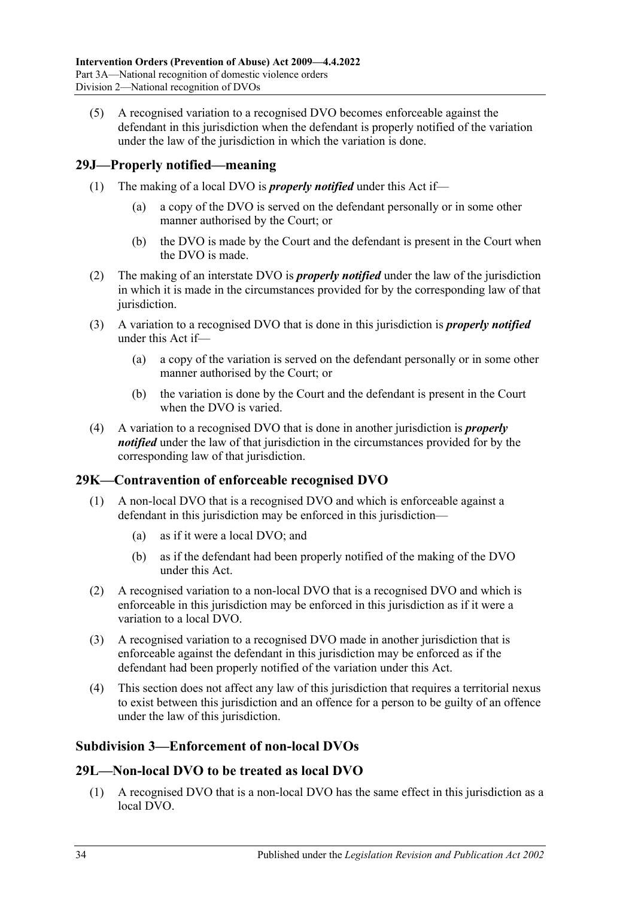(5) A recognised variation to a recognised DVO becomes enforceable against the defendant in this jurisdiction when the defendant is properly notified of the variation under the law of the jurisdiction in which the variation is done.

## <span id="page-33-0"></span>**29J—Properly notified—meaning**

- (1) The making of a local DVO is *properly notified* under this Act if—
	- (a) a copy of the DVO is served on the defendant personally or in some other manner authorised by the Court; or
	- (b) the DVO is made by the Court and the defendant is present in the Court when the DVO is made.
- (2) The making of an interstate DVO is *properly notified* under the law of the jurisdiction in which it is made in the circumstances provided for by the corresponding law of that jurisdiction.
- (3) A variation to a recognised DVO that is done in this jurisdiction is *properly notified* under this Act if—
	- (a) a copy of the variation is served on the defendant personally or in some other manner authorised by the Court; or
	- (b) the variation is done by the Court and the defendant is present in the Court when the DVO is varied.
- (4) A variation to a recognised DVO that is done in another jurisdiction is *properly notified* under the law of that jurisdiction in the circumstances provided for by the corresponding law of that jurisdiction.

### <span id="page-33-1"></span>**29K—Contravention of enforceable recognised DVO**

- (1) A non-local DVO that is a recognised DVO and which is enforceable against a defendant in this jurisdiction may be enforced in this jurisdiction—
	- (a) as if it were a local DVO; and
	- (b) as if the defendant had been properly notified of the making of the DVO under this Act.
- (2) A recognised variation to a non-local DVO that is a recognised DVO and which is enforceable in this jurisdiction may be enforced in this jurisdiction as if it were a variation to a local DVO.
- (3) A recognised variation to a recognised DVO made in another jurisdiction that is enforceable against the defendant in this jurisdiction may be enforced as if the defendant had been properly notified of the variation under this Act.
- (4) This section does not affect any law of this jurisdiction that requires a territorial nexus to exist between this jurisdiction and an offence for a person to be guilty of an offence under the law of this jurisdiction.

### <span id="page-33-2"></span>**Subdivision 3—Enforcement of non-local DVOs**

### <span id="page-33-3"></span>**29L—Non-local DVO to be treated as local DVO**

(1) A recognised DVO that is a non-local DVO has the same effect in this jurisdiction as a local DVO.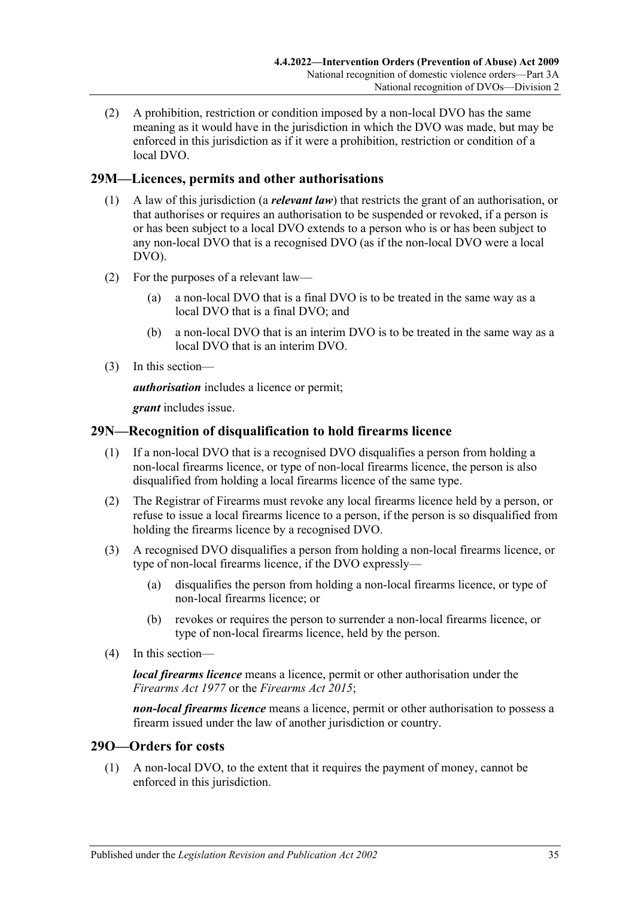(2) A prohibition, restriction or condition imposed by a non-local DVO has the same meaning as it would have in the jurisdiction in which the DVO was made, but may be enforced in this jurisdiction as if it were a prohibition, restriction or condition of a local DVO.

## <span id="page-34-0"></span>**29M—Licences, permits and other authorisations**

- (1) A law of this jurisdiction (a *relevant law*) that restricts the grant of an authorisation, or that authorises or requires an authorisation to be suspended or revoked, if a person is or has been subject to a local DVO extends to a person who is or has been subject to any non-local DVO that is a recognised DVO (as if the non-local DVO were a local DVO).
- (2) For the purposes of a relevant law—
	- (a) a non-local DVO that is a final DVO is to be treated in the same way as a local DVO that is a final DVO; and
	- (b) a non-local DVO that is an interim DVO is to be treated in the same way as a local DVO that is an interim DVO.
- (3) In this section—

*authorisation* includes a licence or permit;

*grant* includes issue.

## <span id="page-34-1"></span>**29N—Recognition of disqualification to hold firearms licence**

- (1) If a non-local DVO that is a recognised DVO disqualifies a person from holding a non-local firearms licence, or type of non-local firearms licence, the person is also disqualified from holding a local firearms licence of the same type.
- (2) The Registrar of Firearms must revoke any local firearms licence held by a person, or refuse to issue a local firearms licence to a person, if the person is so disqualified from holding the firearms licence by a recognised DVO.
- (3) A recognised DVO disqualifies a person from holding a non-local firearms licence, or type of non-local firearms licence, if the DVO expressly—
	- (a) disqualifies the person from holding a non-local firearms licence, or type of non-local firearms licence; or
	- (b) revokes or requires the person to surrender a non-local firearms licence, or type of non-local firearms licence, held by the person.
- (4) In this section—

*local firearms licence* means a licence, permit or other authorisation under the *[Firearms Act](http://www.legislation.sa.gov.au/index.aspx?action=legref&type=act&legtitle=Firearms%20Act%201977) 1977* or the *[Firearms Act](http://www.legislation.sa.gov.au/index.aspx?action=legref&type=act&legtitle=Firearms%20Act%202015) 2015*;

*non-local firearms licence* means a licence, permit or other authorisation to possess a firearm issued under the law of another jurisdiction or country.

### <span id="page-34-2"></span>**29O—Orders for costs**

(1) A non-local DVO, to the extent that it requires the payment of money, cannot be enforced in this jurisdiction.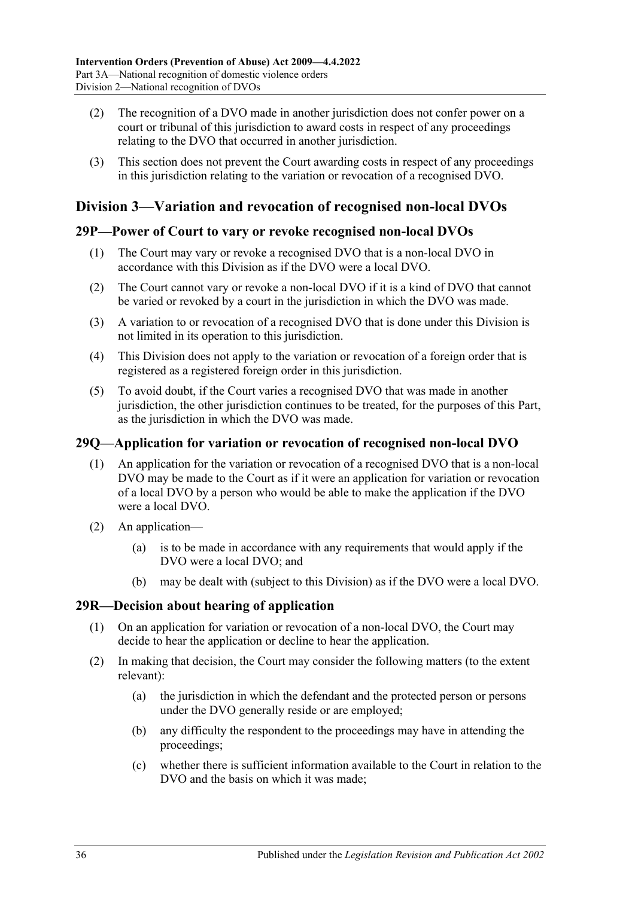- (2) The recognition of a DVO made in another jurisdiction does not confer power on a court or tribunal of this jurisdiction to award costs in respect of any proceedings relating to the DVO that occurred in another jurisdiction.
- (3) This section does not prevent the Court awarding costs in respect of any proceedings in this jurisdiction relating to the variation or revocation of a recognised DVO.

# <span id="page-35-0"></span>**Division 3—Variation and revocation of recognised non-local DVOs**

### <span id="page-35-1"></span>**29P—Power of Court to vary or revoke recognised non-local DVOs**

- (1) The Court may vary or revoke a recognised DVO that is a non-local DVO in accordance with this Division as if the DVO were a local DVO.
- (2) The Court cannot vary or revoke a non-local DVO if it is a kind of DVO that cannot be varied or revoked by a court in the jurisdiction in which the DVO was made.
- (3) A variation to or revocation of a recognised DVO that is done under this Division is not limited in its operation to this jurisdiction.
- (4) This Division does not apply to the variation or revocation of a foreign order that is registered as a registered foreign order in this jurisdiction.
- (5) To avoid doubt, if the Court varies a recognised DVO that was made in another jurisdiction, the other jurisdiction continues to be treated, for the purposes of this Part, as the jurisdiction in which the DVO was made.

## <span id="page-35-2"></span>**29Q—Application for variation or revocation of recognised non-local DVO**

- (1) An application for the variation or revocation of a recognised DVO that is a non-local DVO may be made to the Court as if it were an application for variation or revocation of a local DVO by a person who would be able to make the application if the DVO were a local DVO.
- (2) An application—
	- (a) is to be made in accordance with any requirements that would apply if the DVO were a local DVO; and
	- (b) may be dealt with (subject to this Division) as if the DVO were a local DVO.

## <span id="page-35-3"></span>**29R—Decision about hearing of application**

- (1) On an application for variation or revocation of a non-local DVO, the Court may decide to hear the application or decline to hear the application.
- (2) In making that decision, the Court may consider the following matters (to the extent relevant):
	- (a) the jurisdiction in which the defendant and the protected person or persons under the DVO generally reside or are employed;
	- (b) any difficulty the respondent to the proceedings may have in attending the proceedings;
	- (c) whether there is sufficient information available to the Court in relation to the DVO and the basis on which it was made;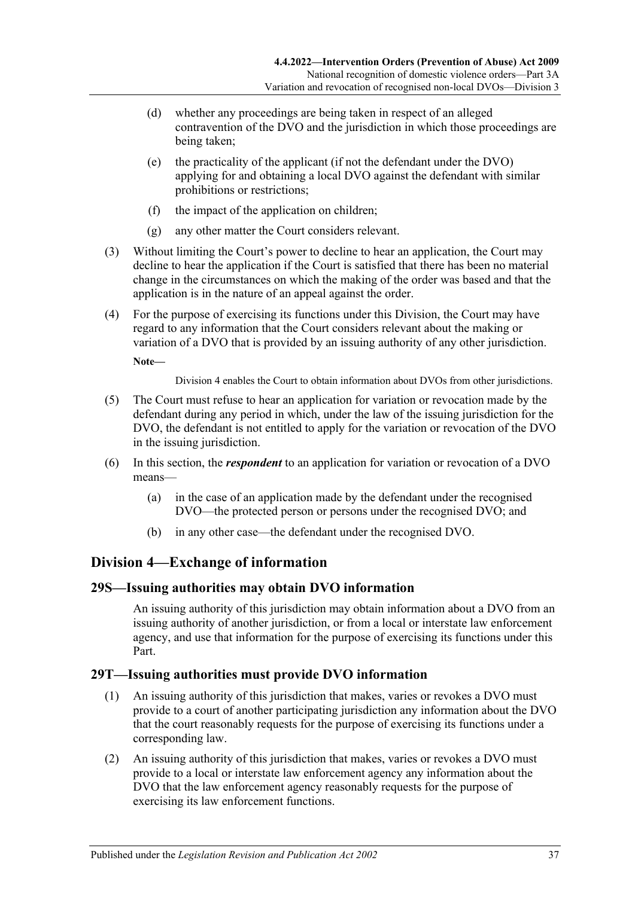- (d) whether any proceedings are being taken in respect of an alleged contravention of the DVO and the jurisdiction in which those proceedings are being taken;
- (e) the practicality of the applicant (if not the defendant under the DVO) applying for and obtaining a local DVO against the defendant with similar prohibitions or restrictions;
- (f) the impact of the application on children;
- (g) any other matter the Court considers relevant.
- (3) Without limiting the Court's power to decline to hear an application, the Court may decline to hear the application if the Court is satisfied that there has been no material change in the circumstances on which the making of the order was based and that the application is in the nature of an appeal against the order.
- (4) For the purpose of exercising its functions under this Division, the Court may have regard to any information that the Court considers relevant about the making or variation of a DVO that is provided by an issuing authority of any other jurisdiction.

**Note—**

[Division](#page-36-0) 4 enables the Court to obtain information about DVOs from other jurisdictions.

- (5) The Court must refuse to hear an application for variation or revocation made by the defendant during any period in which, under the law of the issuing jurisdiction for the DVO, the defendant is not entitled to apply for the variation or revocation of the DVO in the issuing jurisdiction.
- (6) In this section, the *respondent* to an application for variation or revocation of a DVO means—
	- (a) in the case of an application made by the defendant under the recognised DVO—the protected person or persons under the recognised DVO; and
	- (b) in any other case—the defendant under the recognised DVO.

# <span id="page-36-0"></span>**Division 4—Exchange of information**

### <span id="page-36-1"></span>**29S—Issuing authorities may obtain DVO information**

An issuing authority of this jurisdiction may obtain information about a DVO from an issuing authority of another jurisdiction, or from a local or interstate law enforcement agency, and use that information for the purpose of exercising its functions under this Part.

### <span id="page-36-2"></span>**29T—Issuing authorities must provide DVO information**

- (1) An issuing authority of this jurisdiction that makes, varies or revokes a DVO must provide to a court of another participating jurisdiction any information about the DVO that the court reasonably requests for the purpose of exercising its functions under a corresponding law.
- (2) An issuing authority of this jurisdiction that makes, varies or revokes a DVO must provide to a local or interstate law enforcement agency any information about the DVO that the law enforcement agency reasonably requests for the purpose of exercising its law enforcement functions.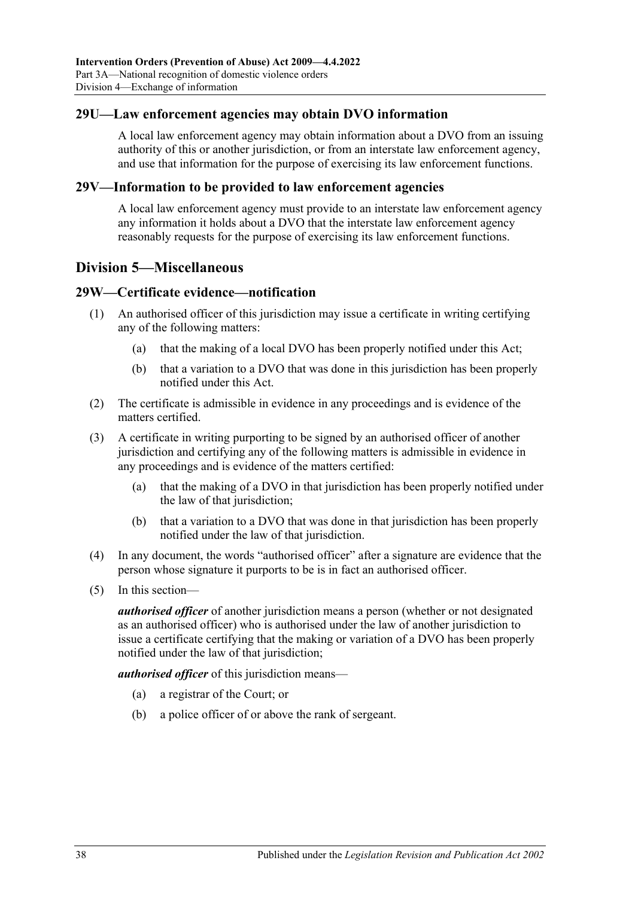### <span id="page-37-0"></span>**29U—Law enforcement agencies may obtain DVO information**

A local law enforcement agency may obtain information about a DVO from an issuing authority of this or another jurisdiction, or from an interstate law enforcement agency, and use that information for the purpose of exercising its law enforcement functions.

#### <span id="page-37-1"></span>**29V—Information to be provided to law enforcement agencies**

A local law enforcement agency must provide to an interstate law enforcement agency any information it holds about a DVO that the interstate law enforcement agency reasonably requests for the purpose of exercising its law enforcement functions.

## <span id="page-37-2"></span>**Division 5—Miscellaneous**

#### <span id="page-37-3"></span>**29W—Certificate evidence—notification**

- (1) An authorised officer of this jurisdiction may issue a certificate in writing certifying any of the following matters:
	- (a) that the making of a local DVO has been properly notified under this Act;
	- (b) that a variation to a DVO that was done in this jurisdiction has been properly notified under this Act.
- (2) The certificate is admissible in evidence in any proceedings and is evidence of the matters certified.
- (3) A certificate in writing purporting to be signed by an authorised officer of another jurisdiction and certifying any of the following matters is admissible in evidence in any proceedings and is evidence of the matters certified:
	- (a) that the making of a DVO in that jurisdiction has been properly notified under the law of that jurisdiction;
	- (b) that a variation to a DVO that was done in that jurisdiction has been properly notified under the law of that jurisdiction.
- (4) In any document, the words "authorised officer" after a signature are evidence that the person whose signature it purports to be is in fact an authorised officer.
- (5) In this section—

*authorised officer* of another jurisdiction means a person (whether or not designated as an authorised officer) who is authorised under the law of another jurisdiction to issue a certificate certifying that the making or variation of a DVO has been properly notified under the law of that jurisdiction;

*authorised officer* of this jurisdiction means—

- (a) a registrar of the Court; or
- (b) a police officer of or above the rank of sergeant.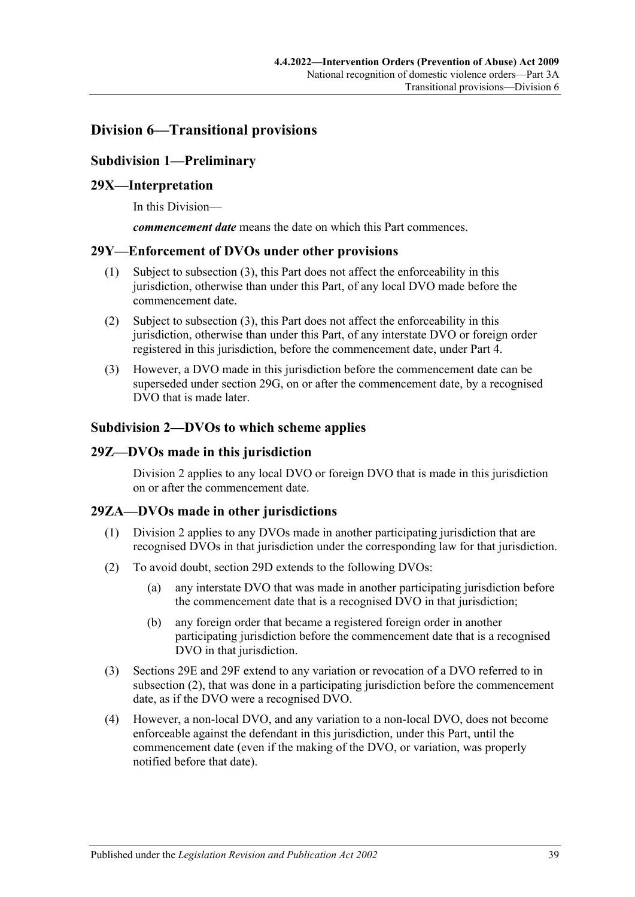# <span id="page-38-1"></span><span id="page-38-0"></span>**Division 6—Transitional provisions**

## **Subdivision 1—Preliminary**

### <span id="page-38-2"></span>**29X—Interpretation**

In this Division—

*commencement date* means the date on which this Part commences.

#### <span id="page-38-3"></span>**29Y—Enforcement of DVOs under other provisions**

- (1) Subject to [subsection](#page-38-7) (3), this Part does not affect the enforceability in this jurisdiction, otherwise than under this Part, of any local DVO made before the commencement date.
- (2) Subject to [subsection](#page-38-7) (3), this Part does not affect the enforceability in this jurisdiction, otherwise than under this Part, of any interstate DVO or foreign order registered in this jurisdiction, before the commencement date, under [Part 4.](#page-40-2)
- <span id="page-38-7"></span>(3) However, a DVO made in this jurisdiction before the commencement date can be superseded under [section](#page-31-2) 29G, on or after the commencement date, by a recognised DVO that is made later.

#### <span id="page-38-4"></span>**Subdivision 2—DVOs to which scheme applies**

#### <span id="page-38-5"></span>**29Z—DVOs made in this jurisdiction**

[Division](#page-30-1) 2 applies to any local DVO or foreign DVO that is made in this jurisdiction on or after the commencement date.

### <span id="page-38-6"></span>**29ZA—DVOs made in other jurisdictions**

- (1) [Division](#page-30-1) 2 applies to any DVOs made in another participating jurisdiction that are recognised DVOs in that jurisdiction under the corresponding law for that jurisdiction.
- <span id="page-38-8"></span>(2) To avoid doubt, [section](#page-30-3) 29D extends to the following DVOs:
	- (a) any interstate DVO that was made in another participating jurisdiction before the commencement date that is a recognised DVO in that jurisdiction;
	- (b) any foreign order that became a registered foreign order in another participating jurisdiction before the commencement date that is a recognised DVO in that jurisdiction.
- (3) [Sections 29E](#page-31-0) and [29F](#page-31-1) extend to any variation or revocation of a DVO referred to in [subsection](#page-38-8) (2), that was done in a participating jurisdiction before the commencement date, as if the DVO were a recognised DVO.
- (4) However, a non-local DVO, and any variation to a non-local DVO, does not become enforceable against the defendant in this jurisdiction, under this Part, until the commencement date (even if the making of the DVO, or variation, was properly notified before that date).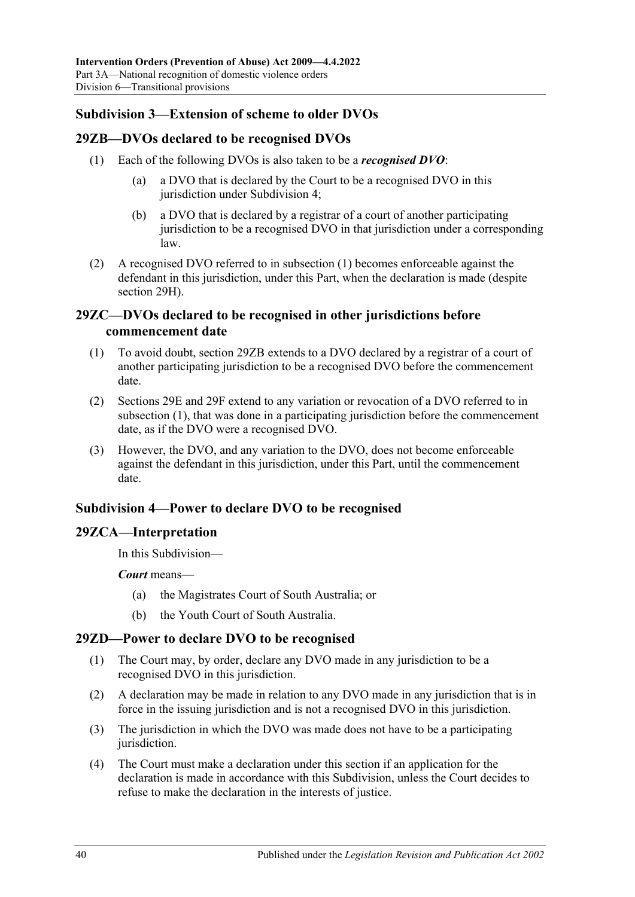## <span id="page-39-0"></span>**Subdivision 3—Extension of scheme to older DVOs**

## <span id="page-39-6"></span><span id="page-39-1"></span>**29ZB—DVOs declared to be recognised DVOs**

- (1) Each of the following DVOs is also taken to be a *recognised DVO*:
	- (a) a DVO that is declared by the Court to be a recognised DVO in this jurisdiction under [Subdivision](#page-39-3) 4;
	- (b) a DVO that is declared by a registrar of a court of another participating jurisdiction to be a recognised DVO in that jurisdiction under a corresponding law.
- (2) A recognised DVO referred to in [subsection](#page-39-6) (1) becomes enforceable against the defendant in this jurisdiction, under this Part, when the declaration is made (despite [section](#page-32-0) 29H).

## <span id="page-39-2"></span>**29ZC—DVOs declared to be recognised in other jurisdictions before commencement date**

- <span id="page-39-7"></span>(1) To avoid doubt, [section](#page-39-1) 29ZB extends to a DVO declared by a registrar of a court of another participating jurisdiction to be a recognised DVO before the commencement date.
- (2) [Sections 29E](#page-31-0) and [29F](#page-31-1) extend to any variation or revocation of a DVO referred to in [subsection](#page-39-7) (1), that was done in a participating jurisdiction before the commencement date, as if the DVO were a recognised DVO.
- (3) However, the DVO, and any variation to the DVO, does not become enforceable against the defendant in this jurisdiction, under this Part, until the commencement date.

## <span id="page-39-3"></span>**Subdivision 4—Power to declare DVO to be recognised**

### <span id="page-39-4"></span>**29ZCA—Interpretation**

In this Subdivision—

*Court* means—

- (a) the Magistrates Court of South Australia; or
- (b) the Youth Court of South Australia.

## <span id="page-39-5"></span>**29ZD—Power to declare DVO to be recognised**

- (1) The Court may, by order, declare any DVO made in any jurisdiction to be a recognised DVO in this jurisdiction.
- (2) A declaration may be made in relation to any DVO made in any jurisdiction that is in force in the issuing jurisdiction and is not a recognised DVO in this jurisdiction.
- (3) The jurisdiction in which the DVO was made does not have to be a participating jurisdiction.
- <span id="page-39-8"></span>(4) The Court must make a declaration under this section if an application for the declaration is made in accordance with this Subdivision, unless the Court decides to refuse to make the declaration in the interests of justice.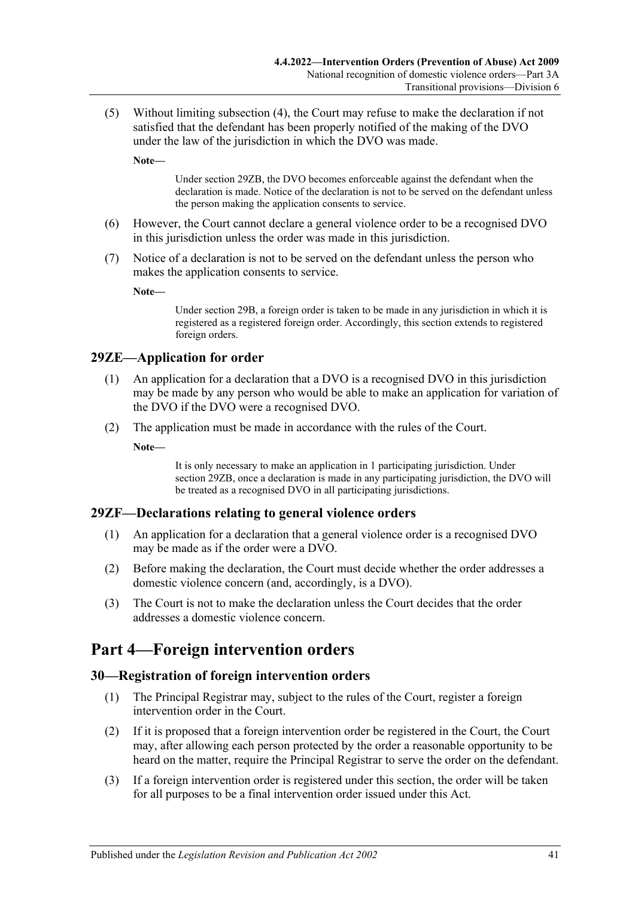(5) Without limiting [subsection](#page-39-8) (4), the Court may refuse to make the declaration if not satisfied that the defendant has been properly notified of the making of the DVO under the law of the jurisdiction in which the DVO was made.

**Note—**

Under [section](#page-39-1) 29ZB, the DVO becomes enforceable against the defendant when the declaration is made. Notice of the declaration is not to be served on the defendant unless the person making the application consents to service.

- (6) However, the Court cannot declare a general violence order to be a recognised DVO in this jurisdiction unless the order was made in this jurisdiction.
- (7) Notice of a declaration is not to be served on the defendant unless the person who makes the application consents to service.

**Note—**

Under [section](#page-29-0) 29B, a foreign order is taken to be made in any jurisdiction in which it is registered as a registered foreign order. Accordingly, this section extends to registered foreign orders.

### <span id="page-40-0"></span>**29ZE—Application for order**

- (1) An application for a declaration that a DVO is a recognised DVO in this jurisdiction may be made by any person who would be able to make an application for variation of the DVO if the DVO were a recognised DVO.
- (2) The application must be made in accordance with the rules of the Court.

**Note—**

It is only necessary to make an application in 1 participating jurisdiction. Under [section](#page-39-1) 29ZB, once a declaration is made in any participating jurisdiction, the DVO will be treated as a recognised DVO in all participating jurisdictions.

#### <span id="page-40-1"></span>**29ZF—Declarations relating to general violence orders**

- (1) An application for a declaration that a general violence order is a recognised DVO may be made as if the order were a DVO.
- (2) Before making the declaration, the Court must decide whether the order addresses a domestic violence concern (and, accordingly, is a DVO).
- (3) The Court is not to make the declaration unless the Court decides that the order addresses a domestic violence concern.

# <span id="page-40-2"></span>**Part 4—Foreign intervention orders**

#### <span id="page-40-3"></span>**30—Registration of foreign intervention orders**

- (1) The Principal Registrar may, subject to the rules of the Court, register a foreign intervention order in the Court.
- (2) If it is proposed that a foreign intervention order be registered in the Court, the Court may, after allowing each person protected by the order a reasonable opportunity to be heard on the matter, require the Principal Registrar to serve the order on the defendant.
- (3) If a foreign intervention order is registered under this section, the order will be taken for all purposes to be a final intervention order issued under this Act.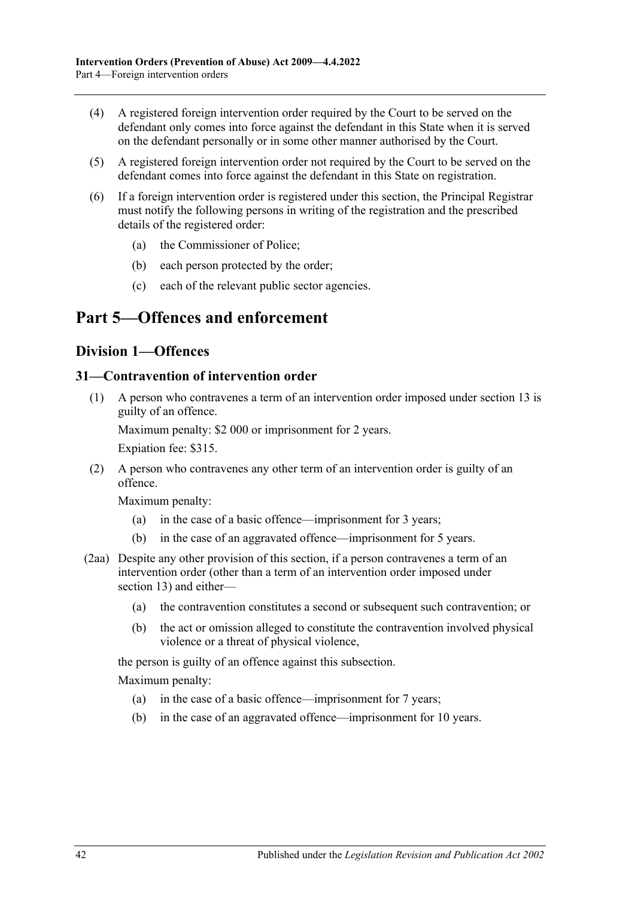- (4) A registered foreign intervention order required by the Court to be served on the defendant only comes into force against the defendant in this State when it is served on the defendant personally or in some other manner authorised by the Court.
- (5) A registered foreign intervention order not required by the Court to be served on the defendant comes into force against the defendant in this State on registration.
- (6) If a foreign intervention order is registered under this section, the Principal Registrar must notify the following persons in writing of the registration and the prescribed details of the registered order:
	- (a) the Commissioner of Police;
	- (b) each person protected by the order;
	- (c) each of the relevant public sector agencies.

# <span id="page-41-1"></span><span id="page-41-0"></span>**Part 5—Offences and enforcement**

## **Division 1—Offences**

#### <span id="page-41-5"></span><span id="page-41-2"></span>**31—Contravention of intervention order**

(1) A person who contravenes a term of an intervention order imposed under [section](#page-12-0) 13 is guilty of an offence.

Maximum penalty: \$2 000 or imprisonment for 2 years.

Expiation fee: \$315.

<span id="page-41-4"></span>(2) A person who contravenes any other term of an intervention order is guilty of an offence.

Maximum penalty:

- (a) in the case of a basic offence—imprisonment for 3 years;
- (b) in the case of an aggravated offence—imprisonment for 5 years.
- <span id="page-41-3"></span>(2aa) Despite any other provision of this section, if a person contravenes a term of an intervention order (other than a term of an intervention order imposed under [section](#page-12-0) 13) and either—
	- (a) the contravention constitutes a second or subsequent such contravention; or
	- (b) the act or omission alleged to constitute the contravention involved physical violence or a threat of physical violence,

the person is guilty of an offence against this subsection.

Maximum penalty:

- (a) in the case of a basic offence—imprisonment for 7 years;
- (b) in the case of an aggravated offence—imprisonment for 10 years.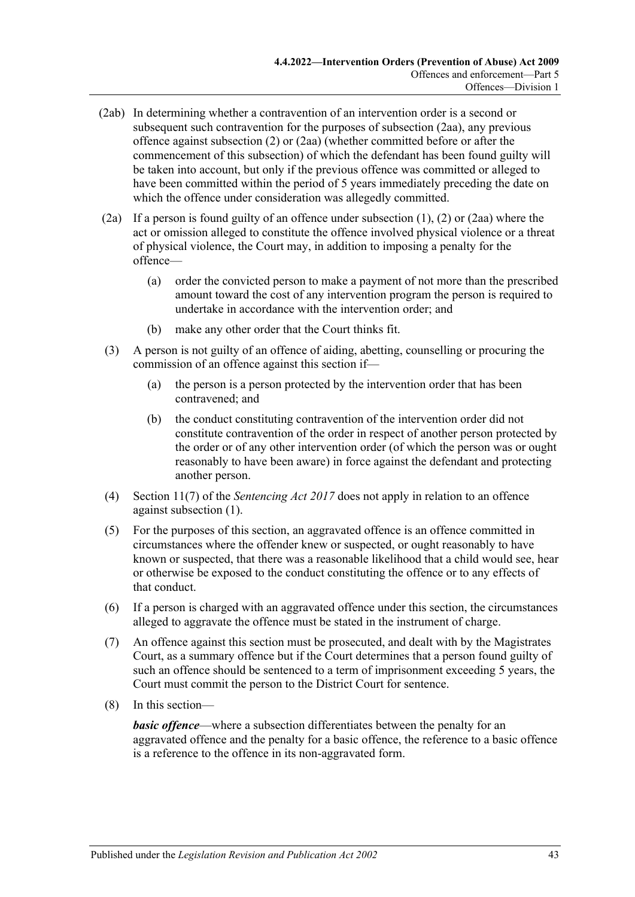- (2ab) In determining whether a contravention of an intervention order is a second or subsequent such contravention for the purposes of [subsection](#page-41-3) (2aa), any previous offence against [subsection](#page-41-4) (2) or [\(2aa\)](#page-41-3) (whether committed before or after the commencement of this subsection) of which the defendant has been found guilty will be taken into account, but only if the previous offence was committed or alleged to have been committed within the period of 5 years immediately preceding the date on which the offence under consideration was allegedly committed.
- (2a) If a person is found guilty of an offence under [subsection](#page-41-5) (1), [\(2\)](#page-41-4) or [\(2aa\)](#page-41-3) where the act or omission alleged to constitute the offence involved physical violence or a threat of physical violence, the Court may, in addition to imposing a penalty for the offence—
	- (a) order the convicted person to make a payment of not more than the prescribed amount toward the cost of any intervention program the person is required to undertake in accordance with the intervention order; and
	- (b) make any other order that the Court thinks fit.
- (3) A person is not guilty of an offence of aiding, abetting, counselling or procuring the commission of an offence against this section if—
	- (a) the person is a person protected by the intervention order that has been contravened; and
	- (b) the conduct constituting contravention of the intervention order did not constitute contravention of the order in respect of another person protected by the order or of any other intervention order (of which the person was or ought reasonably to have been aware) in force against the defendant and protecting another person.
- (4) Section 11(7) of the *[Sentencing Act](http://www.legislation.sa.gov.au/index.aspx?action=legref&type=act&legtitle=Sentencing%20Act%202017) 2017* does not apply in relation to an offence against [subsection](#page-41-5) (1).
- (5) For the purposes of this section, an aggravated offence is an offence committed in circumstances where the offender knew or suspected, or ought reasonably to have known or suspected, that there was a reasonable likelihood that a child would see, hear or otherwise be exposed to the conduct constituting the offence or to any effects of that conduct.
- (6) If a person is charged with an aggravated offence under this section, the circumstances alleged to aggravate the offence must be stated in the instrument of charge.
- (7) An offence against this section must be prosecuted, and dealt with by the Magistrates Court, as a summary offence but if the Court determines that a person found guilty of such an offence should be sentenced to a term of imprisonment exceeding 5 years, the Court must commit the person to the District Court for sentence.
- (8) In this section—

*basic offence*—where a subsection differentiates between the penalty for an aggravated offence and the penalty for a basic offence, the reference to a basic offence is a reference to the offence in its non-aggravated form.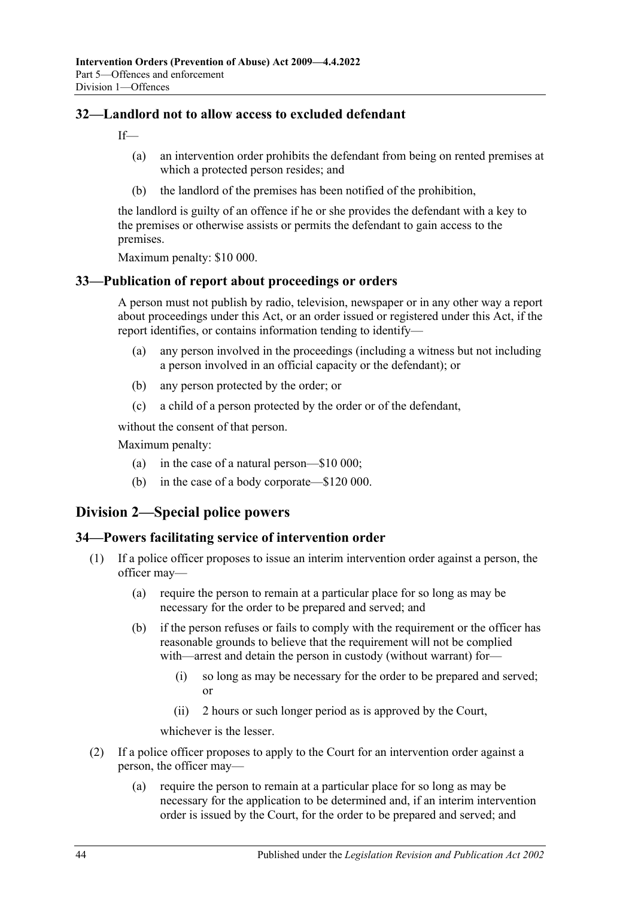## <span id="page-43-0"></span>**32—Landlord not to allow access to excluded defendant**

If—

- (a) an intervention order prohibits the defendant from being on rented premises at which a protected person resides; and
- (b) the landlord of the premises has been notified of the prohibition,

the landlord is guilty of an offence if he or she provides the defendant with a key to the premises or otherwise assists or permits the defendant to gain access to the premises.

Maximum penalty: \$10 000.

### <span id="page-43-1"></span>**33—Publication of report about proceedings or orders**

A person must not publish by radio, television, newspaper or in any other way a report about proceedings under this Act, or an order issued or registered under this Act, if the report identifies, or contains information tending to identify—

- (a) any person involved in the proceedings (including a witness but not including a person involved in an official capacity or the defendant); or
- (b) any person protected by the order; or
- (c) a child of a person protected by the order or of the defendant,

without the consent of that person.

Maximum penalty:

- (a) in the case of a natural person—\$10 000;
- (b) in the case of a body corporate—\$120 000.

# <span id="page-43-2"></span>**Division 2—Special police powers**

### <span id="page-43-3"></span>**34—Powers facilitating service of intervention order**

- (1) If a police officer proposes to issue an interim intervention order against a person, the officer may—
	- (a) require the person to remain at a particular place for so long as may be necessary for the order to be prepared and served; and
	- (b) if the person refuses or fails to comply with the requirement or the officer has reasonable grounds to believe that the requirement will not be complied with—arrest and detain the person in custody (without warrant) for-
		- (i) so long as may be necessary for the order to be prepared and served; or
		- (ii) 2 hours or such longer period as is approved by the Court,

whichever is the lesser.

- (2) If a police officer proposes to apply to the Court for an intervention order against a person, the officer may—
	- (a) require the person to remain at a particular place for so long as may be necessary for the application to be determined and, if an interim intervention order is issued by the Court, for the order to be prepared and served; and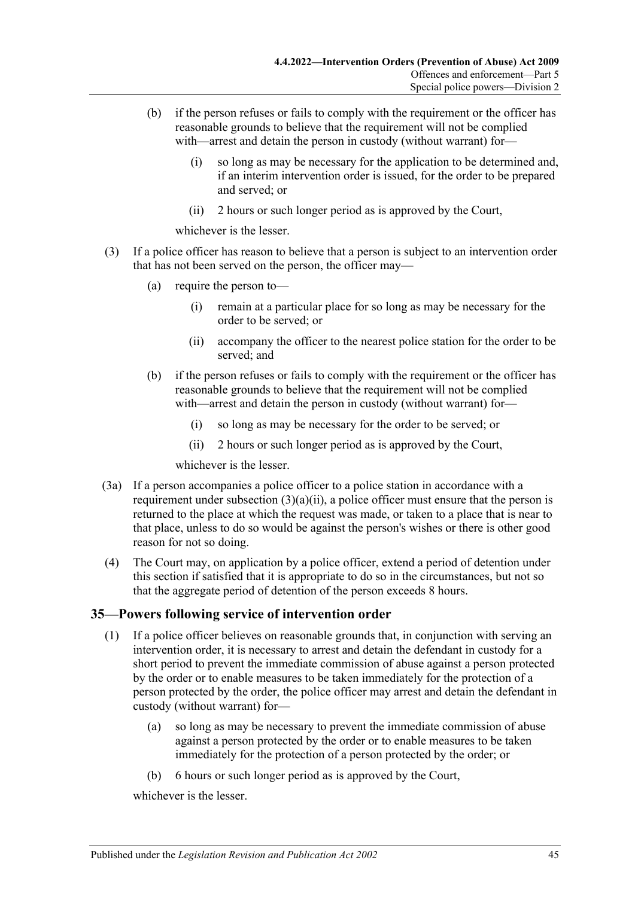- (b) if the person refuses or fails to comply with the requirement or the officer has reasonable grounds to believe that the requirement will not be complied with—arrest and detain the person in custody (without warrant) for—
	- (i) so long as may be necessary for the application to be determined and, if an interim intervention order is issued, for the order to be prepared and served; or
	- (ii) 2 hours or such longer period as is approved by the Court,

whichever is the lesser.

- <span id="page-44-1"></span>(3) If a police officer has reason to believe that a person is subject to an intervention order that has not been served on the person, the officer may—
	- (a) require the person to—
		- (i) remain at a particular place for so long as may be necessary for the order to be served; or
		- (ii) accompany the officer to the nearest police station for the order to be served; and
	- (b) if the person refuses or fails to comply with the requirement or the officer has reasonable grounds to believe that the requirement will not be complied with—arrest and detain the person in custody (without warrant) for—
		- (i) so long as may be necessary for the order to be served; or
		- (ii) 2 hours or such longer period as is approved by the Court,

whichever is the lesser.

- (3a) If a person accompanies a police officer to a police station in accordance with a requirement under [subsection](#page-44-1)  $(3)(a)(ii)$ , a police officer must ensure that the person is returned to the place at which the request was made, or taken to a place that is near to that place, unless to do so would be against the person's wishes or there is other good reason for not so doing.
- (4) The Court may, on application by a police officer, extend a period of detention under this section if satisfied that it is appropriate to do so in the circumstances, but not so that the aggregate period of detention of the person exceeds 8 hours.

### <span id="page-44-2"></span><span id="page-44-0"></span>**35—Powers following service of intervention order**

- (1) If a police officer believes on reasonable grounds that, in conjunction with serving an intervention order, it is necessary to arrest and detain the defendant in custody for a short period to prevent the immediate commission of abuse against a person protected by the order or to enable measures to be taken immediately for the protection of a person protected by the order, the police officer may arrest and detain the defendant in custody (without warrant) for—
	- (a) so long as may be necessary to prevent the immediate commission of abuse against a person protected by the order or to enable measures to be taken immediately for the protection of a person protected by the order; or
	- (b) 6 hours or such longer period as is approved by the Court,

whichever is the lesser.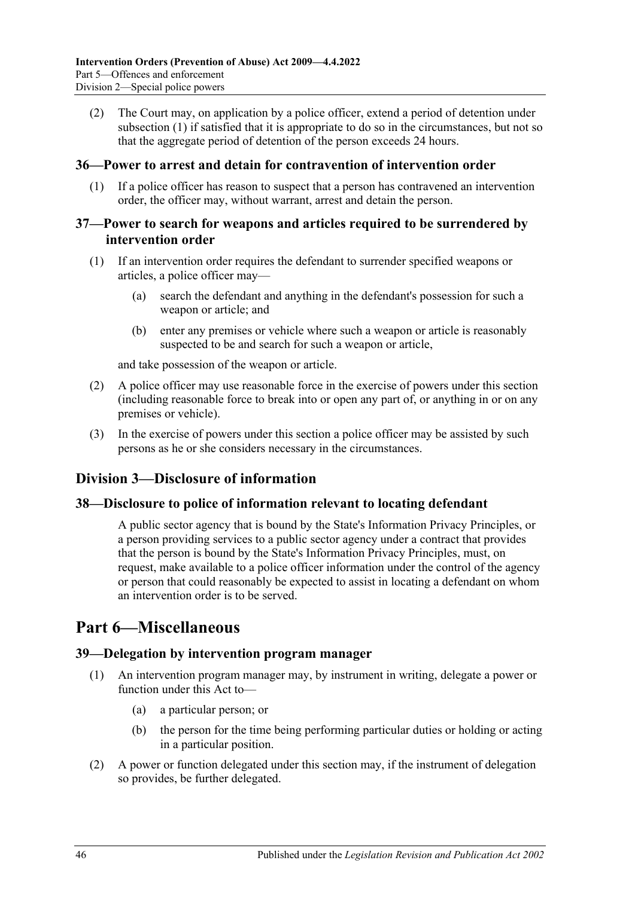(2) The Court may, on application by a police officer, extend a period of detention under [subsection](#page-44-2) (1) if satisfied that it is appropriate to do so in the circumstances, but not so that the aggregate period of detention of the person exceeds 24 hours.

### <span id="page-45-0"></span>**36—Power to arrest and detain for contravention of intervention order**

(1) If a police officer has reason to suspect that a person has contravened an intervention order, the officer may, without warrant, arrest and detain the person.

#### <span id="page-45-1"></span>**37—Power to search for weapons and articles required to be surrendered by intervention order**

- (1) If an intervention order requires the defendant to surrender specified weapons or articles, a police officer may—
	- (a) search the defendant and anything in the defendant's possession for such a weapon or article; and
	- (b) enter any premises or vehicle where such a weapon or article is reasonably suspected to be and search for such a weapon or article,

and take possession of the weapon or article.

- (2) A police officer may use reasonable force in the exercise of powers under this section (including reasonable force to break into or open any part of, or anything in or on any premises or vehicle).
- (3) In the exercise of powers under this section a police officer may be assisted by such persons as he or she considers necessary in the circumstances.

# <span id="page-45-2"></span>**Division 3—Disclosure of information**

### <span id="page-45-3"></span>**38—Disclosure to police of information relevant to locating defendant**

A public sector agency that is bound by the State's Information Privacy Principles, or a person providing services to a public sector agency under a contract that provides that the person is bound by the State's Information Privacy Principles, must, on request, make available to a police officer information under the control of the agency or person that could reasonably be expected to assist in locating a defendant on whom an intervention order is to be served.

# <span id="page-45-4"></span>**Part 6—Miscellaneous**

### <span id="page-45-5"></span>**39—Delegation by intervention program manager**

- (1) An intervention program manager may, by instrument in writing, delegate a power or function under this Act to—
	- (a) a particular person; or
	- (b) the person for the time being performing particular duties or holding or acting in a particular position.
- (2) A power or function delegated under this section may, if the instrument of delegation so provides, be further delegated.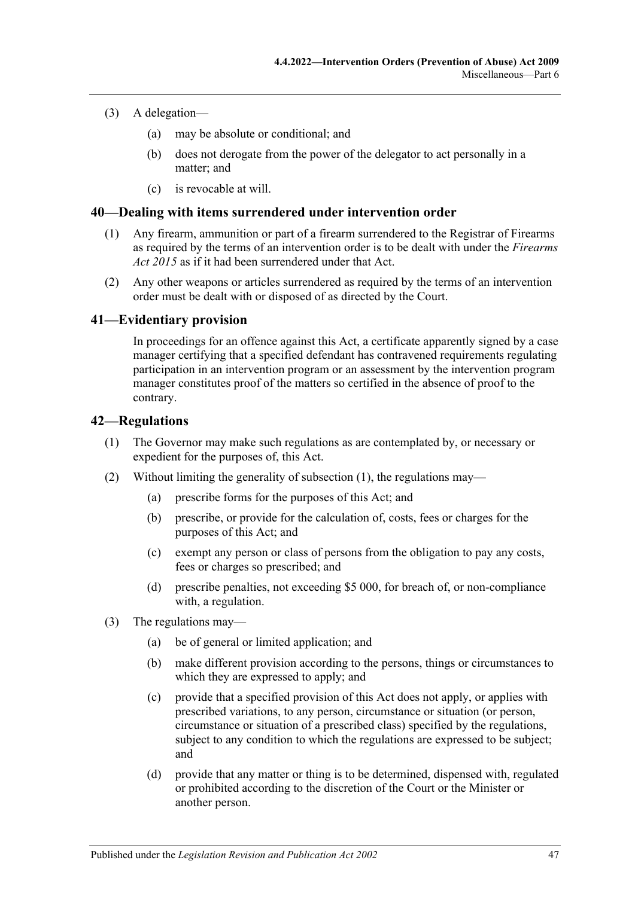#### (3) A delegation—

- (a) may be absolute or conditional; and
- (b) does not derogate from the power of the delegator to act personally in a matter; and
- (c) is revocable at will.

#### <span id="page-46-0"></span>**40—Dealing with items surrendered under intervention order**

- (1) Any firearm, ammunition or part of a firearm surrendered to the Registrar of Firearms as required by the terms of an intervention order is to be dealt with under the *[Firearms](http://www.legislation.sa.gov.au/index.aspx?action=legref&type=act&legtitle=Firearms%20Act%202015)  Act [2015](http://www.legislation.sa.gov.au/index.aspx?action=legref&type=act&legtitle=Firearms%20Act%202015)* as if it had been surrendered under that Act.
- (2) Any other weapons or articles surrendered as required by the terms of an intervention order must be dealt with or disposed of as directed by the Court.

## <span id="page-46-1"></span>**41—Evidentiary provision**

In proceedings for an offence against this Act, a certificate apparently signed by a case manager certifying that a specified defendant has contravened requirements regulating participation in an intervention program or an assessment by the intervention program manager constitutes proof of the matters so certified in the absence of proof to the contrary.

#### <span id="page-46-3"></span><span id="page-46-2"></span>**42—Regulations**

- (1) The Governor may make such regulations as are contemplated by, or necessary or expedient for the purposes of, this Act.
- (2) Without limiting the generality of [subsection](#page-46-3) (1), the regulations may—
	- (a) prescribe forms for the purposes of this Act; and
	- (b) prescribe, or provide for the calculation of, costs, fees or charges for the purposes of this Act; and
	- (c) exempt any person or class of persons from the obligation to pay any costs, fees or charges so prescribed; and
	- (d) prescribe penalties, not exceeding \$5 000, for breach of, or non-compliance with, a regulation.
- (3) The regulations may—
	- (a) be of general or limited application; and
	- (b) make different provision according to the persons, things or circumstances to which they are expressed to apply; and
	- (c) provide that a specified provision of this Act does not apply, or applies with prescribed variations, to any person, circumstance or situation (or person, circumstance or situation of a prescribed class) specified by the regulations, subject to any condition to which the regulations are expressed to be subject; and
	- (d) provide that any matter or thing is to be determined, dispensed with, regulated or prohibited according to the discretion of the Court or the Minister or another person.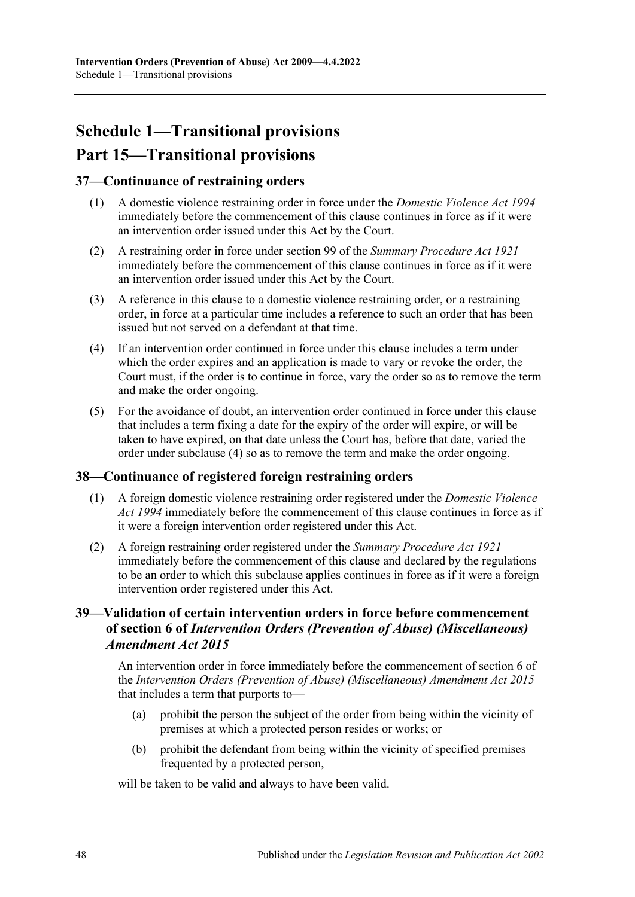# <span id="page-47-0"></span>**Schedule 1—Transitional provisions Part 15—Transitional provisions**

## <span id="page-47-1"></span>**37—Continuance of restraining orders**

- (1) A domestic violence restraining order in force under the *[Domestic Violence Act](http://www.legislation.sa.gov.au/index.aspx?action=legref&type=act&legtitle=Domestic%20Violence%20Act%201994) 1994* immediately before the commencement of this clause continues in force as if it were an intervention order issued under this Act by the Court.
- (2) A restraining order in force under section 99 of the *[Summary Procedure Act](http://www.legislation.sa.gov.au/index.aspx?action=legref&type=act&legtitle=Summary%20Procedure%20Act%201921) 1921* immediately before the commencement of this clause continues in force as if it were an intervention order issued under this Act by the Court.
- (3) A reference in this clause to a domestic violence restraining order, or a restraining order, in force at a particular time includes a reference to such an order that has been issued but not served on a defendant at that time.
- <span id="page-47-4"></span>(4) If an intervention order continued in force under this clause includes a term under which the order expires and an application is made to vary or revoke the order, the Court must, if the order is to continue in force, vary the order so as to remove the term and make the order ongoing.
- (5) For the avoidance of doubt, an intervention order continued in force under this clause that includes a term fixing a date for the expiry of the order will expire, or will be taken to have expired, on that date unless the Court has, before that date, varied the order under [subclause](#page-47-4) (4) so as to remove the term and make the order ongoing.

### <span id="page-47-2"></span>**38—Continuance of registered foreign restraining orders**

- (1) A foreign domestic violence restraining order registered under the *[Domestic Violence](http://www.legislation.sa.gov.au/index.aspx?action=legref&type=act&legtitle=Domestic%20Violence%20Act%201994)  Act [1994](http://www.legislation.sa.gov.au/index.aspx?action=legref&type=act&legtitle=Domestic%20Violence%20Act%201994)* immediately before the commencement of this clause continues in force as if it were a foreign intervention order registered under this Act.
- (2) A foreign restraining order registered under the *[Summary Procedure Act](http://www.legislation.sa.gov.au/index.aspx?action=legref&type=act&legtitle=Summary%20Procedure%20Act%201921) 1921* immediately before the commencement of this clause and declared by the regulations to be an order to which this subclause applies continues in force as if it were a foreign intervention order registered under this Act.

## <span id="page-47-3"></span>**39—Validation of certain intervention orders in force before commencement of section 6 of** *Intervention Orders (Prevention of Abuse) (Miscellaneous) Amendment Act 2015*

An intervention order in force immediately before the commencement of section 6 of the *[Intervention Orders \(Prevention of Abuse\) \(Miscellaneous\) Amendment Act](http://www.legislation.sa.gov.au/index.aspx?action=legref&type=act&legtitle=Intervention%20Orders%20(Prevention%20of%20Abuse)%20(Miscellaneous)%20Amendment%20Act%202015) 2015* that includes a term that purports to—

- (a) prohibit the person the subject of the order from being within the vicinity of premises at which a protected person resides or works; or
- (b) prohibit the defendant from being within the vicinity of specified premises frequented by a protected person,

will be taken to be valid and always to have been valid.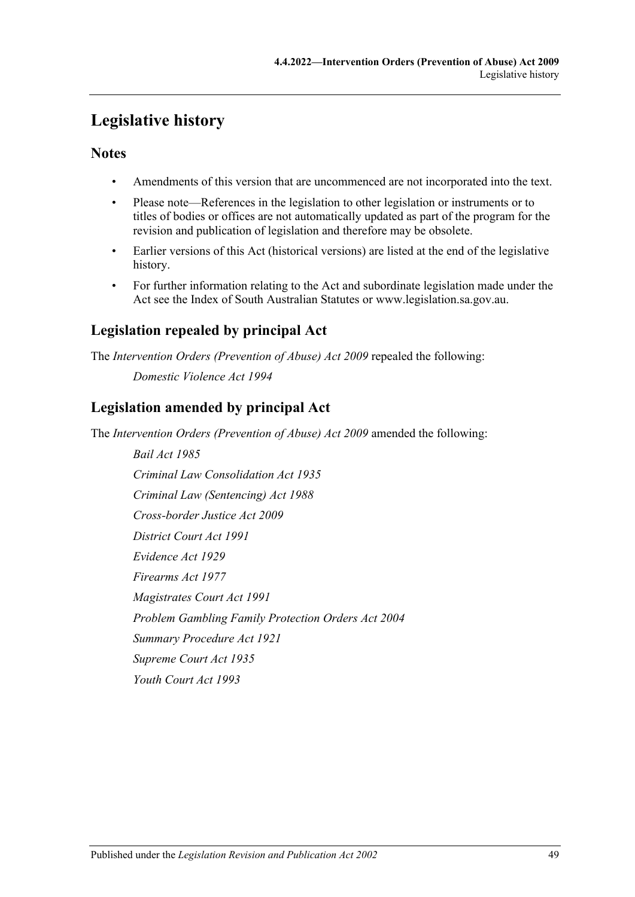# <span id="page-48-0"></span>**Legislative history**

# **Notes**

- Amendments of this version that are uncommenced are not incorporated into the text.
- Please note—References in the legislation to other legislation or instruments or to titles of bodies or offices are not automatically updated as part of the program for the revision and publication of legislation and therefore may be obsolete.
- Earlier versions of this Act (historical versions) are listed at the end of the legislative history.
- For further information relating to the Act and subordinate legislation made under the Act see the Index of South Australian Statutes or www.legislation.sa.gov.au.

# **Legislation repealed by principal Act**

The *Intervention Orders (Prevention of Abuse) Act 2009* repealed the following: *Domestic Violence Act 1994*

# **Legislation amended by principal Act**

The *Intervention Orders (Prevention of Abuse) Act 2009* amended the following:

*Bail Act 1985 Criminal Law Consolidation Act 1935 Criminal Law (Sentencing) Act 1988 Cross-border Justice Act 2009 District Court Act 1991 Evidence Act 1929 Firearms Act 1977 Magistrates Court Act 1991 Problem Gambling Family Protection Orders Act 2004 Summary Procedure Act 1921 Supreme Court Act 1935 Youth Court Act 1993*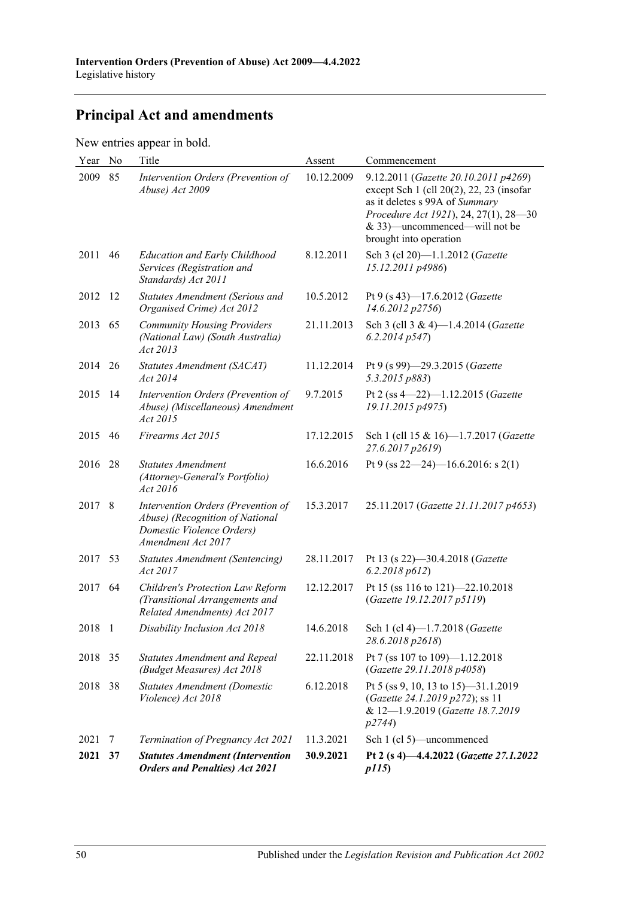# **Principal Act and amendments**

New entries appear in bold.

| Year    | No  | Title                                                                                                                    | Assent     | Commencement                                                                                                                                                                                                                |
|---------|-----|--------------------------------------------------------------------------------------------------------------------------|------------|-----------------------------------------------------------------------------------------------------------------------------------------------------------------------------------------------------------------------------|
| 2009    | 85  | Intervention Orders (Prevention of<br>Abuse) Act 2009                                                                    | 10.12.2009 | 9.12.2011 (Gazette 20.10.2011 p4269)<br>except Sch $1$ (cll $20(2)$ , 22, 23 (insofar<br>as it deletes s 99A of Summary<br>Procedure Act 1921), 24, 27(1), 28-30<br>& 33)—uncommenced—will not be<br>brought into operation |
| 2011    | 46  | <b>Education and Early Childhood</b><br>Services (Registration and<br>Standards) Act 2011                                | 8.12.2011  | Sch 3 (cl 20)-1.1.2012 (Gazette<br>15.12.2011 p4986)                                                                                                                                                                        |
| 2012 12 |     | Statutes Amendment (Serious and<br>Organised Crime) Act 2012                                                             | 10.5.2012  | Pt 9 (s 43)-17.6.2012 (Gazette<br>14.6.2012 p2756)                                                                                                                                                                          |
| 2013    | 65  | <b>Community Housing Providers</b><br>(National Law) (South Australia)<br>Act 2013                                       | 21.11.2013 | Sch 3 (cll 3 & 4)-1.4.2014 (Gazette<br>6.2.2014p547                                                                                                                                                                         |
| 2014    | 26  | Statutes Amendment (SACAT)<br>Act 2014                                                                                   | 11.12.2014 | Pt 9 (s 99)-29.3.2015 (Gazette<br>5.3.2015 p883)                                                                                                                                                                            |
| 2015    | -14 | Intervention Orders (Prevention of<br>Abuse) (Miscellaneous) Amendment<br>Act 2015                                       | 9.7.2015   | Pt 2 (ss $4-22$ )-1.12.2015 (Gazette<br>19.11.2015 p4975)                                                                                                                                                                   |
| 2015    | 46  | Firearms Act 2015                                                                                                        | 17.12.2015 | Sch 1 (cll 15 & 16)-1.7.2017 (Gazette<br>27.6.2017 p2619)                                                                                                                                                                   |
| 2016    | 28  | <b>Statutes Amendment</b><br>(Attorney-General's Portfolio)<br>Act 2016                                                  | 16.6.2016  | Pt 9 (ss $22-24$ )-16.6.2016: s 2(1)                                                                                                                                                                                        |
| 2017 8  |     | Intervention Orders (Prevention of<br>Abuse) (Recognition of National<br>Domestic Violence Orders)<br>Amendment Act 2017 | 15.3.2017  | 25.11.2017 (Gazette 21.11.2017 p4653)                                                                                                                                                                                       |
| 2017    | 53  | Statutes Amendment (Sentencing)<br>Act 2017                                                                              | 28.11.2017 | Pt 13 (s 22)-30.4.2018 (Gazette<br>6.2.2018 p612                                                                                                                                                                            |
| 2017    | 64  | Children's Protection Law Reform<br>(Transitional Arrangements and<br>Related Amendments) Act 2017                       | 12.12.2017 | Pt 15 (ss 116 to 121)-22.10.2018<br>(Gazette 19.12.2017 p5119)                                                                                                                                                              |
| 2018 1  |     | Disability Inclusion Act 2018                                                                                            | 14.6.2018  | Sch 1 (cl 4)-1.7.2018 (Gazette<br>28.6.2018 p2618)                                                                                                                                                                          |
| 2018 35 |     | <b>Statutes Amendment and Repeal</b><br>(Budget Measures) Act 2018                                                       | 22.11.2018 | Pt 7 (ss 107 to 109)-1.12.2018<br>(Gazette 29.11.2018 p4058)                                                                                                                                                                |
| 2018    | 38  | <b>Statutes Amendment (Domestic</b><br>Violence) Act 2018                                                                | 6.12.2018  | Pt 5 (ss 9, 10, 13 to 15)—31.1.2019<br>(Gazette 24.1.2019 p272); ss 11<br>& 12-1.9.2019 (Gazette 18.7.2019<br><i>p</i> 2744)                                                                                                |
| 2021    | 7   | Termination of Pregnancy Act 2021                                                                                        | 11.3.2021  | Sch 1 (cl 5)—uncommenced                                                                                                                                                                                                    |
| 2021    | 37  | <b>Statutes Amendment (Intervention</b><br><b>Orders and Penalties) Act 2021</b>                                         | 30.9.2021  | Pt 2 (s 4)-4.4.2022 (Gazette 27.1.2022<br><i>p115</i> )                                                                                                                                                                     |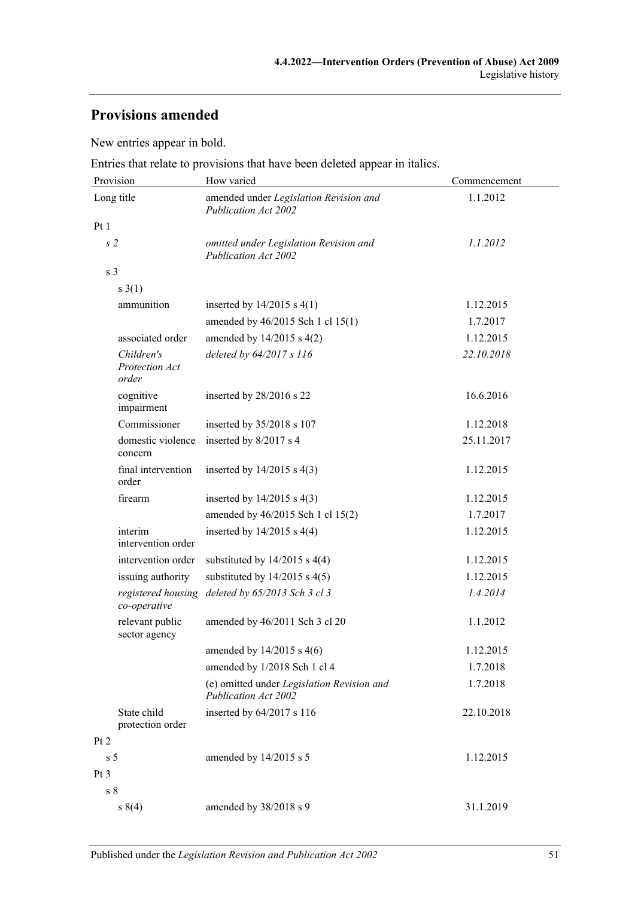# **Provisions amended**

New entries appear in bold.

Entries that relate to provisions that have been deleted appear in italics.

| Provision                             | How varied                                                            | Commencement |  |
|---------------------------------------|-----------------------------------------------------------------------|--------------|--|
| Long title                            | amended under Legislation Revision and<br>Publication Act 2002        | 1.1.2012     |  |
| Pt1                                   |                                                                       |              |  |
| s <sub>2</sub>                        | omitted under Legislation Revision and<br><b>Publication Act 2002</b> | 1.1.2012     |  |
| s <sub>3</sub>                        |                                                                       |              |  |
| s(1)                                  |                                                                       |              |  |
| ammunition                            | inserted by $14/2015$ s $4(1)$                                        | 1.12.2015    |  |
|                                       | amended by 46/2015 Sch 1 cl 15(1)                                     | 1.7.2017     |  |
| associated order                      | amended by $14/2015$ s $4(2)$                                         | 1.12.2015    |  |
| Children's<br>Protection Act<br>order | deleted by 64/2017 s 116                                              | 22.10.2018   |  |
| cognitive<br>impairment               | inserted by 28/2016 s 22                                              | 16.6.2016    |  |
| Commissioner                          | inserted by 35/2018 s 107                                             | 1.12.2018    |  |
| domestic violence<br>concern          | inserted by 8/2017 s 4                                                | 25.11.2017   |  |
| final intervention<br>order           | inserted by $14/2015$ s $4(3)$                                        | 1.12.2015    |  |
| firearm                               | inserted by $14/2015$ s $4(3)$                                        | 1.12.2015    |  |
|                                       | amended by 46/2015 Sch 1 cl 15(2)                                     | 1.7.2017     |  |
| interim<br>intervention order         | inserted by $14/2015$ s $4(4)$                                        | 1.12.2015    |  |
| intervention order                    | substituted by $14/2015$ s $4(4)$                                     | 1.12.2015    |  |
| issuing authority                     | substituted by $14/2015$ s $4(5)$                                     | 1.12.2015    |  |
| registered housing<br>co-operative    | deleted by 65/2013 Sch 3 cl 3                                         | 1.4.2014     |  |
| relevant public<br>sector agency      | amended by 46/2011 Sch 3 cl 20                                        | 1.1.2012     |  |
|                                       | amended by $14/2015$ s $4(6)$                                         | 1.12.2015    |  |
|                                       | amended by 1/2018 Sch 1 cl 4                                          | 1.7.2018     |  |
|                                       | (e) omitted under Legislation Revision and<br>Publication Act 2002    | 1.7.2018     |  |
| State child<br>protection order       | inserted by $64/2017$ s 116                                           | 22.10.2018   |  |
| Pt 2                                  |                                                                       |              |  |
| s <sub>5</sub>                        | amended by $14/2015$ s 5                                              | 1.12.2015    |  |
| Pt <sub>3</sub>                       |                                                                       |              |  |
| s <sub>8</sub>                        |                                                                       |              |  |
| s(4)                                  | amended by 38/2018 s 9                                                | 31.1.2019    |  |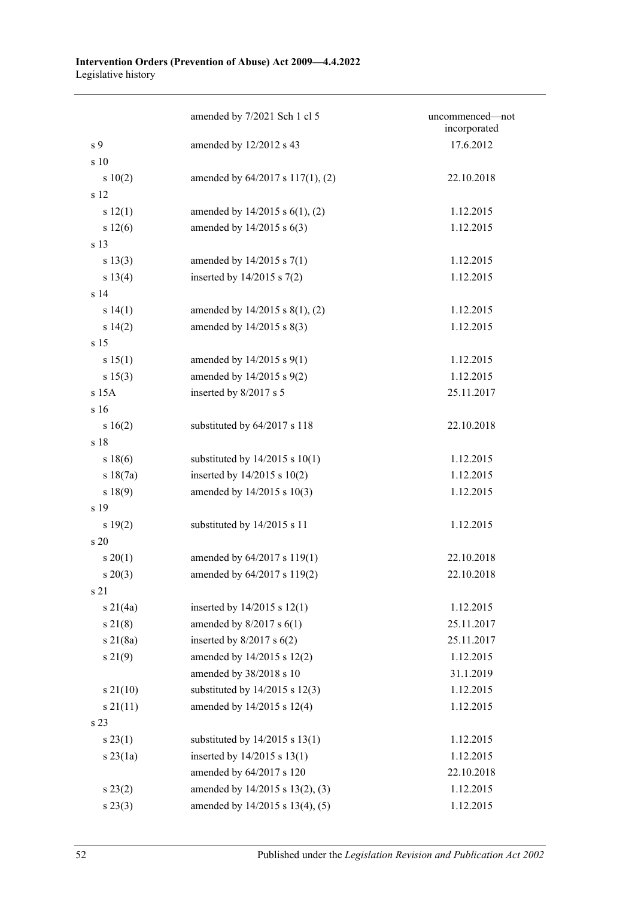#### **Intervention Orders (Prevention of Abuse) Act 2009—4.4.2022** Legislative history

|                              | amended by 7/2021 Sch 1 cl 5        | uncommenced-not<br>incorporated |
|------------------------------|-------------------------------------|---------------------------------|
| s 9                          | amended by 12/2012 s 43             | 17.6.2012                       |
| s 10                         |                                     |                                 |
| 10(2)                        | amended by 64/2017 s 117(1), (2)    | 22.10.2018                      |
| s 12                         |                                     |                                 |
| s 12(1)                      | amended by $14/2015$ s $6(1)$ , (2) | 1.12.2015                       |
| s 12(6)                      | amended by $14/2015$ s $6(3)$       | 1.12.2015                       |
| s 13                         |                                     |                                 |
| s 13(3)                      | amended by $14/2015$ s $7(1)$       | 1.12.2015                       |
| s 13(4)                      | inserted by $14/2015$ s $7(2)$      | 1.12.2015                       |
| s <sub>14</sub>              |                                     |                                 |
| s 14(1)                      | amended by $14/2015$ s $8(1)$ , (2) | 1.12.2015                       |
| s 14(2)                      | amended by 14/2015 s 8(3)           | 1.12.2015                       |
| s 15                         |                                     |                                 |
| s 15(1)                      | amended by 14/2015 s 9(1)           | 1.12.2015                       |
| s 15(3)                      | amended by 14/2015 s 9(2)           | 1.12.2015                       |
| s 15A                        | inserted by 8/2017 s 5              | 25.11.2017                      |
| s 16                         |                                     |                                 |
| s 16(2)                      | substituted by 64/2017 s 118        | 22.10.2018                      |
| s 18                         |                                     |                                 |
| s 18(6)                      | substituted by $14/2015$ s $10(1)$  | 1.12.2015                       |
| s 18(7a)                     | inserted by $14/2015$ s $10(2)$     | 1.12.2015                       |
| s 18(9)                      | amended by 14/2015 s 10(3)          | 1.12.2015                       |
| s 19                         |                                     |                                 |
| s 19(2)                      | substituted by 14/2015 s 11         | 1.12.2015                       |
| $\boldsymbol{\mathrm{s}}$ 20 |                                     |                                 |
| $s \ 20(1)$                  | amended by 64/2017 s 119(1)         | 22.10.2018                      |
| $s \ 20(3)$                  | amended by 64/2017 s 119(2)         | 22.10.2018                      |
| s 21                         |                                     |                                 |
| $s \ 21(4a)$                 | inserted by $14/2015$ s $12(1)$     | 1.12.2015                       |
| $s \, 21(8)$                 | amended by $8/2017$ s $6(1)$        | 25.11.2017                      |
| $s \, 21(8a)$                | inserted by $8/2017$ s $6(2)$       | 25.11.2017                      |
| s 21(9)                      | amended by 14/2015 s 12(2)          | 1.12.2015                       |
|                              | amended by 38/2018 s 10             | 31.1.2019                       |
| $s\,21(10)$                  | substituted by $14/2015$ s $12(3)$  | 1.12.2015                       |
| $s \, 21(11)$                | amended by 14/2015 s 12(4)          | 1.12.2015                       |
| s 23                         |                                     |                                 |
| $s\,23(1)$                   | substituted by $14/2015$ s $13(1)$  | 1.12.2015                       |
| $s$ 23(1a)                   | inserted by $14/2015$ s $13(1)$     | 1.12.2015                       |
|                              | amended by 64/2017 s 120            | 22.10.2018                      |
| $s\,23(2)$                   | amended by 14/2015 s 13(2), (3)     | 1.12.2015                       |
| s 23(3)                      | amended by 14/2015 s 13(4), (5)     | 1.12.2015                       |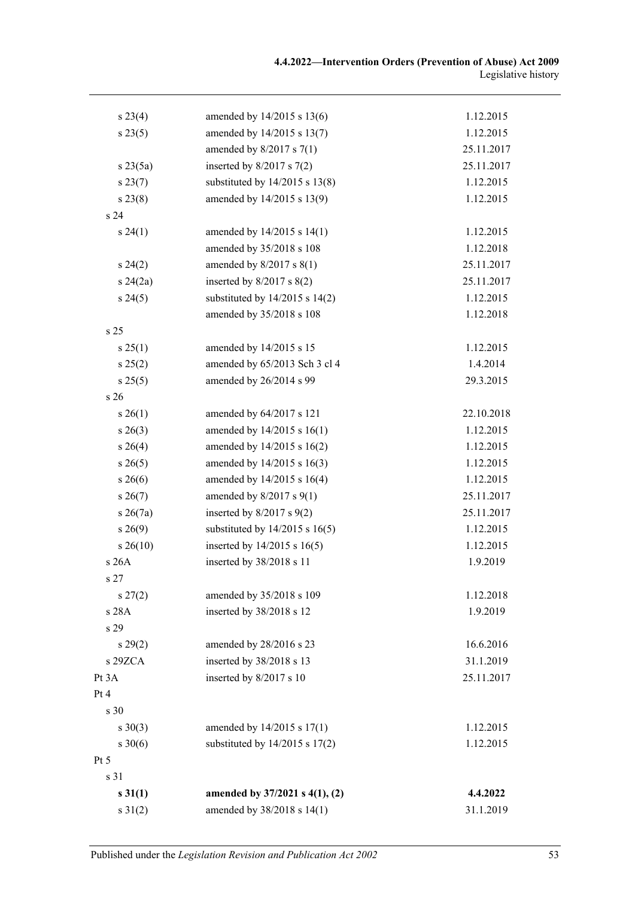| s 23(4)         | amended by 14/2015 s 13(6)         | 1.12.2015  |
|-----------------|------------------------------------|------------|
| s 23(5)         | amended by 14/2015 s 13(7)         | 1.12.2015  |
|                 | amended by $8/2017$ s $7(1)$       | 25.11.2017 |
| $s \, 23(5a)$   | inserted by $8/2017$ s $7(2)$      | 25.11.2017 |
| s 23(7)         | substituted by $14/2015$ s $13(8)$ | 1.12.2015  |
| s 23(8)         | amended by 14/2015 s 13(9)         | 1.12.2015  |
| s <sub>24</sub> |                                    |            |
| s 24(1)         | amended by 14/2015 s 14(1)         | 1.12.2015  |
|                 | amended by 35/2018 s 108           | 1.12.2018  |
| $s\,24(2)$      | amended by $8/2017$ s $8(1)$       | 25.11.2017 |
| $s\,24(2a)$     | inserted by $8/2017$ s $8(2)$      | 25.11.2017 |
| s 24(5)         | substituted by $14/2015$ s $14(2)$ | 1.12.2015  |
|                 | amended by 35/2018 s 108           | 1.12.2018  |
| s <sub>25</sub> |                                    |            |
| s 25(1)         | amended by 14/2015 s 15            | 1.12.2015  |
| s 25(2)         | amended by 65/2013 Sch 3 cl 4      | 1.4.2014   |
| s 25(5)         | amended by 26/2014 s 99            | 29.3.2015  |
| s <sub>26</sub> |                                    |            |
| $s \; 26(1)$    | amended by 64/2017 s 121           | 22.10.2018 |
| $s\,26(3)$      | amended by 14/2015 s 16(1)         | 1.12.2015  |
| $s \; 26(4)$    | amended by 14/2015 s 16(2)         | 1.12.2015  |
| $s \, 26(5)$    | amended by 14/2015 s 16(3)         | 1.12.2015  |
| $s \; 26(6)$    | amended by 14/2015 s 16(4)         | 1.12.2015  |
| $s \, 26(7)$    | amended by $8/2017$ s $9(1)$       | 25.11.2017 |
| $s \; 26(7a)$   | inserted by $8/2017$ s $9(2)$      | 25.11.2017 |
| $s\,26(9)$      | substituted by $14/2015$ s $16(5)$ | 1.12.2015  |
| $s\,26(10)$     | inserted by $14/2015$ s $16(5)$    | 1.12.2015  |
| s 26A           | inserted by 38/2018 s 11           | 1.9.2019   |
| s 27            |                                    |            |
| $s\,27(2)$      | amended by 35/2018 s 109           | 1.12.2018  |
| s 28A           | inserted by 38/2018 s 12           | 1.9.2019   |
| s 29            |                                    |            |
| $s\,29(2)$      | amended by 28/2016 s 23            | 16.6.2016  |
| s 29ZCA         | inserted by 38/2018 s 13           | 31.1.2019  |
| Pt 3A           | inserted by 8/2017 s 10            | 25.11.2017 |
| Pt 4            |                                    |            |
| s 30            |                                    |            |
| $s \ 30(3)$     | amended by 14/2015 s 17(1)         | 1.12.2015  |
| $s \ 30(6)$     | substituted by $14/2015$ s $17(2)$ | 1.12.2015  |
| Pt 5            |                                    |            |
| s 31            |                                    |            |
| $s \, 31(1)$    | amended by 37/2021 s 4(1), (2)     | 4.4.2022   |
| $s \, 31(2)$    | amended by 38/2018 s 14(1)         | 31.1.2019  |
|                 |                                    |            |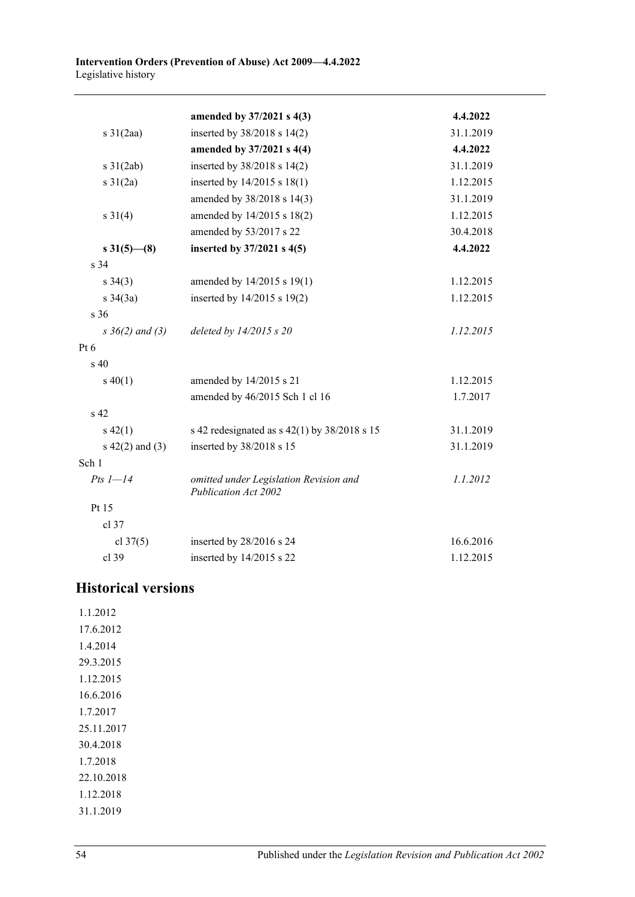|                      | amended by 37/2021 s 4(3)                                      | 4.4.2022  |
|----------------------|----------------------------------------------------------------|-----------|
| $s \frac{31}{2aa}$   | inserted by 38/2018 s 14(2)                                    | 31.1.2019 |
|                      | amended by 37/2021 s 4(4)                                      | 4.4.2022  |
| $s \frac{31}{2ab}$   | inserted by 38/2018 s 14(2)                                    | 31.1.2019 |
| $s \, 31(2a)$        | inserted by $14/2015$ s $18(1)$                                | 1.12.2015 |
|                      | amended by 38/2018 s 14(3)                                     | 31.1.2019 |
| $s \ 31(4)$          | amended by 14/2015 s 18(2)                                     | 1.12.2015 |
|                      | amended by 53/2017 s 22                                        | 30.4.2018 |
| $s \, 31(5)$ (8)     | inserted by 37/2021 s 4(5)                                     | 4.4.2022  |
| s <sub>34</sub>      |                                                                |           |
| $s \; 34(3)$         | amended by 14/2015 s 19(1)                                     | 1.12.2015 |
| $s \frac{34}{3a}$    | inserted by 14/2015 s 19(2)                                    | 1.12.2015 |
| s 36                 |                                                                |           |
| $s \; 36(2)$ and (3) | deleted by $14/2015 s 20$                                      | 1.12.2015 |
| Pt $6$               |                                                                |           |
| $s\ 40$              |                                                                |           |
| $s\ 40(1)$           | amended by 14/2015 s 21                                        | 1.12.2015 |
|                      | amended by 46/2015 Sch 1 cl 16                                 | 1.7.2017  |
| s 42                 |                                                                |           |
| $s\ 42(1)$           | s 42 redesignated as $s$ 42(1) by 38/2018 s 15                 | 31.1.2019 |
| $s\ 42(2)$ and (3)   | inserted by 38/2018 s 15                                       | 31.1.2019 |
| Sch 1                |                                                                |           |
| $Pts$ $l-14$         | omitted under Legislation Revision and<br>Publication Act 2002 | 1.1.2012  |
| Pt 15                |                                                                |           |
| cl 37                |                                                                |           |
| cl $37(5)$           | inserted by 28/2016 s 24                                       | 16.6.2016 |
| cl 39                | inserted by 14/2015 s 22                                       | 1.12.2015 |

# **Historical versions**

1.1.2012 17.6.2012 1.4.2014 29.3.2015 1.12.2015 16.6.2016 1.7.2017 25.11.2017 30.4.2018 1.7.2018 22.10.2018 1.12.2018 31.1.2019